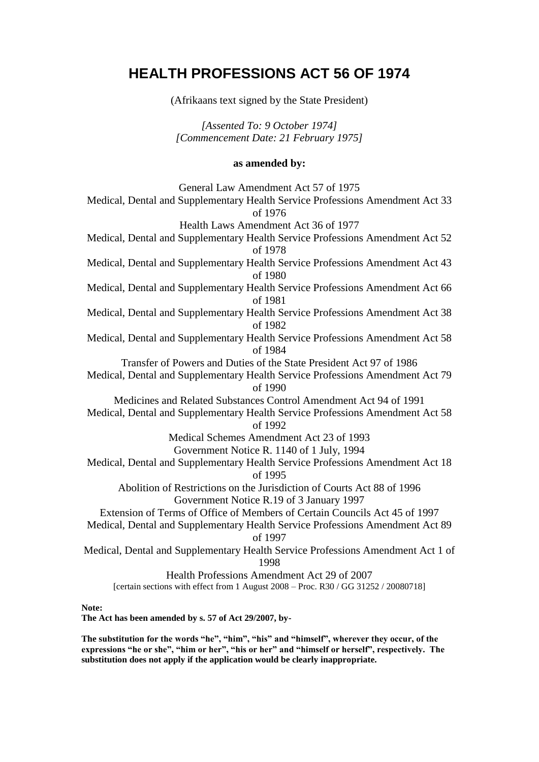# **HEALTH PROFESSIONS ACT 56 OF 1974**

(Afrikaans text signed by the State President)

*[Assented To: 9 October 1974] [Commencement Date: 21 February 1975]*

### **as amended by:**

General Law Amendment Act 57 of 1975 Medical, Dental and Supplementary Health Service Professions Amendment Act 33 of 1976 Health Laws Amendment Act 36 of 1977 Medical, Dental and Supplementary Health Service Professions Amendment Act 52 of 1978 Medical, Dental and Supplementary Health Service Professions Amendment Act 43 of 1980 Medical, Dental and Supplementary Health Service Professions Amendment Act 66 of 1981 Medical, Dental and Supplementary Health Service Professions Amendment Act 38 of 1982 Medical, Dental and Supplementary Health Service Professions Amendment Act 58 of 1984 Transfer of Powers and Duties of the State President Act 97 of 1986 Medical, Dental and Supplementary Health Service Professions Amendment Act 79 of 1990 Medicines and Related Substances Control Amendment Act 94 of 1991 Medical, Dental and Supplementary Health Service Professions Amendment Act 58 of 1992 Medical Schemes Amendment Act 23 of 1993 Government Notice R. 1140 of 1 July, 1994 Medical, Dental and Supplementary Health Service Professions Amendment Act 18 of 1995 Abolition of Restrictions on the Jurisdiction of Courts Act 88 of 1996 Government Notice R.19 of 3 January 1997 Extension of Terms of Office of Members of Certain Councils Act 45 of 1997 Medical, Dental and Supplementary Health Service Professions Amendment Act 89 of 1997 Medical, Dental and Supplementary Health Service Professions Amendment Act 1 of 1998 Health Professions Amendment Act 29 of 2007 [certain sections with effect from 1 August 2008 – Proc. R30 / GG 31252 / 20080718]

### **Note:**

**The Act has been amended by s. 57 of Act 29/2007, by-**

**The substitution for the words "he", "him", "his" and "himself", wherever they occur, of the expressions "he or she", "him or her", "his or her" and "himself or herself", respectively. The substitution does not apply if the application would be clearly inappropriate.**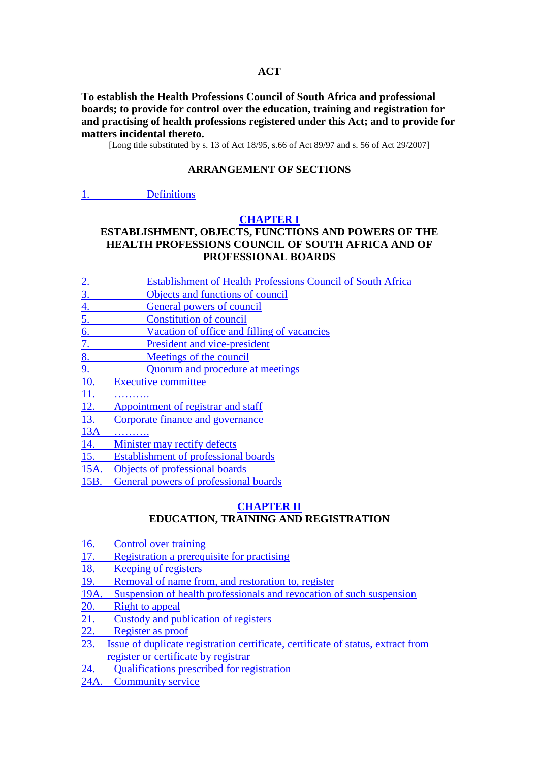### **ACT**

**To establish the Health Professions Council of South Africa and professional boards; to provide for control over the education, training and registration for and practising of health professions registered under this Act; and to provide for matters incidental thereto.**

[Long title substituted by s. 13 of Act 18/95, s.66 of Act 89/97 and s. 56 of Act 29/2007]

### **ARRANGEMENT OF SECTIONS**

#### 1. [Definitions](http://search.sabinet.co.za/netlawpdf/netlaw/HEALTH%20PROFESSIONS%20ACT.htm#section1#section1)

#### **[CHAPTER I](http://search.sabinet.co.za/netlawpdf/netlaw/HEALTH%20PROFESSIONS%20ACT.htm#chapter1#chapter1)**

### **ESTABLISHMENT, OBJECTS, FUNCTIONS AND POWERS OF THE HEALTH PROFESSIONS COUNCIL OF SOUTH AFRICA AND OF PROFESSIONAL BOARDS**

- 2. [Establishment of Health Professions Council of South Africa](http://search.sabinet.co.za/netlawpdf/netlaw/HEALTH%20PROFESSIONS%20ACT.htm#section2#section2)
- 3. [Objects and functions of council](http://search.sabinet.co.za/netlawpdf/netlaw/HEALTH%20PROFESSIONS%20ACT.htm#section3#section3)
- 4. [General powers of council](http://search.sabinet.co.za/netlawpdf/netlaw/HEALTH%20PROFESSIONS%20ACT.htm#section4#section4)
- 5. [Constitution of council](http://search.sabinet.co.za/netlawpdf/netlaw/HEALTH%20PROFESSIONS%20ACT.htm#section5#section5)
- 6. [Vacation of office and filling of vacancies](http://search.sabinet.co.za/netlawpdf/netlaw/HEALTH%20PROFESSIONS%20ACT.htm#section6#section6)
- 7. [President and vice-president](http://search.sabinet.co.za/netlawpdf/netlaw/HEALTH%20PROFESSIONS%20ACT.htm#section7#section7)
- 8. [Meetings of the council](http://search.sabinet.co.za/netlawpdf/netlaw/HEALTH%20PROFESSIONS%20ACT.htm#section8#section8)
- 9. [Quorum and procedure at meetings](http://search.sabinet.co.za/netlawpdf/netlaw/HEALTH%20PROFESSIONS%20ACT.htm#section9#section9)
- 10. [Executive committee](http://search.sabinet.co.za/netlawpdf/netlaw/HEALTH%20PROFESSIONS%20ACT.htm#section10#section10)
- 11. [……….](http://search.sabinet.co.za/netlawpdf/netlaw/HEALTH%20PROFESSIONS%20ACT.htm#section11#section11)
- 12. [Appointment of registrar and staff](http://search.sabinet.co.za/netlawpdf/netlaw/HEALTH%20PROFESSIONS%20ACT.htm#section12#section12)
- 13. [Corporate finance and governance](http://search.sabinet.co.za/netlawpdf/netlaw/HEALTH%20PROFESSIONS%20ACT.htm#section13#section13)
- 13A [……….](http://search.sabinet.co.za/netlawpdf/netlaw/HEALTH%20PROFESSIONS%20ACT.htm#section13A#section13A)
- 14. [Minister may rectify defects](http://search.sabinet.co.za/netlawpdf/netlaw/HEALTH%20PROFESSIONS%20ACT.htm#section14#section14)
- 15. [Establishment of professional boards](http://search.sabinet.co.za/netlawpdf/netlaw/HEALTH%20PROFESSIONS%20ACT.htm#section15#section15)
- 15A. [Objects of professional boards](http://search.sabinet.co.za/netlawpdf/netlaw/HEALTH%20PROFESSIONS%20ACT.htm#section15A#section15A)
- 15B. [General powers of professional boards](http://search.sabinet.co.za/netlawpdf/netlaw/HEALTH%20PROFESSIONS%20ACT.htm#section15B#section15B)

### **[CHAPTER II](http://search.sabinet.co.za/netlawpdf/netlaw/HEALTH%20PROFESSIONS%20ACT.htm#chapter2#chapter2) EDUCATION, TRAINING AND REGISTRATION**

- 16. [Control over training](http://search.sabinet.co.za/netlawpdf/netlaw/HEALTH%20PROFESSIONS%20ACT.htm#section16#section16)
- 17. [Registration a prerequisite for practising](http://search.sabinet.co.za/netlawpdf/netlaw/HEALTH%20PROFESSIONS%20ACT.htm#section17#section17)
- 18. [Keeping of registers](http://search.sabinet.co.za/netlawpdf/netlaw/HEALTH%20PROFESSIONS%20ACT.htm#section18#section18)
- 19. [Removal of name from, and restoration to, register](http://search.sabinet.co.za/netlawpdf/netlaw/HEALTH%20PROFESSIONS%20ACT.htm#section19#section19)
- 19A. [Suspension of health professionals and revocation of such suspension](http://search.sabinet.co.za/netlawpdf/netlaw/HEALTH%20PROFESSIONS%20ACT.htm#section19A#section19A)
- 20. [Right to appeal](http://search.sabinet.co.za/netlawpdf/netlaw/HEALTH%20PROFESSIONS%20ACT.htm#section20#section20)
- 21. [Custody and publication of registers](http://search.sabinet.co.za/netlawpdf/netlaw/HEALTH%20PROFESSIONS%20ACT.htm#section21#section21)
- 22. [Register as proof](http://search.sabinet.co.za/netlawpdf/netlaw/HEALTH%20PROFESSIONS%20ACT.htm#section22#section22)
- 23. [Issue of duplicate registration certificate, certificate of status, extract from](http://search.sabinet.co.za/netlawpdf/netlaw/HEALTH%20PROFESSIONS%20ACT.htm#section23#section23)  [register or certificate by registrar](http://search.sabinet.co.za/netlawpdf/netlaw/HEALTH%20PROFESSIONS%20ACT.htm#section23#section23)
- 24. [Qualifications prescribed for registration](http://search.sabinet.co.za/netlawpdf/netlaw/HEALTH%20PROFESSIONS%20ACT.htm#section24#section24)
- 24A. [Community service](http://search.sabinet.co.za/netlawpdf/netlaw/HEALTH%20PROFESSIONS%20ACT.htm#section24A#section24A)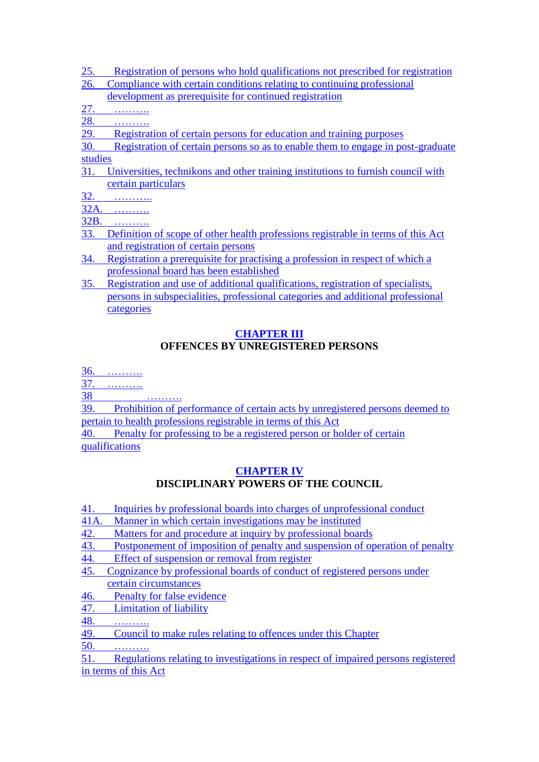- 25. [Registration of persons who hold qualifications not prescribed for registration](http://search.sabinet.co.za/netlawpdf/netlaw/HEALTH%20PROFESSIONS%20ACT.htm#section25#section25)
- 26. Compliance [with certain conditions relating to continuing professional](http://search.sabinet.co.za/netlawpdf/netlaw/HEALTH%20PROFESSIONS%20ACT.htm#section26#section26) 
	- [development as prerequisite for continued registration](http://search.sabinet.co.za/netlawpdf/netlaw/HEALTH%20PROFESSIONS%20ACT.htm#section26#section26)
- 27. [……….](http://search.sabinet.co.za/netlawpdf/netlaw/HEALTH%20PROFESSIONS%20ACT.htm#section27#section27)
- 28. [……….](http://search.sabinet.co.za/netlawpdf/netlaw/HEALTH%20PROFESSIONS%20ACT.htm#section28#section28)
- 29. Registration of certain [persons for education and training purposes](http://search.sabinet.co.za/netlawpdf/netlaw/HEALTH%20PROFESSIONS%20ACT.htm#section29#section29)
- 30. [Registration of certain persons so as to enable them to engage in post-graduate](http://search.sabinet.co.za/netlawpdf/netlaw/HEALTH%20PROFESSIONS%20ACT.htm#section30#section30)  [studies](http://search.sabinet.co.za/netlawpdf/netlaw/HEALTH%20PROFESSIONS%20ACT.htm#section30#section30)
- 31. [Universities, technikons and other training institutions to furnish council with](http://search.sabinet.co.za/netlawpdf/netlaw/HEALTH%20PROFESSIONS%20ACT.htm#section31#section31)  [certain particulars](http://search.sabinet.co.za/netlawpdf/netlaw/HEALTH%20PROFESSIONS%20ACT.htm#section31#section31)
- 32. [………..](http://search.sabinet.co.za/netlawpdf/netlaw/HEALTH%20PROFESSIONS%20ACT.htm#section32#section32)
- 32A. [……….](http://search.sabinet.co.za/netlawpdf/netlaw/HEALTH%20PROFESSIONS%20ACT.htm#section32A#section32A)
- 32B. [……….](http://search.sabinet.co.za/netlawpdf/netlaw/HEALTH%20PROFESSIONS%20ACT.htm#section32B#section32B)
- 33. [Definition of scope of other health professions registrable in terms of this Act](http://search.sabinet.co.za/netlawpdf/netlaw/HEALTH%20PROFESSIONS%20ACT.htm#section33#section33)  [and registration of certain persons](http://search.sabinet.co.za/netlawpdf/netlaw/HEALTH%20PROFESSIONS%20ACT.htm#section33#section33)
- 34. [Registration a prerequisite for practising a profession in respect of which a](http://search.sabinet.co.za/netlawpdf/netlaw/HEALTH%20PROFESSIONS%20ACT.htm#section34#section34)  [professional board has been established](http://search.sabinet.co.za/netlawpdf/netlaw/HEALTH%20PROFESSIONS%20ACT.htm#section34#section34)
- 35. [Registration and use of additional qualifications, registration of specialists,](http://search.sabinet.co.za/netlawpdf/netlaw/HEALTH%20PROFESSIONS%20ACT.htm#section35#section35)  [persons in subspecialities, professional categories and additional professional](http://search.sabinet.co.za/netlawpdf/netlaw/HEALTH%20PROFESSIONS%20ACT.htm#section35#section35)  [categories](http://search.sabinet.co.za/netlawpdf/netlaw/HEALTH%20PROFESSIONS%20ACT.htm#section35#section35)

## **[CHAPTER III](http://search.sabinet.co.za/netlawpdf/netlaw/HEALTH%20PROFESSIONS%20ACT.htm#chapter3#chapter3) OFFENCES BY UNREGISTERED PERSONS**

36. [……….](http://search.sabinet.co.za/netlawpdf/netlaw/HEALTH%20PROFESSIONS%20ACT.htm#section36#section36)

- 37. [……….](http://search.sabinet.co.za/netlawpdf/netlaw/HEALTH%20PROFESSIONS%20ACT.htm#section37#section37)
- 38 [……….](http://search.sabinet.co.za/netlawpdf/netlaw/HEALTH%20PROFESSIONS%20ACT.htm#section38#section38)

39. Prohibition [of performance of certain acts by unregistered persons deemed to](http://search.sabinet.co.za/netlawpdf/netlaw/HEALTH%20PROFESSIONS%20ACT.htm#section39#section39)  [pertain to health professions registrable in terms of this Act](http://search.sabinet.co.za/netlawpdf/netlaw/HEALTH%20PROFESSIONS%20ACT.htm#section39#section39)

40. [Penalty for professing to be a registered person or holder of certain](http://search.sabinet.co.za/netlawpdf/netlaw/HEALTH%20PROFESSIONS%20ACT.htm#section40#section40)  [qualifications](http://search.sabinet.co.za/netlawpdf/netlaw/HEALTH%20PROFESSIONS%20ACT.htm#section40#section40)

## **[CHAPTER IV](http://search.sabinet.co.za/netlawpdf/netlaw/HEALTH%20PROFESSIONS%20ACT.htm#chapter4#chapter4) DISCIPLINARY POWERS OF THE COUNCIL**

- 41. [Inquiries by professional boards into charges of unprofessional conduct](http://search.sabinet.co.za/netlawpdf/netlaw/HEALTH%20PROFESSIONS%20ACT.htm#section41#section41)
- 41A. [Manner in which certain investigations may be instituted](http://search.sabinet.co.za/netlawpdf/netlaw/HEALTH%20PROFESSIONS%20ACT.htm#section41A#section41A)
- 42. [Matters for and procedure at inquiry by professional boards](http://search.sabinet.co.za/netlawpdf/netlaw/HEALTH%20PROFESSIONS%20ACT.htm#section42#section42)
- 43. [Postponement of imposition of penalty and suspension of operation of penalty](http://search.sabinet.co.za/netlawpdf/netlaw/HEALTH%20PROFESSIONS%20ACT.htm#section43#section43)
- 44. [Effect of suspension or removal from register](http://search.sabinet.co.za/netlawpdf/netlaw/HEALTH%20PROFESSIONS%20ACT.htm#section44#section44)
- 45. [Cognizance by professional boards of conduct of registered persons under](http://search.sabinet.co.za/netlawpdf/netlaw/HEALTH%20PROFESSIONS%20ACT.htm#section45#section45)  [certain circumstances](http://search.sabinet.co.za/netlawpdf/netlaw/HEALTH%20PROFESSIONS%20ACT.htm#section45#section45)
- 46. [Penalty for false evidence](http://search.sabinet.co.za/netlawpdf/netlaw/HEALTH%20PROFESSIONS%20ACT.htm#section46#section46)
- 47. [Limitation of liability](http://search.sabinet.co.za/netlawpdf/netlaw/HEALTH%20PROFESSIONS%20ACT.htm#section47#section47)
- 48. [……….](http://search.sabinet.co.za/netlawpdf/netlaw/HEALTH%20PROFESSIONS%20ACT.htm#section48#section48)
- 49. [Council to make rules relating to offences under this Chapter](http://search.sabinet.co.za/netlawpdf/netlaw/HEALTH%20PROFESSIONS%20ACT.htm#section49#section49)

50. [……….](http://search.sabinet.co.za/netlawpdf/netlaw/HEALTH%20PROFESSIONS%20ACT.htm#section50#section50)

51. [Regulations relating to investigations in respect of impaired persons registered](http://search.sabinet.co.za/netlawpdf/netlaw/HEALTH%20PROFESSIONS%20ACT.htm#section51#section51)  [in terms of this Act](http://search.sabinet.co.za/netlawpdf/netlaw/HEALTH%20PROFESSIONS%20ACT.htm#section51#section51)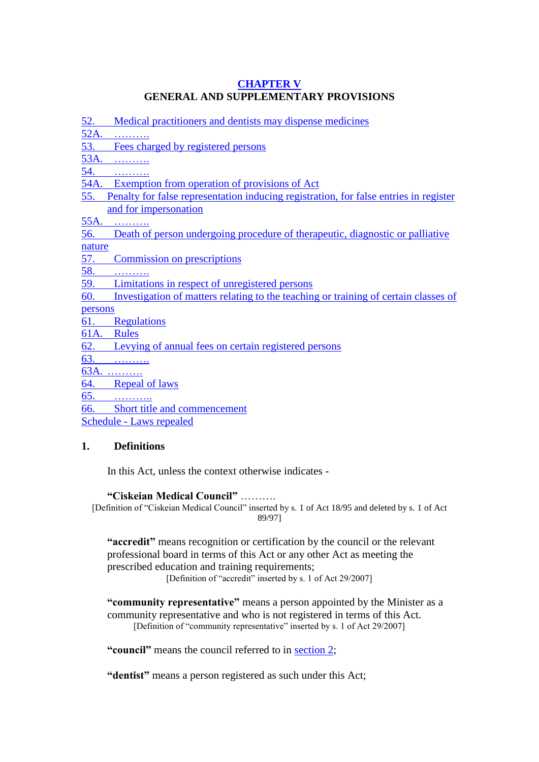## **[CHAPTER V](http://search.sabinet.co.za/netlawpdf/netlaw/HEALTH%20PROFESSIONS%20ACT.htm#chapter5#chapter5) GENERAL AND SUPPLEMENTARY PROVISIONS**

52. [Medical practitioners and dentists may dispense medicines](http://search.sabinet.co.za/netlawpdf/netlaw/HEALTH%20PROFESSIONS%20ACT.htm#section52#section52)

52A.

53. [Fees charged by registered persons](http://search.sabinet.co.za/netlawpdf/netlaw/HEALTH%20PROFESSIONS%20ACT.htm#section53#section53)

53A. [……….](http://search.sabinet.co.za/netlawpdf/netlaw/HEALTH%20PROFESSIONS%20ACT.htm#section53A#section53A)

54. [……….](http://search.sabinet.co.za/netlawpdf/netlaw/HEALTH%20PROFESSIONS%20ACT.htm#section54#section54)

- 54A. [Exemption from operation of provisions of Act](http://search.sabinet.co.za/netlawpdf/netlaw/HEALTH%20PROFESSIONS%20ACT.htm#section54A#section54A)
- 55. [Penalty for false representation inducing registration, for false entries in register](http://search.sabinet.co.za/netlawpdf/netlaw/HEALTH%20PROFESSIONS%20ACT.htm#section55#section55)  [and for impersonation](http://search.sabinet.co.za/netlawpdf/netlaw/HEALTH%20PROFESSIONS%20ACT.htm#section55#section55)

55A. [……….](http://search.sabinet.co.za/netlawpdf/netlaw/HEALTH%20PROFESSIONS%20ACT.htm#section55A#section55A)

56. [Death of person undergoing procedure of therapeutic, diagnostic or palliative](http://search.sabinet.co.za/netlawpdf/netlaw/HEALTH%20PROFESSIONS%20ACT.htm#section56#section56) 

[nature](http://search.sabinet.co.za/netlawpdf/netlaw/HEALTH%20PROFESSIONS%20ACT.htm#section56#section56)

57. [Commission on prescriptions](http://search.sabinet.co.za/netlawpdf/netlaw/HEALTH%20PROFESSIONS%20ACT.htm#section57#section57)

58. [……….](http://search.sabinet.co.za/netlawpdf/netlaw/HEALTH%20PROFESSIONS%20ACT.htm#section58#section58)

- 59. [Limitations in respect of unregistered persons](http://search.sabinet.co.za/netlawpdf/netlaw/HEALTH%20PROFESSIONS%20ACT.htm#section59#section59)
- 60. [Investigation of matters relating to the teaching or training of certain classes of](http://search.sabinet.co.za/netlawpdf/netlaw/HEALTH%20PROFESSIONS%20ACT.htm#section60#section60)

[persons](http://search.sabinet.co.za/netlawpdf/netlaw/HEALTH%20PROFESSIONS%20ACT.htm#section60#section60)

- 61. [Regulations](http://search.sabinet.co.za/netlawpdf/netlaw/HEALTH%20PROFESSIONS%20ACT.htm#section61#section61)
- 61A. [Rules](http://search.sabinet.co.za/netlawpdf/netlaw/HEALTH%20PROFESSIONS%20ACT.htm#section61A#section61A)
- 62. [Levying of annual fees on certain registered persons](http://search.sabinet.co.za/netlawpdf/netlaw/HEALTH%20PROFESSIONS%20ACT.htm#section62#section62)

63. [……….](http://search.sabinet.co.za/netlawpdf/netlaw/HEALTH%20PROFESSIONS%20ACT.htm#section63#section63)

63A. [……….](http://search.sabinet.co.za/netlawpdf/netlaw/HEALTH%20PROFESSIONS%20ACT.htm#section63A#section63A)

64. [Repeal of laws](http://search.sabinet.co.za/netlawpdf/netlaw/HEALTH%20PROFESSIONS%20ACT.htm#section64#section64)

65. [………..](http://search.sabinet.co.za/netlawpdf/netlaw/HEALTH%20PROFESSIONS%20ACT.htm#section65#section65)

66. [Short title and commencement](http://search.sabinet.co.za/netlawpdf/netlaw/HEALTH%20PROFESSIONS%20ACT.htm#section66#section66)

Schedule - [Laws repealed](http://search.sabinet.co.za/netlawpdf/netlaw/HEALTH%20PROFESSIONS%20ACT.htm#schedule#schedule)

## **1. Definitions**

In this Act, unless the context otherwise indicates -

**"Ciskeian Medical Council"** ……….

[Definition of "Ciskeian Medical Council" inserted by s. 1 of Act 18/95 and deleted by s. 1 of Act 89/97]

**"accredit"** means recognition or certification by the council or the relevant professional board in terms of this Act or any other Act as meeting the prescribed education and training requirements;

[Definition of "accredit" inserted by s. 1 of Act 29/2007]

**"community representative"** means a person appointed by the Minister as a community representative and who is not registered in terms of this Act. [Definition of "community representative" inserted by s. 1 of Act 29/2007]

**"council"** means the council referred to in [section 2;](http://search.sabinet.co.za/netlawpdf/netlaw/HEALTH%20PROFESSIONS%20ACT.htm#section2#section2)

**"dentist"** means a person registered as such under this Act;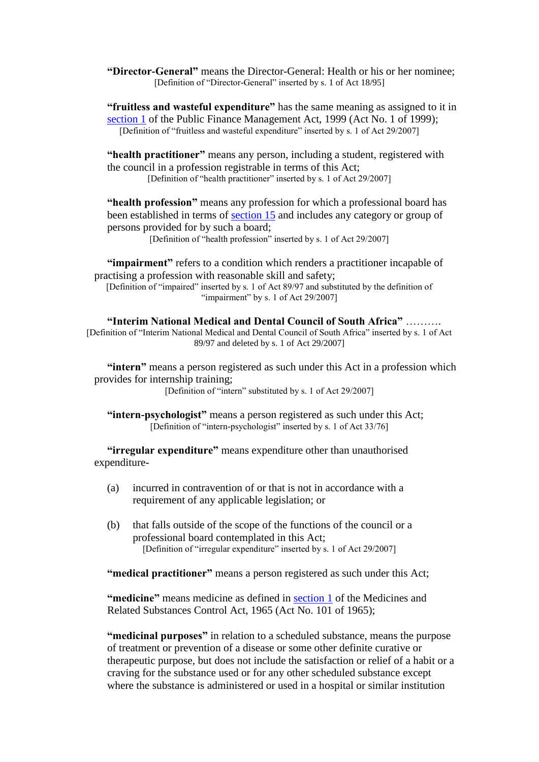**"Director-General"** means the Director-General: Health or his or her nominee; [Definition of "Director-General" inserted by s. 1 of Act 18/95]

**"fruitless and wasteful expenditure"** has the same meaning as assigned to it in [section 1](http://search.sabinet.co.za/netlawpdf/netlaw/PUBLIC%20FINANCE%20MANAGEMENT%20ACT.htm#section1) of the Public Finance Management Act, 1999 (Act No. 1 of 1999); [Definition of "fruitless and wasteful expenditure" inserted by s. 1 of Act 29/2007]

**"health practitioner"** means any person, including a student, registered with the council in a profession registrable in terms of this Act; [Definition of "health practitioner" inserted by s. 1 of Act 29/2007]

**"health profession"** means any profession for which a professional board has been established in terms of [section 15](http://search.sabinet.co.za/netlawpdf/netlaw/HEALTH%20PROFESSIONS%20ACT.htm#section15) and includes any category or group of persons provided for by such a board;

[Definition of "health profession" inserted by s. 1 of Act 29/2007]

**"impairment"** refers to a condition which renders a practitioner incapable of practising a profession with reasonable skill and safety; [Definition of "impaired" inserted by s. 1 of Act 89/97 and substituted by the definition of "impairment" by s. 1 of Act 29/2007]

**"Interim National Medical and Dental Council of South Africa"** ………. [Definition of "Interim National Medical and Dental Council of South Africa" inserted by s. 1 of Act 89/97 and deleted by s. 1 of Act 29/2007]

**"intern"** means a person registered as such under this Act in a profession which provides for internship training;

[Definition of "intern" substituted by s. 1 of Act 29/2007]

**"intern-psychologist"** means a person registered as such under this Act; [Definition of "intern-psychologist" inserted by s. 1 of Act 33/76]

**"irregular expenditure"** means expenditure other than unauthorised expenditure-

- (a) incurred in contravention of or that is not in accordance with a requirement of any applicable legislation; or
- (b) that falls outside of the scope of the functions of the council or a professional board contemplated in this Act; [Definition of "irregular expenditure" inserted by s. 1 of Act 29/2007]

**"medical practitioner"** means a person registered as such under this Act;

**"medicine"** means medicine as defined in [section 1](http://search.sabinet.co.za/netlawpdf/netlaw/MEDICINES%20AND%20RELATED%20SUBSTANCES%20CONTROL%20ACT.htm#section1) of the Medicines and Related Substances Control Act, 1965 (Act No. 101 of 1965);

**"medicinal purposes"** in relation to a scheduled substance, means the purpose of treatment or prevention of a disease or some other definite curative or therapeutic purpose, but does not include the satisfaction or relief of a habit or a craving for the substance used or for any other scheduled substance except where the substance is administered or used in a hospital or similar institution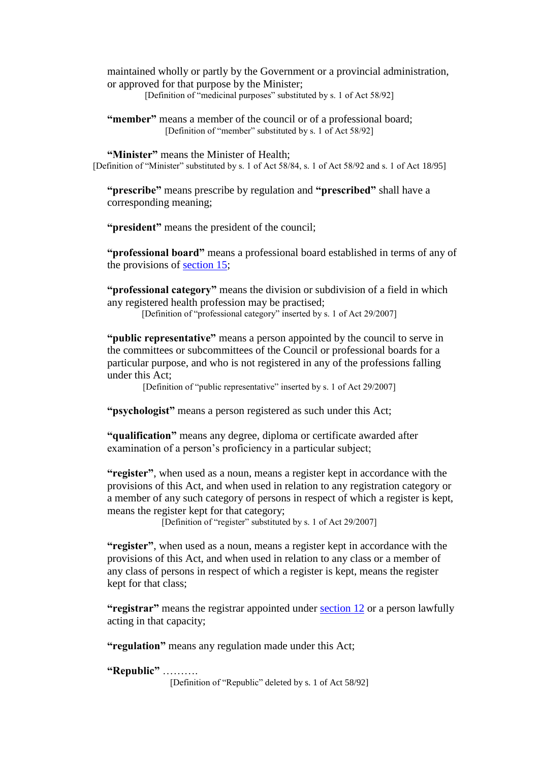maintained wholly or partly by the Government or a provincial administration, or approved for that purpose by the Minister;

[Definition of "medicinal purposes" substituted by s. 1 of Act 58/92]

**"member"** means a member of the council or of a professional board; [Definition of "member" substituted by s. 1 of Act 58/92]

**"Minister"** means the Minister of Health;

[Definition of "Minister" substituted by s. 1 of Act 58/84, s. 1 of Act 58/92 and s. 1 of Act 18/95]

**"prescribe"** means prescribe by regulation and **"prescribed"** shall have a corresponding meaning;

**"president"** means the president of the council;

**"professional board"** means a professional board established in terms of any of the provisions of [section 15;](http://search.sabinet.co.za/netlawpdf/netlaw/HEALTH%20PROFESSIONS%20ACT.htm#section15#section15)

**"professional category"** means the division or subdivision of a field in which any registered health profession may be practised;

[Definition of "professional category" inserted by s. 1 of Act 29/2007]

**"public representative"** means a person appointed by the council to serve in the committees or subcommittees of the Council or professional boards for a particular purpose, and who is not registered in any of the professions falling under this Act;

[Definition of "public representative" inserted by s. 1 of Act 29/2007]

**"psychologist"** means a person registered as such under this Act;

**"qualification"** means any degree, diploma or certificate awarded after examination of a person's proficiency in a particular subject;

**"register"**, when used as a noun, means a register kept in accordance with the provisions of this Act, and when used in relation to any registration category or a member of any such category of persons in respect of which a register is kept, means the register kept for that category;

[Definition of "register" substituted by s. 1 of Act 29/2007]

**"register"**, when used as a noun, means a register kept in accordance with the provisions of this Act, and when used in relation to any class or a member of any class of persons in respect of which a register is kept, means the register kept for that class;

**"registrar"** means the registrar appointed under [section 12](http://search.sabinet.co.za/netlawpdf/netlaw/HEALTH%20PROFESSIONS%20ACT.htm#section12#section12) or a person lawfully acting in that capacity;

**"regulation"** means any regulation made under this Act;

**"Republic"** ……….

[Definition of "Republic" deleted by s. 1 of Act 58/92]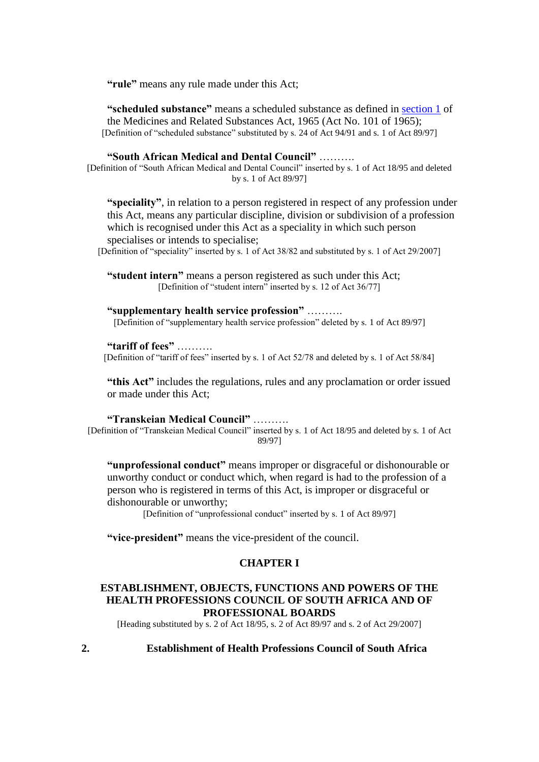**"rule"** means any rule made under this Act;

**"scheduled substance"** means a scheduled substance as defined in [section 1](http://search.sabinet.co.za/netlawpdf/netlaw/MEDICINES%20AND%20RELATED%20SUBSTANCES%20CONTROL%20ACT.htm#section1) of the Medicines and Related Substances Act, 1965 (Act No. 101 of 1965); [Definition of "scheduled substance" substituted by s. 24 of Act 94/91 and s. 1 of Act 89/97]

### **"South African Medical and Dental Council"** ……….

[Definition of "South African Medical and Dental Council" inserted by s. 1 of Act 18/95 and deleted by s. 1 of Act 89/97]

**"speciality"**, in relation to a person registered in respect of any profession under this Act, means any particular discipline, division or subdivision of a profession which is recognised under this Act as a speciality in which such person specialises or intends to specialise;

[Definition of "speciality" inserted by s. 1 of Act 38/82 and substituted by s. 1 of Act 29/2007]

**"student intern"** means a person registered as such under this Act; [Definition of "student intern" inserted by s. 12 of Act 36/77]

**"supplementary health service profession"** ………. [Definition of "supplementary health service profession" deleted by s. 1 of Act 89/97]

#### **"tariff of fees"** ……….

[Definition of "tariff of fees" inserted by s. 1 of Act 52/78 and deleted by s. 1 of Act 58/84]

**"this Act"** includes the regulations, rules and any proclamation or order issued or made under this Act;

**"Transkeian Medical Council"** ………. [Definition of "Transkeian Medical Council" inserted by s. 1 of Act 18/95 and deleted by s. 1 of Act 89/97]

**"unprofessional conduct"** means improper or disgraceful or dishonourable or unworthy conduct or conduct which, when regard is had to the profession of a person who is registered in terms of this Act, is improper or disgraceful or dishonourable or unworthy;

[Definition of "unprofessional conduct" inserted by s. 1 of Act 89/97]

**"vice-president"** means the vice-president of the council.

#### **CHAPTER I**

### **ESTABLISHMENT, OBJECTS, FUNCTIONS AND POWERS OF THE HEALTH PROFESSIONS COUNCIL OF SOUTH AFRICA AND OF PROFESSIONAL BOARDS**

[Heading substituted by s. 2 of Act 18/95, s. 2 of Act 89/97 and s. 2 of Act 29/2007]

**2. Establishment of Health Professions Council of South Africa**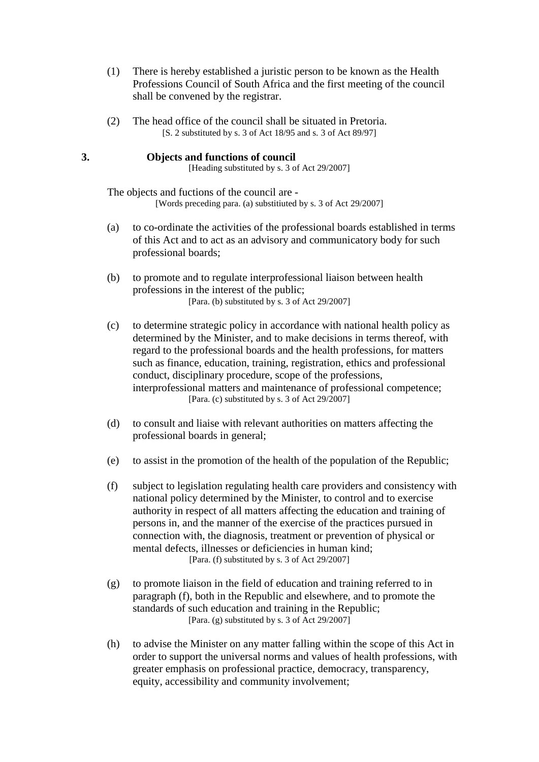- (1) There is hereby established a juristic person to be known as the Health Professions Council of South Africa and the first meeting of the council shall be convened by the registrar.
- (2) The head office of the council shall be situated in Pretoria. [S. 2 substituted by s. 3 of Act 18/95 and s. 3 of Act 89/97]

## **3. Objects and functions of council**

[Heading substituted by s. 3 of Act 29/2007]

The objects and fuctions of the council are - [Words preceding para. (a) substitiuted by s. 3 of Act 29/2007]

- (a) to co-ordinate the activities of the professional boards established in terms of this Act and to act as an advisory and communicatory body for such professional boards;
- (b) to promote and to regulate interprofessional liaison between health professions in the interest of the public; [Para. (b) substituted by s. 3 of Act 29/2007]
- (c) to determine strategic policy in accordance with national health policy as determined by the Minister, and to make decisions in terms thereof, with regard to the professional boards and the health professions, for matters such as finance, education, training, registration, ethics and professional conduct, disciplinary procedure, scope of the professions, interprofessional matters and maintenance of professional competence; [Para. (c) substituted by s. 3 of Act 29/2007]
- (d) to consult and liaise with relevant authorities on matters affecting the professional boards in general;
- (e) to assist in the promotion of the health of the population of the Republic;
- (f) subject to legislation regulating health care providers and consistency with national policy determined by the Minister, to control and to exercise authority in respect of all matters affecting the education and training of persons in, and the manner of the exercise of the practices pursued in connection with, the diagnosis, treatment or prevention of physical or mental defects, illnesses or deficiencies in human kind; [Para. (f) substituted by s. 3 of Act 29/2007]
- (g) to promote liaison in the field of education and training referred to in paragraph (f), both in the Republic and elsewhere, and to promote the standards of such education and training in the Republic; [Para. (g) substituted by s. 3 of Act  $29/2007$ ]
- (h) to advise the Minister on any matter falling within the scope of this Act in order to support the universal norms and values of health professions, with greater emphasis on professional practice, democracy, transparency, equity, accessibility and community involvement: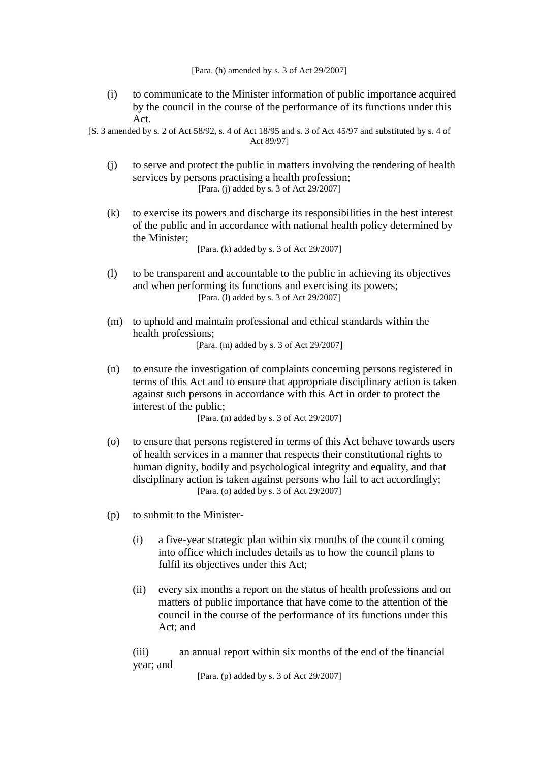[Para. (h) amended by s. 3 of Act 29/2007]

- (i) to communicate to the Minister information of public importance acquired by the council in the course of the performance of its functions under this Act.
- [S. 3 amended by s. 2 of Act 58/92, s. 4 of Act 18/95 and s. 3 of Act 45/97 and substituted by s. 4 of Act 89/97]
	- (j) to serve and protect the public in matters involving the rendering of health services by persons practising a health profession; [Para. (j) added by s. 3 of Act 29/2007]
	- (k) to exercise its powers and discharge its responsibilities in the best interest of the public and in accordance with national health policy determined by the Minister;

[Para. (k) added by s. 3 of Act 29/2007]

- (l) to be transparent and accountable to the public in achieving its objectives and when performing its functions and exercising its powers; [Para. (1) added by s. 3 of Act 29/2007]
- (m) to uphold and maintain professional and ethical standards within the health professions; [Para. (m) added by s. 3 of Act 29/2007]
- (n) to ensure the investigation of complaints concerning persons registered in terms of this Act and to ensure that appropriate disciplinary action is taken against such persons in accordance with this Act in order to protect the interest of the public;

[Para. (n) added by s. 3 of Act 29/2007]

- (o) to ensure that persons registered in terms of this Act behave towards users of health services in a manner that respects their constitutional rights to human dignity, bodily and psychological integrity and equality, and that disciplinary action is taken against persons who fail to act accordingly; [Para. (o) added by s. 3 of Act 29/2007]
- (p) to submit to the Minister-
	- (i) a five-year strategic plan within six months of the council coming into office which includes details as to how the council plans to fulfil its objectives under this Act;
	- (ii) every six months a report on the status of health professions and on matters of public importance that have come to the attention of the council in the course of the performance of its functions under this Act; and

(iii) an annual report within six months of the end of the financial year; and

[Para. (p) added by s. 3 of Act 29/2007]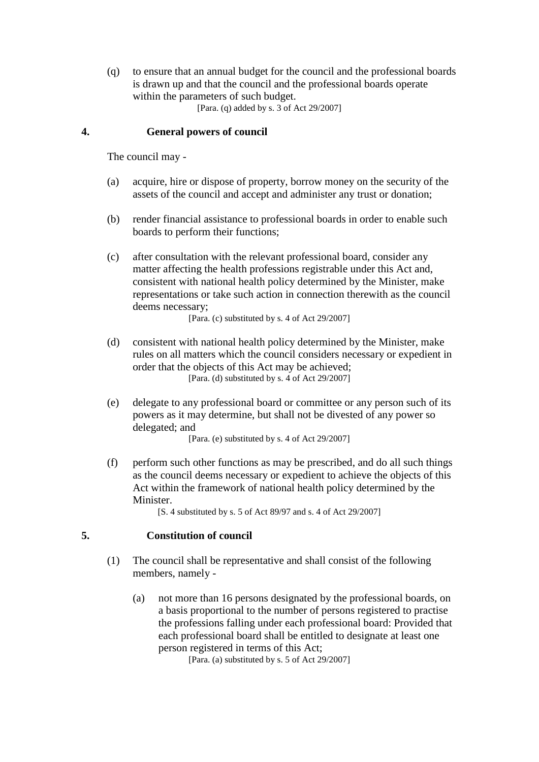(q) to ensure that an annual budget for the council and the professional boards is drawn up and that the council and the professional boards operate within the parameters of such budget. [Para. (q) added by s. 3 of Act 29/2007]

### **4. General powers of council**

The council may -

- (a) acquire, hire or dispose of property, borrow money on the security of the assets of the council and accept and administer any trust or donation;
- (b) render financial assistance to professional boards in order to enable such boards to perform their functions;
- (c) after consultation with the relevant professional board, consider any matter affecting the health professions registrable under this Act and, consistent with national health policy determined by the Minister, make representations or take such action in connection therewith as the council deems necessary;

[Para. (c) substituted by s. 4 of Act 29/2007]

- (d) consistent with national health policy determined by the Minister, make rules on all matters which the council considers necessary or expedient in order that the objects of this Act may be achieved; [Para. (d) substituted by s. 4 of Act 29/2007]
- (e) delegate to any professional board or committee or any person such of its powers as it may determine, but shall not be divested of any power so delegated; and

[Para. (e) substituted by s. 4 of Act 29/2007]

(f) perform such other functions as may be prescribed, and do all such things as the council deems necessary or expedient to achieve the objects of this Act within the framework of national health policy determined by the Minister.

[S. 4 substituted by s. 5 of Act 89/97 and s. 4 of Act 29/2007]

### **5. Constitution of council**

- (1) The council shall be representative and shall consist of the following members, namely -
	- (a) not more than 16 persons designated by the professional boards, on a basis proportional to the number of persons registered to practise the professions falling under each professional board: Provided that each professional board shall be entitled to designate at least one person registered in terms of this Act;

[Para. (a) substituted by s. 5 of Act 29/2007]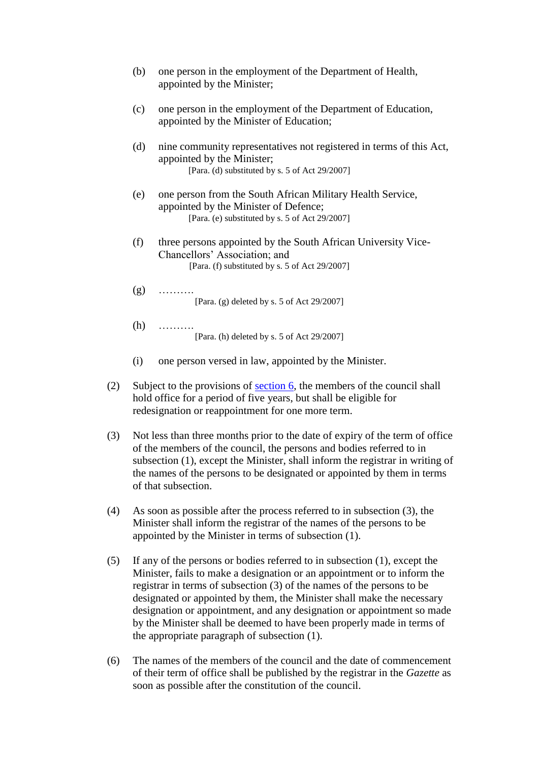| (b) | one person in the employment of the Department of Health,<br>appointed by the Minister;                                                               |
|-----|-------------------------------------------------------------------------------------------------------------------------------------------------------|
| (c) | one person in the employment of the Department of Education,<br>appointed by the Minister of Education;                                               |
| (d) | nine community representatives not registered in terms of this Act,<br>appointed by the Minister;<br>[Para. (d) substituted by s. 5 of Act 29/2007]   |
| (e) | one person from the South African Military Health Service,<br>appointed by the Minister of Defence;<br>[Para. (e) substituted by s. 5 of Act 29/2007] |
| (f) | three persons appointed by the South African University Vice-<br>Chancellors' Association; and<br>[Para. (f) substituted by s. 5 of Act 29/2007]      |
| (g) | [Para. (g) deleted by s. 5 of Act 29/2007]                                                                                                            |
| (h) | [Para. (h) deleted by s. 5 of Act 29/2007]                                                                                                            |
| (i) | one person versed in law, appointed by the Minister.                                                                                                  |

- (2) Subject to the provisions of [section 6,](http://search.sabinet.co.za/netlawpdf/netlaw/HEALTH%20PROFESSIONS%20ACT.htm#section6#section6) the members of the council shall hold office for a period of five years, but shall be eligible for redesignation or reappointment for one more term.
- (3) Not less than three months prior to the date of expiry of the term of office of the members of the council, the persons and bodies referred to in subsection (1), except the Minister, shall inform the registrar in writing of the names of the persons to be designated or appointed by them in terms of that subsection.
- (4) As soon as possible after the process referred to in subsection (3), the Minister shall inform the registrar of the names of the persons to be appointed by the Minister in terms of subsection (1).
- (5) If any of the persons or bodies referred to in subsection (1), except the Minister, fails to make a designation or an appointment or to inform the registrar in terms of subsection (3) of the names of the persons to be designated or appointed by them, the Minister shall make the necessary designation or appointment, and any designation or appointment so made by the Minister shall be deemed to have been properly made in terms of the appropriate paragraph of subsection (1).
- (6) The names of the members of the council and the date of commencement of their term of office shall be published by the registrar in the *Gazette* as soon as possible after the constitution of the council.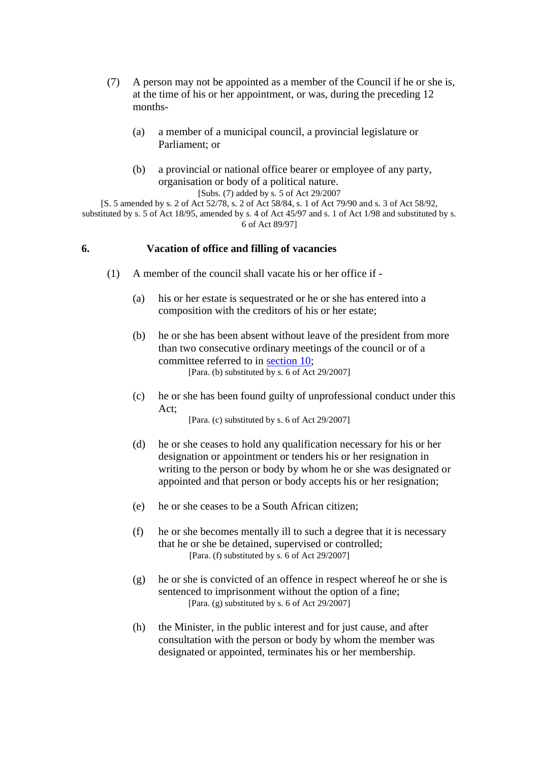- (7) A person may not be appointed as a member of the Council if he or she is, at the time of his or her appointment, or was, during the preceding 12 months-
	- (a) a member of a municipal council, a provincial legislature or Parliament; or
	- (b) a provincial or national office bearer or employee of any party, organisation or body of a political nature. [Subs. (7) added by s. 5 of Act 29/2007

[S. 5 amended by s. 2 of Act 52/78, s. 2 of Act 58/84, s. 1 of Act 79/90 and s. 3 of Act 58/92, substituted by s. 5 of Act 18/95, amended by s. 4 of Act 45/97 and s. 1 of Act 1/98 and substituted by s.

6 of Act 89/97]

## **6. Vacation of office and filling of vacancies**

- (1) A member of the council shall vacate his or her office if
	- (a) his or her estate is sequestrated or he or she has entered into a composition with the creditors of his or her estate;
	- (b) he or she has been absent without leave of the president from more than two consecutive ordinary meetings of the council or of a committee referred to in [section 10;](http://search.sabinet.co.za/netlawpdf/netlaw/HEALTH%20PROFESSIONS%20ACT.htm#section10) [Para. (b) substituted by s. 6 of Act 29/2007]
	- (c) he or she has been found guilty of unprofessional conduct under this Act;

[Para. (c) substituted by s. 6 of Act 29/2007]

- (d) he or she ceases to hold any qualification necessary for his or her designation or appointment or tenders his or her resignation in writing to the person or body by whom he or she was designated or appointed and that person or body accepts his or her resignation;
- (e) he or she ceases to be a South African citizen;
- (f) he or she becomes mentally ill to such a degree that it is necessary that he or she be detained, supervised or controlled; [Para. (f) substituted by s. 6 of Act 29/2007]
- (g) he or she is convicted of an offence in respect whereof he or she is sentenced to imprisonment without the option of a fine; [Para. (g) substituted by s. 6 of Act  $29/2007$ ]
- (h) the Minister, in the public interest and for just cause, and after consultation with the person or body by whom the member was designated or appointed, terminates his or her membership.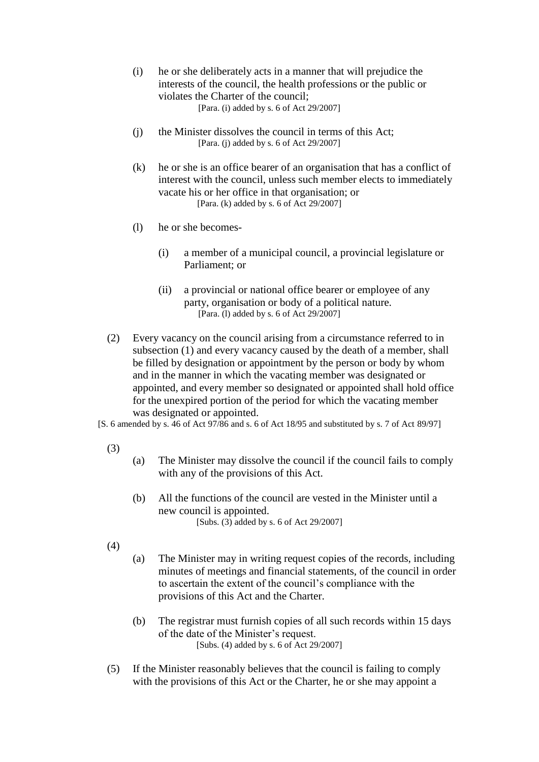- (i) he or she deliberately acts in a manner that will prejudice the interests of the council, the health professions or the public or violates the Charter of the council; [Para. (i) added by s. 6 of Act 29/2007]
- (j) the Minister dissolves the council in terms of this Act; [Para. (j) added by s. 6 of Act 29/2007]
- (k) he or she is an office bearer of an organisation that has a conflict of interest with the council, unless such member elects to immediately vacate his or her office in that organisation; or [Para. (k) added by s. 6 of Act 29/2007]
- (l) he or she becomes-
	- (i) a member of a municipal council, a provincial legislature or Parliament; or
	- (ii) a provincial or national office bearer or employee of any party, organisation or body of a political nature. [Para. (l) added by s. 6 of Act 29/2007]
- (2) Every vacancy on the council arising from a circumstance referred to in subsection (1) and every vacancy caused by the death of a member, shall be filled by designation or appointment by the person or body by whom and in the manner in which the vacating member was designated or appointed, and every member so designated or appointed shall hold office for the unexpired portion of the period for which the vacating member was designated or appointed.

[S. 6 amended by s. 46 of Act 97/86 and s. 6 of Act 18/95 and substituted by s. 7 of Act 89/97]

- (3)
- (a) The Minister may dissolve the council if the council fails to comply with any of the provisions of this Act.
- (b) All the functions of the council are vested in the Minister until a new council is appointed. [Subs. (3) added by s. 6 of Act 29/2007]
- (4)
- (a) The Minister may in writing request copies of the records, including minutes of meetings and financial statements, of the council in order to ascertain the extent of the council's compliance with the provisions of this Act and the Charter.
- (b) The registrar must furnish copies of all such records within 15 days of the date of the Minister's request. [Subs. (4) added by s. 6 of Act 29/2007]
- (5) If the Minister reasonably believes that the council is failing to comply with the provisions of this Act or the Charter, he or she may appoint a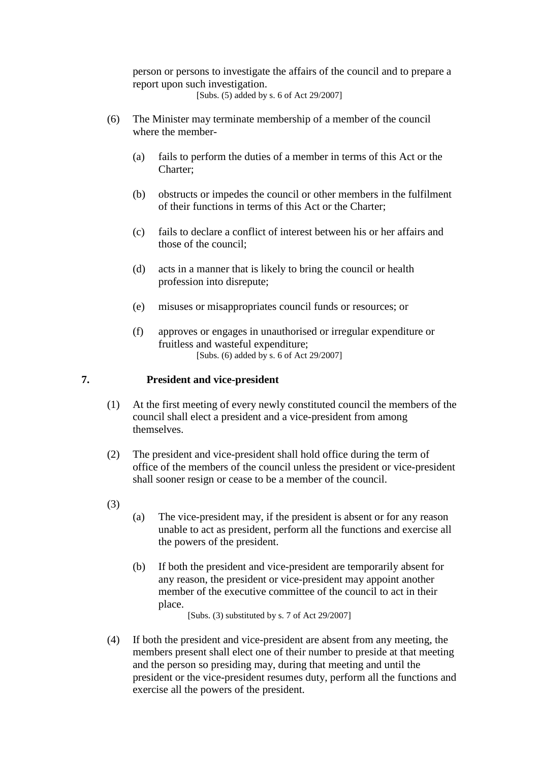person or persons to investigate the affairs of the council and to prepare a report upon such investigation.

[Subs. (5) added by s. 6 of Act 29/2007]

- (6) The Minister may terminate membership of a member of the council where the member-
	- (a) fails to perform the duties of a member in terms of this Act or the Charter;
	- (b) obstructs or impedes the council or other members in the fulfilment of their functions in terms of this Act or the Charter;
	- (c) fails to declare a conflict of interest between his or her affairs and those of the council;
	- (d) acts in a manner that is likely to bring the council or health profession into disrepute;
	- (e) misuses or misappropriates council funds or resources; or
	- (f) approves or engages in unauthorised or irregular expenditure or fruitless and wasteful expenditure; [Subs. (6) added by s. 6 of Act 29/2007]

### **7. President and vice-president**

- (1) At the first meeting of every newly constituted council the members of the council shall elect a president and a vice-president from among themselves.
- (2) The president and vice-president shall hold office during the term of office of the members of the council unless the president or vice-president shall sooner resign or cease to be a member of the council.
- (3)
- (a) The vice-president may, if the president is absent or for any reason unable to act as president, perform all the functions and exercise all the powers of the president.
- (b) If both the president and vice-president are temporarily absent for any reason, the president or vice-president may appoint another member of the executive committee of the council to act in their place.

[Subs. (3) substituted by s. 7 of Act 29/2007]

(4) If both the president and vice-president are absent from any meeting, the members present shall elect one of their number to preside at that meeting and the person so presiding may, during that meeting and until the president or the vice-president resumes duty, perform all the functions and exercise all the powers of the president.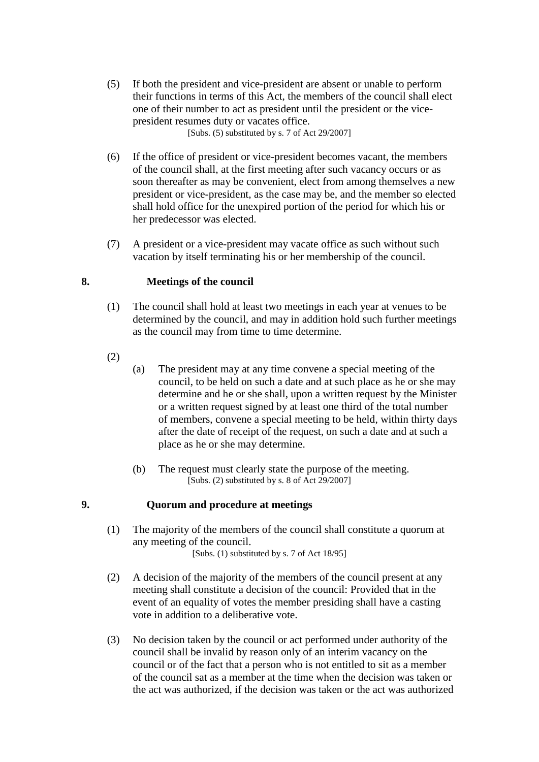- (5) If both the president and vice-president are absent or unable to perform their functions in terms of this Act, the members of the council shall elect one of their number to act as president until the president or the vicepresident resumes duty or vacates office. [Subs. (5) substituted by s. 7 of Act 29/2007]
- (6) If the office of president or vice-president becomes vacant, the members of the council shall, at the first meeting after such vacancy occurs or as soon thereafter as may be convenient, elect from among themselves a new president or vice-president, as the case may be, and the member so elected shall hold office for the unexpired portion of the period for which his or her predecessor was elected.
- (7) A president or a vice-president may vacate office as such without such vacation by itself terminating his or her membership of the council.

## **8. Meetings of the council**

- (1) The council shall hold at least two meetings in each year at venues to be determined by the council, and may in addition hold such further meetings as the council may from time to time determine.
- (2)
- (a) The president may at any time convene a special meeting of the council, to be held on such a date and at such place as he or she may determine and he or she shall, upon a written request by the Minister or a written request signed by at least one third of the total number of members, convene a special meeting to be held, within thirty days after the date of receipt of the request, on such a date and at such a place as he or she may determine.
- (b) The request must clearly state the purpose of the meeting. [Subs. (2) substituted by s. 8 of Act 29/2007]

### **9. Quorum and procedure at meetings**

- (1) The majority of the members of the council shall constitute a quorum at any meeting of the council. [Subs. (1) substituted by s. 7 of Act 18/95]
- (2) A decision of the majority of the members of the council present at any meeting shall constitute a decision of the council: Provided that in the event of an equality of votes the member presiding shall have a casting vote in addition to a deliberative vote.
- (3) No decision taken by the council or act performed under authority of the council shall be invalid by reason only of an interim vacancy on the council or of the fact that a person who is not entitled to sit as a member of the council sat as a member at the time when the decision was taken or the act was authorized, if the decision was taken or the act was authorized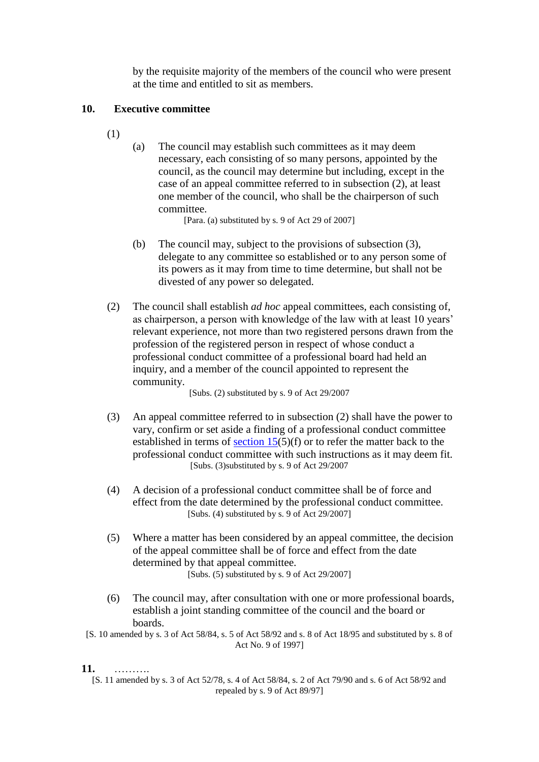by the requisite majority of the members of the council who were present at the time and entitled to sit as members.

## **10. Executive committee**

- (1)
- (a) The council may establish such committees as it may deem necessary, each consisting of so many persons, appointed by the council, as the council may determine but including, except in the case of an appeal committee referred to in subsection (2), at least one member of the council, who shall be the chairperson of such committee.

[Para. (a) substituted by s. 9 of Act 29 of 2007]

- (b) The council may, subject to the provisions of subsection (3), delegate to any committee so established or to any person some of its powers as it may from time to time determine, but shall not be divested of any power so delegated.
- (2) The council shall establish *ad hoc* appeal committees, each consisting of, as chairperson, a person with knowledge of the law with at least 10 years' relevant experience, not more than two registered persons drawn from the profession of the registered person in respect of whose conduct a professional conduct committee of a professional board had held an inquiry, and a member of the council appointed to represent the community.

[Subs. (2) substituted by s. 9 of Act 29/2007

- (3) An appeal committee referred to in subsection (2) shall have the power to vary, confirm or set aside a finding of a professional conduct committee established in terms of section  $15(5)(f)$  or to refer the matter back to the professional conduct committee with such instructions as it may deem fit. [Subs. (3)substituted by s. 9 of Act 29/2007
- (4) A decision of a professional conduct committee shall be of force and effect from the date determined by the professional conduct committee. [Subs. (4) substituted by s. 9 of Act 29/2007]
- (5) Where a matter has been considered by an appeal committee, the decision of the appeal committee shall be of force and effect from the date determined by that appeal committee. [Subs. (5) substituted by s. 9 of Act 29/2007]
- (6) The council may, after consultation with one or more professional boards, establish a joint standing committee of the council and the board or boards.
- [S. 10 amended by s. 3 of Act 58/84, s. 5 of Act 58/92 and s. 8 of Act 18/95 and substituted by s. 8 of Act No. 9 of 1997]

### **11.** ……….

[S. 11 amended by s. 3 of Act 52/78, s. 4 of Act 58/84, s. 2 of Act 79/90 and s. 6 of Act 58/92 and repealed by s. 9 of Act 89/97]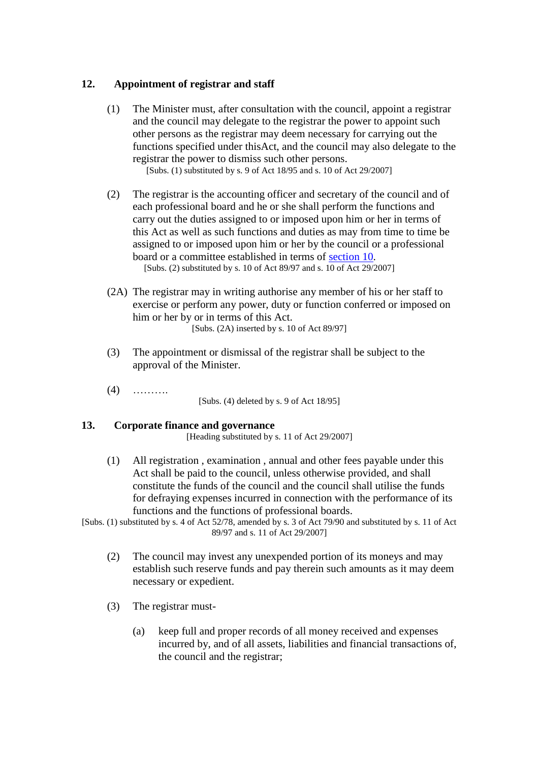## **12. Appointment of registrar and staff**

(1) The Minister must, after consultation with the council, appoint a registrar and the council may delegate to the registrar the power to appoint such other persons as the registrar may deem necessary for carrying out the functions specified under thisAct, and the council may also delegate to the registrar the power to dismiss such other persons.

[Subs. (1) substituted by s. 9 of Act 18/95 and s. 10 of Act 29/2007]

- (2) The registrar is the accounting officer and secretary of the council and of each professional board and he or she shall perform the functions and carry out the duties assigned to or imposed upon him or her in terms of this Act as well as such functions and duties as may from time to time be assigned to or imposed upon him or her by the council or a professional board or a committee established in terms of [section 10.](http://search.sabinet.co.za/netlawpdf/netlaw/HEALTH%20PROFESSIONS%20ACT.htm#section10#section10) [Subs. (2) substituted by s. 10 of Act 89/97 and s. 10 of Act 29/2007]
- (2A) The registrar may in writing authorise any member of his or her staff to exercise or perform any power, duty or function conferred or imposed on him or her by or in terms of this Act. [Subs. (2A) inserted by s. 10 of Act 89/97]
- (3) The appointment or dismissal of the registrar shall be subject to the approval of the Minister.
- (4) ……….

[Subs. (4) deleted by s. 9 of Act 18/95]

### **13. Corporate finance and governance**

[Heading substituted by s. 11 of Act 29/2007]

(1) All registration , examination , annual and other fees payable under this Act shall be paid to the council, unless otherwise provided, and shall constitute the funds of the council and the council shall utilise the funds for defraying expenses incurred in connection with the performance of its functions and the functions of professional boards.

[Subs. (1) substituted by s. 4 of Act 52/78, amended by s. 3 of Act 79/90 and substituted by s. 11 of Act 89/97 and s. 11 of Act 29/2007]

- (2) The council may invest any unexpended portion of its moneys and may establish such reserve funds and pay therein such amounts as it may deem necessary or expedient.
- (3) The registrar must-
	- (a) keep full and proper records of all money received and expenses incurred by, and of all assets, liabilities and financial transactions of, the council and the registrar;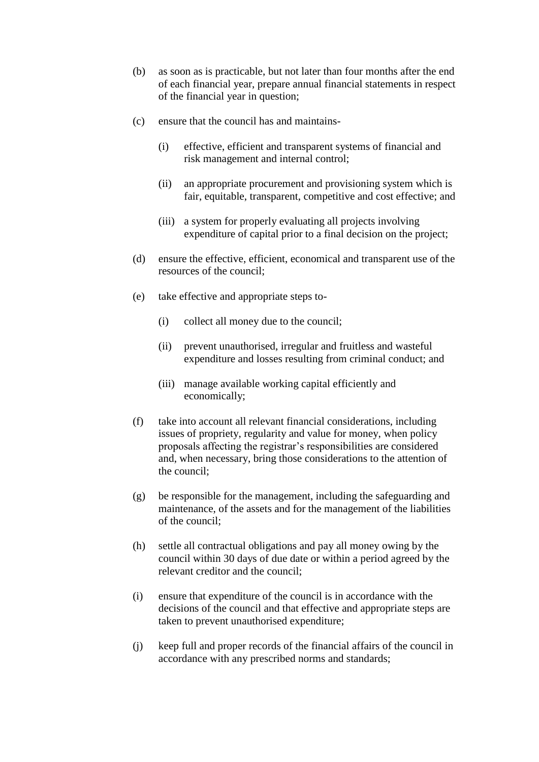- (b) as soon as is practicable, but not later than four months after the end of each financial year, prepare annual financial statements in respect of the financial year in question;
- (c) ensure that the council has and maintains-
	- (i) effective, efficient and transparent systems of financial and risk management and internal control;
	- (ii) an appropriate procurement and provisioning system which is fair, equitable, transparent, competitive and cost effective; and
	- (iii) a system for properly evaluating all projects involving expenditure of capital prior to a final decision on the project;
- (d) ensure the effective, efficient, economical and transparent use of the resources of the council;
- (e) take effective and appropriate steps to-
	- (i) collect all money due to the council;
	- (ii) prevent unauthorised, irregular and fruitless and wasteful expenditure and losses resulting from criminal conduct; and
	- (iii) manage available working capital efficiently and economically;
- (f) take into account all relevant financial considerations, including issues of propriety, regularity and value for money, when policy proposals affecting the registrar's responsibilities are considered and, when necessary, bring those considerations to the attention of the council;
- (g) be responsible for the management, including the safeguarding and maintenance, of the assets and for the management of the liabilities of the council;
- (h) settle all contractual obligations and pay all money owing by the council within 30 days of due date or within a period agreed by the relevant creditor and the council;
- (i) ensure that expenditure of the council is in accordance with the decisions of the council and that effective and appropriate steps are taken to prevent unauthorised expenditure;
- (j) keep full and proper records of the financial affairs of the council in accordance with any prescribed norms and standards;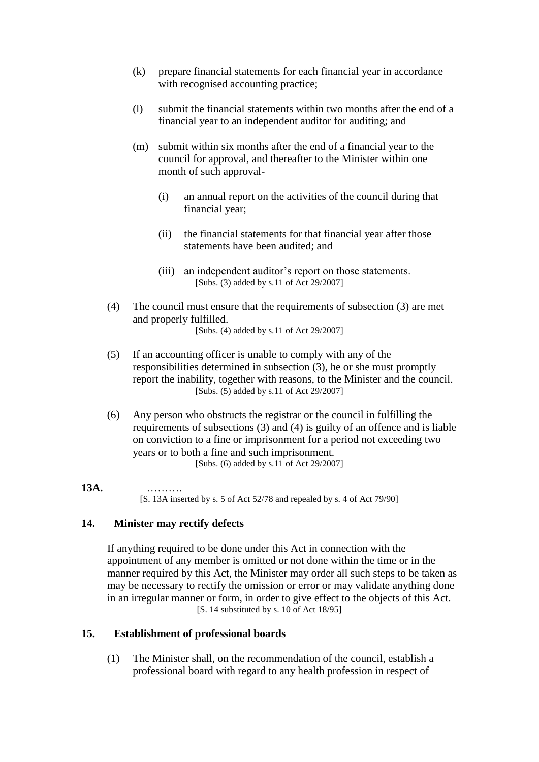- (k) prepare financial statements for each financial year in accordance with recognised accounting practice;
- (l) submit the financial statements within two months after the end of a financial year to an independent auditor for auditing; and
- (m) submit within six months after the end of a financial year to the council for approval, and thereafter to the Minister within one month of such approval-
	- (i) an annual report on the activities of the council during that financial year;
	- (ii) the financial statements for that financial year after those statements have been audited; and
	- (iii) an independent auditor's report on those statements. [Subs. (3) added by s.11 of Act 29/2007]
- (4) The council must ensure that the requirements of subsection (3) are met and properly fulfilled. [Subs. (4) added by s.11 of Act 29/2007]
- (5) If an accounting officer is unable to comply with any of the responsibilities determined in subsection (3), he or she must promptly report the inability, together with reasons, to the Minister and the council. [Subs. (5) added by s.11 of Act 29/2007]
- (6) Any person who obstructs the registrar or the council in fulfilling the requirements of subsections (3) and (4) is guilty of an offence and is liable on conviction to a fine or imprisonment for a period not exceeding two years or to both a fine and such imprisonment.

[Subs. (6) added by s.11 of Act 29/2007]

### **13A.** ……….

[S. 13A inserted by s. 5 of Act 52/78 and repealed by s. 4 of Act 79/90]

### **14. Minister may rectify defects**

If anything required to be done under this Act in connection with the appointment of any member is omitted or not done within the time or in the manner required by this Act, the Minister may order all such steps to be taken as may be necessary to rectify the omission or error or may validate anything done in an irregular manner or form, in order to give effect to the objects of this Act. [S. 14 substituted by s. 10 of Act 18/95]

### **15. Establishment of professional boards**

(1) The Minister shall, on the recommendation of the council, establish a professional board with regard to any health profession in respect of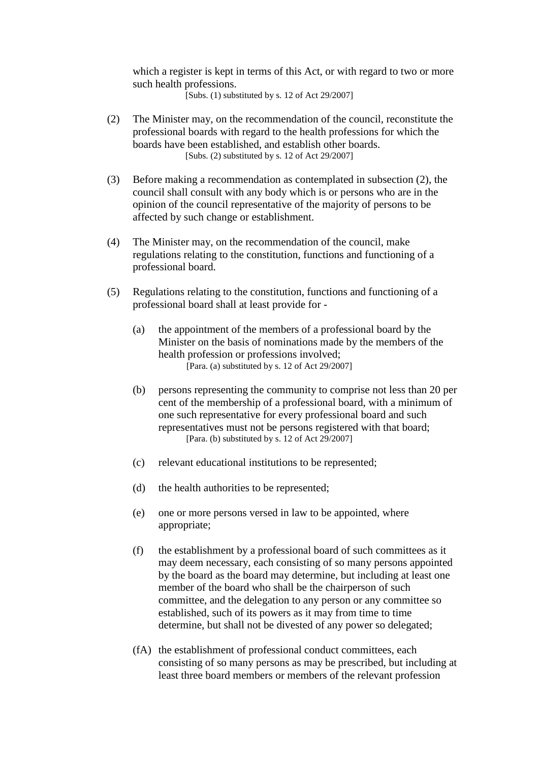which a register is kept in terms of this Act, or with regard to two or more such health professions.

[Subs.  $(1)$  substituted by s. 12 of Act 29/2007]

- (2) The Minister may, on the recommendation of the council, reconstitute the professional boards with regard to the health professions for which the boards have been established, and establish other boards. [Subs. (2) substituted by s. 12 of Act 29/2007]
- (3) Before making a recommendation as contemplated in subsection (2), the council shall consult with any body which is or persons who are in the opinion of the council representative of the majority of persons to be affected by such change or establishment.
- (4) The Minister may, on the recommendation of the council, make regulations relating to the constitution, functions and functioning of a professional board.
- (5) Regulations relating to the constitution, functions and functioning of a professional board shall at least provide for -
	- (a) the appointment of the members of a professional board by the Minister on the basis of nominations made by the members of the health profession or professions involved; [Para. (a) substituted by s. 12 of Act 29/2007]
	- (b) persons representing the community to comprise not less than 20 per cent of the membership of a professional board, with a minimum of one such representative for every professional board and such representatives must not be persons registered with that board; [Para. (b) substituted by s. 12 of Act 29/2007]
	- (c) relevant educational institutions to be represented;
	- (d) the health authorities to be represented;
	- (e) one or more persons versed in law to be appointed, where appropriate;
	- (f) the establishment by a professional board of such committees as it may deem necessary, each consisting of so many persons appointed by the board as the board may determine, but including at least one member of the board who shall be the chairperson of such committee, and the delegation to any person or any committee so established, such of its powers as it may from time to time determine, but shall not be divested of any power so delegated;
	- (fA) the establishment of professional conduct committees, each consisting of so many persons as may be prescribed, but including at least three board members or members of the relevant profession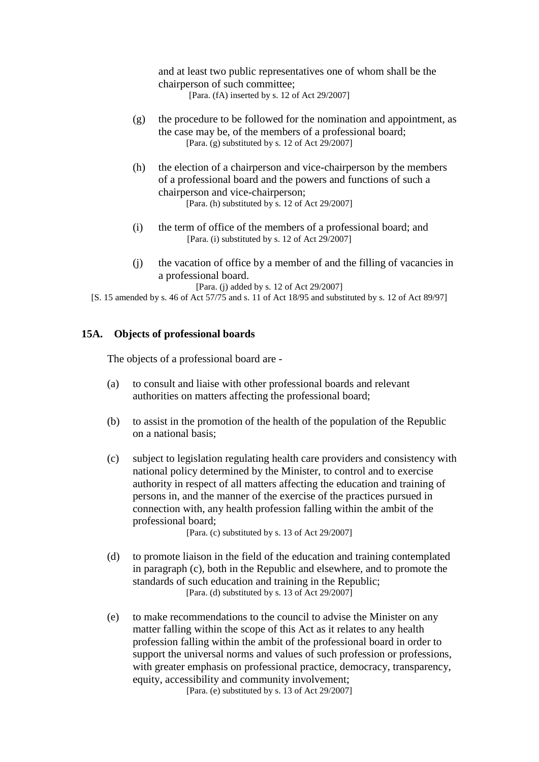and at least two public representatives one of whom shall be the chairperson of such committee;

[Para. (fA) inserted by s. 12 of Act 29/2007]

- (g) the procedure to be followed for the nomination and appointment, as the case may be, of the members of a professional board; [Para. (g) substituted by s. 12 of Act  $29/2007$ ]
- (h) the election of a chairperson and vice-chairperson by the members of a professional board and the powers and functions of such a chairperson and vice-chairperson; [Para. (h) substituted by s. 12 of Act 29/2007]
- (i) the term of office of the members of a professional board; and [Para. (i) substituted by s. 12 of Act 29/2007]
- (j) the vacation of office by a member of and the filling of vacancies in a professional board.

[Para. (j) added by s. 12 of Act 29/2007]

[S. 15 amended by s. 46 of Act 57/75 and s. 11 of Act 18/95 and substituted by s. 12 of Act 89/97]

### **15A. Objects of professional boards**

The objects of a professional board are -

- (a) to consult and liaise with other professional boards and relevant authorities on matters affecting the professional board;
- (b) to assist in the promotion of the health of the population of the Republic on a national basis;
- (c) subject to legislation regulating health care providers and consistency with national policy determined by the Minister, to control and to exercise authority in respect of all matters affecting the education and training of persons in, and the manner of the exercise of the practices pursued in connection with, any health profession falling within the ambit of the professional board;

[Para. (c) substituted by s. 13 of Act 29/2007]

- (d) to promote liaison in the field of the education and training contemplated in paragraph (c), both in the Republic and elsewhere, and to promote the standards of such education and training in the Republic; [Para. (d) substituted by s. 13 of Act 29/2007]
- (e) to make recommendations to the council to advise the Minister on any matter falling within the scope of this Act as it relates to any health profession falling within the ambit of the professional board in order to support the universal norms and values of such profession or professions, with greater emphasis on professional practice, democracy, transparency, equity, accessibility and community involvement:

[Para. (e) substituted by s. 13 of Act 29/2007]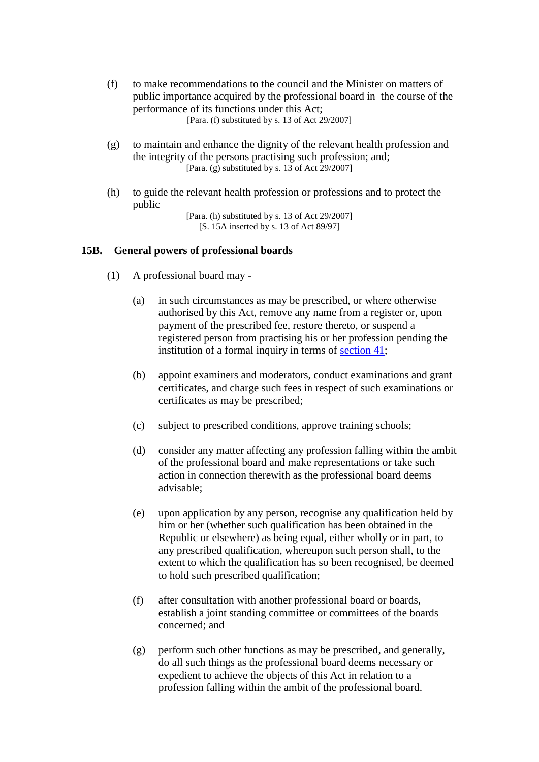- (f) to make recommendations to the council and the Minister on matters of public importance acquired by the professional board in the course of the performance of its functions under this Act; [Para. (f) substituted by s. 13 of Act 29/2007]
- (g) to maintain and enhance the dignity of the relevant health profession and the integrity of the persons practising such profession; and; [Para. (g) substituted by s. 13 of Act  $29/2007$ ]
- (h) to guide the relevant health profession or professions and to protect the public

[Para. (h) substituted by s. 13 of Act 29/2007] [S. 15A inserted by s. 13 of Act 89/97]

### **15B. General powers of professional boards**

- (1) A professional board may
	- (a) in such circumstances as may be prescribed, or where otherwise authorised by this Act, remove any name from a register or, upon payment of the prescribed fee, restore thereto, or suspend a registered person from practising his or her profession pending the institution of a formal inquiry in terms of  $section\ 41$ ;
	- (b) appoint examiners and moderators, conduct examinations and grant certificates, and charge such fees in respect of such examinations or certificates as may be prescribed;
	- (c) subject to prescribed conditions, approve training schools;
	- (d) consider any matter affecting any profession falling within the ambit of the professional board and make representations or take such action in connection therewith as the professional board deems advisable;
	- (e) upon application by any person, recognise any qualification held by him or her (whether such qualification has been obtained in the Republic or elsewhere) as being equal, either wholly or in part, to any prescribed qualification, whereupon such person shall, to the extent to which the qualification has so been recognised, be deemed to hold such prescribed qualification;
	- (f) after consultation with another professional board or boards, establish a joint standing committee or committees of the boards concerned; and
	- (g) perform such other functions as may be prescribed, and generally, do all such things as the professional board deems necessary or expedient to achieve the objects of this Act in relation to a profession falling within the ambit of the professional board.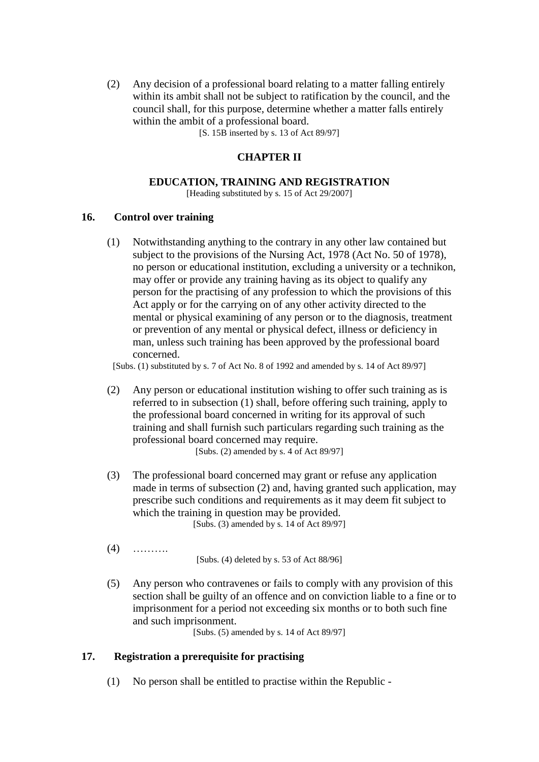(2) Any decision of a professional board relating to a matter falling entirely within its ambit shall not be subject to ratification by the council, and the council shall, for this purpose, determine whether a matter falls entirely within the ambit of a professional board.

[S. 15B inserted by s. 13 of Act 89/97]

## **CHAPTER II**

### **EDUCATION, TRAINING AND REGISTRATION**

[Heading substituted by s. 15 of Act 29/2007]

### **16. Control over training**

(1) Notwithstanding anything to the contrary in any other law contained but subject to the provisions of the Nursing Act, 1978 (Act No. 50 of 1978), no person or educational institution, excluding a university or a technikon, may offer or provide any training having as its object to qualify any person for the practising of any profession to which the provisions of this Act apply or for the carrying on of any other activity directed to the mental or physical examining of any person or to the diagnosis, treatment or prevention of any mental or physical defect, illness or deficiency in man, unless such training has been approved by the professional board concerned.

[Subs. (1) substituted by s. 7 of Act No. 8 of 1992 and amended by s. 14 of Act 89/97]

- (2) Any person or educational institution wishing to offer such training as is referred to in subsection (1) shall, before offering such training, apply to the professional board concerned in writing for its approval of such training and shall furnish such particulars regarding such training as the professional board concerned may require. [Subs.  $(2)$  amended by s. 4 of Act 89/97]
- (3) The professional board concerned may grant or refuse any application made in terms of subsection (2) and, having granted such application, may prescribe such conditions and requirements as it may deem fit subject to which the training in question may be provided. [Subs. (3) amended by s. 14 of Act 89/97]
- $(4)$  ………

[Subs. (4) deleted by s. 53 of Act 88/96]

(5) Any person who contravenes or fails to comply with any provision of this section shall be guilty of an offence and on conviction liable to a fine or to imprisonment for a period not exceeding six months or to both such fine and such imprisonment.

[Subs. (5) amended by s. 14 of Act 89/97]

### **17. Registration a prerequisite for practising**

(1) No person shall be entitled to practise within the Republic -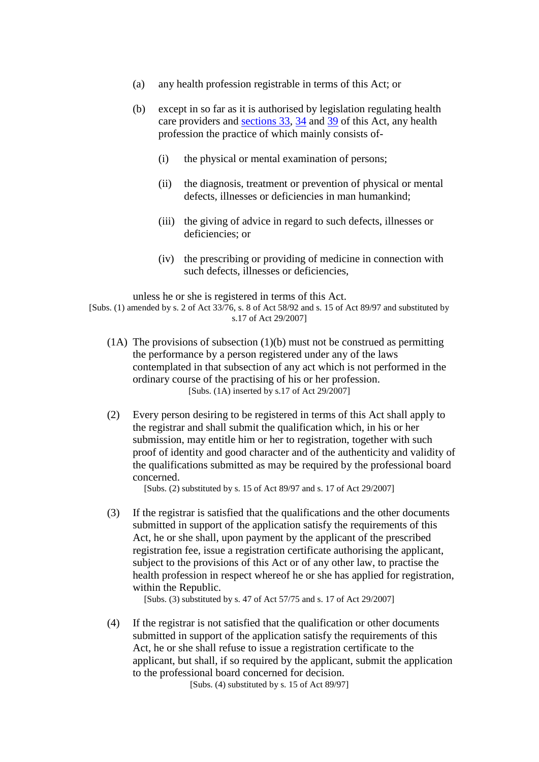- (a) any health profession registrable in terms of this Act; or
- (b) except in so far as it is authorised by legislation regulating health care providers and [sections 33,](http://search.sabinet.co.za/netlawpdf/netlaw/HEALTH%20PROFESSIONS%20ACT.htm#section33#section33) [34](http://search.sabinet.co.za/netlawpdf/netlaw/HEALTH%20PROFESSIONS%20ACT.htm#section34#section34) and [39](http://search.sabinet.co.za/netlawpdf/netlaw/HEALTH%20PROFESSIONS%20ACT.htm#section39#section39) of this Act, any health profession the practice of which mainly consists of-
	- (i) the physical or mental examination of persons;
	- (ii) the diagnosis, treatment or prevention of physical or mental defects, illnesses or deficiencies in man humankind;
	- (iii) the giving of advice in regard to such defects, illnesses or deficiencies; or
	- (iv) the prescribing or providing of medicine in connection with such defects, illnesses or deficiencies,

unless he or she is registered in terms of this Act.

[Subs. (1) amended by s. 2 of Act 33/76, s. 8 of Act 58/92 and s. 15 of Act 89/97 and substituted by s.17 of Act 29/2007]

- (1A) The provisions of subsection (1)(b) must not be construed as permitting the performance by a person registered under any of the laws contemplated in that subsection of any act which is not performed in the ordinary course of the practising of his or her profession. [Subs. (1A) inserted by s.17 of Act 29/2007]
- (2) Every person desiring to be registered in terms of this Act shall apply to the registrar and shall submit the qualification which, in his or her submission, may entitle him or her to registration, together with such proof of identity and good character and of the authenticity and validity of the qualifications submitted as may be required by the professional board concerned.

[Subs. (2) substituted by s. 15 of Act 89/97 and s. 17 of Act 29/2007]

(3) If the registrar is satisfied that the qualifications and the other documents submitted in support of the application satisfy the requirements of this Act, he or she shall, upon payment by the applicant of the prescribed registration fee, issue a registration certificate authorising the applicant, subject to the provisions of this Act or of any other law, to practise the health profession in respect whereof he or she has applied for registration, within the Republic.

[Subs. (3) substituted by s. 47 of Act 57/75 and s. 17 of Act 29/2007]

(4) If the registrar is not satisfied that the qualification or other documents submitted in support of the application satisfy the requirements of this Act, he or she shall refuse to issue a registration certificate to the applicant, but shall, if so required by the applicant, submit the application to the professional board concerned for decision.

[Subs. (4) substituted by s. 15 of Act 89/97]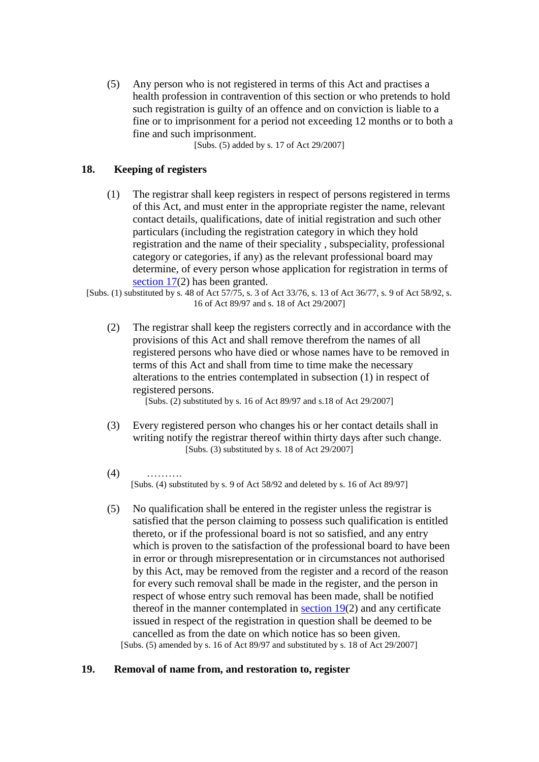(5) Any person who is not registered in terms of this Act and practises a health profession in contravention of this section or who pretends to hold such registration is guilty of an offence and on conviction is liable to a fine or to imprisonment for a period not exceeding 12 months or to both a fine and such imprisonment.

[Subs. (5) added by s. 17 of Act 29/2007]

### **18. Keeping of registers**

(1) The registrar shall keep registers in respect of persons registered in terms of this Act, and must enter in the appropriate register the name, relevant contact details, qualifications, date of initial registration and such other particulars (including the registration category in which they hold registration and the name of their speciality , subspeciality, professional category or categories, if any) as the relevant professional board may determine, of every person whose application for registration in terms of [section 17\(](http://search.sabinet.co.za/netlawpdf/netlaw/HEALTH%20PROFESSIONS%20ACT.htm#section17#section17)2) has been granted.

[Subs. (1) substituted by s. 48 of Act 57/75, s. 3 of Act 33/76, s. 13 of Act 36/77, s. 9 of Act 58/92, s. 16 of Act 89/97 and s. 18 of Act 29/2007]

(2) The registrar shall keep the registers correctly and in accordance with the provisions of this Act and shall remove therefrom the names of all registered persons who have died or whose names have to be removed in terms of this Act and shall from time to time make the necessary alterations to the entries contemplated in subsection (1) in respect of registered persons.

[Subs. (2) substituted by s. 16 of Act 89/97 and s.18 of Act 29/2007]

- (3) Every registered person who changes his or her contact details shall in writing notify the registrar thereof within thirty days after such change. [Subs.  $(3)$  substituted by s. 18 of Act 29/2007]
- $(4)$ [Subs. (4) substituted by s. 9 of Act 58/92 and deleted by s. 16 of Act 89/97]
- (5) No qualification shall be entered in the register unless the registrar is satisfied that the person claiming to possess such qualification is entitled thereto, or if the professional board is not so satisfied, and any entry which is proven to the satisfaction of the professional board to have been in error or through misrepresentation or in circumstances not authorised by this Act, may be removed from the register and a record of the reason for every such removal shall be made in the register, and the person in respect of whose entry such removal has been made, shall be notified thereof in the manner contemplated in [section 19\(](http://search.sabinet.co.za/netlawpdf/netlaw/HEALTH%20PROFESSIONS%20ACT.htm#section19#section19)2) and any certificate issued in respect of the registration in question shall be deemed to be cancelled as from the date on which notice has so been given. [Subs. (5) amended by s. 16 of Act 89/97 and substituted by s. 18 of Act 29/2007]

### **19. Removal of name from, and restoration to, register**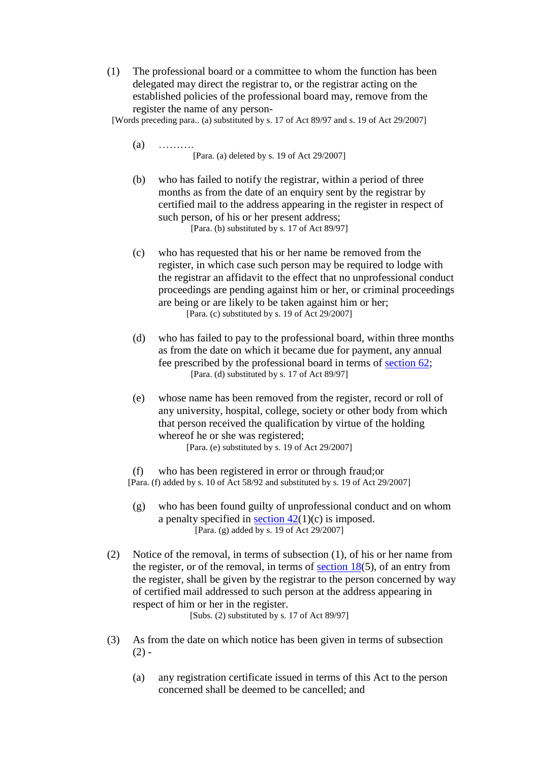(1) The professional board or a committee to whom the function has been delegated may direct the registrar to, or the registrar acting on the established policies of the professional board may, remove from the register the name of any person-

[Words preceding para.. (a) substituted by s. 17 of Act 89/97 and s. 19 of Act 29/2007]

- $(a)$  …… [Para. (a) deleted by s. 19 of Act 29/2007]
- (b) who has failed to notify the registrar, within a period of three months as from the date of an enquiry sent by the registrar by certified mail to the address appearing in the register in respect of such person, of his or her present address; [Para. (b) substituted by s. 17 of Act 89/97]
- (c) who has requested that his or her name be removed from the register, in which case such person may be required to lodge with the registrar an affidavit to the effect that no unprofessional conduct proceedings are pending against him or her, or criminal proceedings are being or are likely to be taken against him or her; [Para. (c) substituted by s. 19 of Act 29/2007]
- (d) who has failed to pay to the professional board, within three months as from the date on which it became due for payment, any annual fee prescribed by the professional board in terms of [section 62;](http://search.sabinet.co.za/netlawpdf/netlaw/HEALTH%20PROFESSIONS%20ACT.htm#section62#section62) [Para. (d) substituted by s. 17 of Act 89/97]
- (e) whose name has been removed from the register, record or roll of any university, hospital, college, society or other body from which that person received the qualification by virtue of the holding whereof he or she was registered; [Para. (e) substituted by s. 19 of Act 29/2007]

(f) who has been registered in error or through fraud;or [Para. (f) added by s. 10 of Act 58/92 and substituted by s. 19 of Act 29/2007]

- (g) who has been found guilty of unprofessional conduct and on whom a penalty specified in <u>section  $42(1)(c)$ </u> is imposed. [Para. (g) added by s. 19 of Act 29/2007]
- (2) Notice of the removal, in terms of subsection (1), of his or her name from the register, or of the removal, in terms of section  $18(5)$ , of an entry from the register, shall be given by the registrar to the person concerned by way of certified mail addressed to such person at the address appearing in respect of him or her in the register.

[Subs. (2) substituted by s. 17 of Act 89/97]

- (3) As from the date on which notice has been given in terms of subsection  $(2) -$ 
	- (a) any registration certificate issued in terms of this Act to the person concerned shall be deemed to be cancelled; and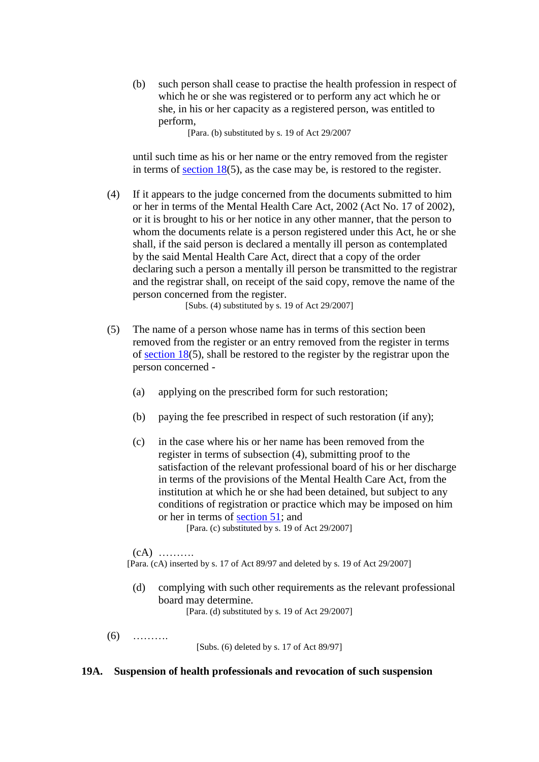(b) such person shall cease to practise the health profession in respect of which he or she was registered or to perform any act which he or she, in his or her capacity as a registered person, was entitled to perform,

[Para. (b) substituted by s. 19 of Act 29/2007

until such time as his or her name or the entry removed from the register in terms of [section 18\(](http://search.sabinet.co.za/netlawpdf/netlaw/HEALTH%20PROFESSIONS%20ACT.htm#section18#section18)5), as the case may be, is restored to the register.

(4) If it appears to the judge concerned from the documents submitted to him or her in terms of the Mental Health Care Act, 2002 (Act No. 17 of 2002), or it is brought to his or her notice in any other manner, that the person to whom the documents relate is a person registered under this Act, he or she shall, if the said person is declared a mentally ill person as contemplated by the said Mental Health Care Act, direct that a copy of the order declaring such a person a mentally ill person be transmitted to the registrar and the registrar shall, on receipt of the said copy, remove the name of the person concerned from the register.

[Subs. (4) substituted by s. 19 of Act 29/2007]

- (5) The name of a person whose name has in terms of this section been removed from the register or an entry removed from the register in terms of [section 18\(](http://search.sabinet.co.za/netlawpdf/netlaw/HEALTH%20PROFESSIONS%20ACT.htm#section18#section18)5), shall be restored to the register by the registrar upon the person concerned -
	- (a) applying on the prescribed form for such restoration;
	- (b) paying the fee prescribed in respect of such restoration (if any);
	- (c) in the case where his or her name has been removed from the register in terms of subsection (4), submitting proof to the satisfaction of the relevant professional board of his or her discharge in terms of the provisions of the Mental Health Care Act, from the institution at which he or she had been detained, but subject to any conditions of registration or practice which may be imposed on him or her in terms of [section 51;](http://search.sabinet.co.za/netlawpdf/netlaw/HEALTH%20PROFESSIONS%20ACT.htm#section51#section51) and

[Para. (c) substituted by s. 19 of Act 29/2007]

 $(cA)$  ………

[Para. (cA) inserted by s. 17 of Act 89/97 and deleted by s. 19 of Act 29/2007]

(d) complying with such other requirements as the relevant professional board may determine.

[Para. (d) substituted by s. 19 of Act 29/2007]

(6) ……….

[Subs. (6) deleted by s. 17 of Act 89/97]

### **19A. Suspension of health professionals and revocation of such suspension**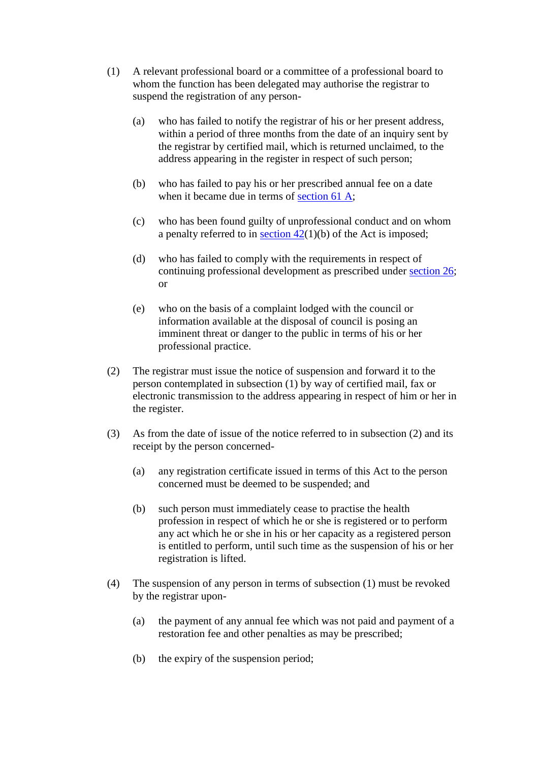- (1) A relevant professional board or a committee of a professional board to whom the function has been delegated may authorise the registrar to suspend the registration of any person-
	- (a) who has failed to notify the registrar of his or her present address, within a period of three months from the date of an inquiry sent by the registrar by certified mail, which is returned unclaimed, to the address appearing in the register in respect of such person;
	- (b) who has failed to pay his or her prescribed annual fee on a date when it became due in terms of [section 61 A;](http://search.sabinet.co.za/netlawpdf/netlaw/HEALTH%20PROFESSIONS%20ACT.htm#section61A#section61A)
	- (c) who has been found guilty of unprofessional conduct and on whom a penalty referred to in section  $42(1)(b)$  of the Act is imposed;
	- (d) who has failed to comply with the requirements in respect of continuing professional development as prescribed under [section 26;](http://search.sabinet.co.za/netlawpdf/netlaw/HEALTH%20PROFESSIONS%20ACT.htm#section26#section26) or
	- (e) who on the basis of a complaint lodged with the council or information available at the disposal of council is posing an imminent threat or danger to the public in terms of his or her professional practice.
- (2) The registrar must issue the notice of suspension and forward it to the person contemplated in subsection (1) by way of certified mail, fax or electronic transmission to the address appearing in respect of him or her in the register.
- (3) As from the date of issue of the notice referred to in subsection (2) and its receipt by the person concerned-
	- (a) any registration certificate issued in terms of this Act to the person concerned must be deemed to be suspended; and
	- (b) such person must immediately cease to practise the health profession in respect of which he or she is registered or to perform any act which he or she in his or her capacity as a registered person is entitled to perform, until such time as the suspension of his or her registration is lifted.
- (4) The suspension of any person in terms of subsection (1) must be revoked by the registrar upon-
	- (a) the payment of any annual fee which was not paid and payment of a restoration fee and other penalties as may be prescribed;
	- (b) the expiry of the suspension period;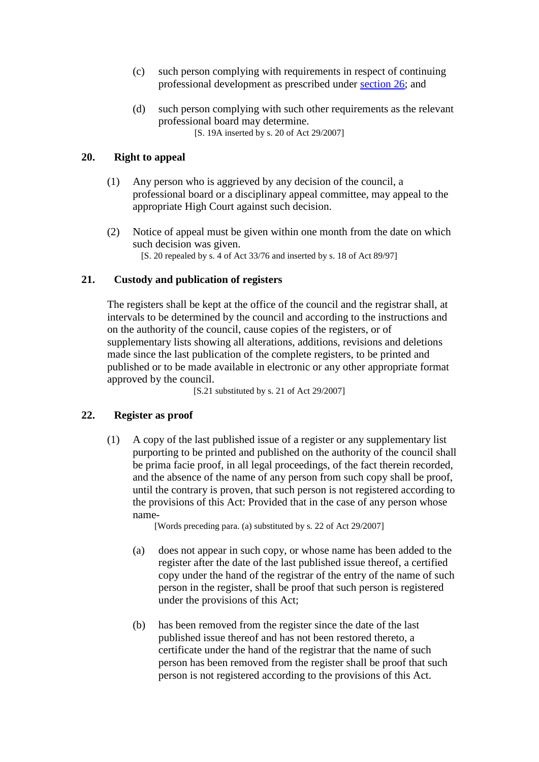- (c) such person complying with requirements in respect of continuing professional development as prescribed under [section 26;](http://search.sabinet.co.za/netlawpdf/netlaw/HEALTH%20PROFESSIONS%20ACT.htm#section26#section26) and
- (d) such person complying with such other requirements as the relevant professional board may determine. [S. 19A inserted by s. 20 of Act 29/2007]

## **20. Right to appeal**

- (1) Any person who is aggrieved by any decision of the council, a professional board or a disciplinary appeal committee, may appeal to the appropriate High Court against such decision.
- (2) Notice of appeal must be given within one month from the date on which such decision was given. [S. 20 repealed by s. 4 of Act 33/76 and inserted by s. 18 of Act 89/97]

## **21. Custody and publication of registers**

The registers shall be kept at the office of the council and the registrar shall, at intervals to be determined by the council and according to the instructions and on the authority of the council, cause copies of the registers, or of supplementary lists showing all alterations, additions, revisions and deletions made since the last publication of the complete registers, to be printed and published or to be made available in electronic or any other appropriate format approved by the council.

[S.21 substituted by s. 21 of Act 29/2007]

## **22. Register as proof**

(1) A copy of the last published issue of a register or any supplementary list purporting to be printed and published on the authority of the council shall be prima facie proof, in all legal proceedings, of the fact therein recorded, and the absence of the name of any person from such copy shall be proof, until the contrary is proven, that such person is not registered according to the provisions of this Act: Provided that in the case of any person whose name-

[Words preceding para. (a) substituted by s. 22 of Act 29/2007]

- (a) does not appear in such copy, or whose name has been added to the register after the date of the last published issue thereof, a certified copy under the hand of the registrar of the entry of the name of such person in the register, shall be proof that such person is registered under the provisions of this Act;
- (b) has been removed from the register since the date of the last published issue thereof and has not been restored thereto, a certificate under the hand of the registrar that the name of such person has been removed from the register shall be proof that such person is not registered according to the provisions of this Act.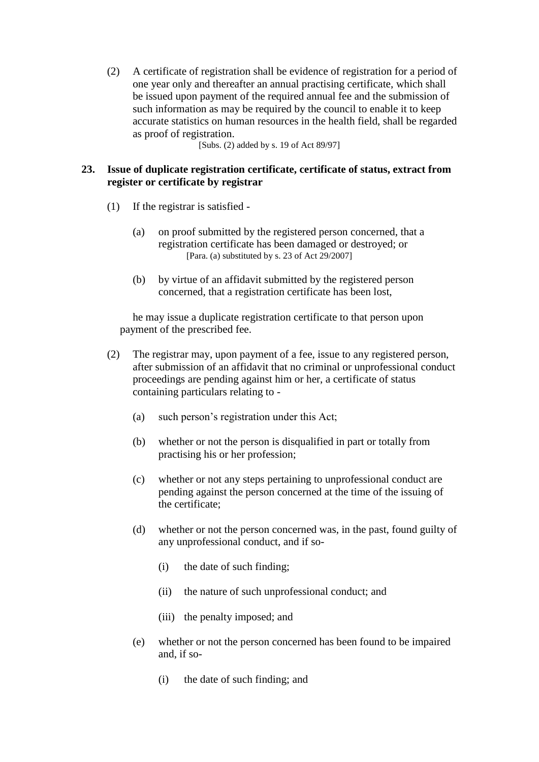(2) A certificate of registration shall be evidence of registration for a period of one year only and thereafter an annual practising certificate, which shall be issued upon payment of the required annual fee and the submission of such information as may be required by the council to enable it to keep accurate statistics on human resources in the health field, shall be regarded as proof of registration.

[Subs. (2) added by s. 19 of Act 89/97]

## **23. Issue of duplicate registration certificate, certificate of status, extract from register or certificate by registrar**

- (1) If the registrar is satisfied
	- (a) on proof submitted by the registered person concerned, that a registration certificate has been damaged or destroyed; or [Para. (a) substituted by s. 23 of Act 29/2007]
	- (b) by virtue of an affidavit submitted by the registered person concerned, that a registration certificate has been lost,

he may issue a duplicate registration certificate to that person upon payment of the prescribed fee.

- (2) The registrar may, upon payment of a fee, issue to any registered person, after submission of an affidavit that no criminal or unprofessional conduct proceedings are pending against him or her, a certificate of status containing particulars relating to -
	- (a) such person's registration under this Act;
	- (b) whether or not the person is disqualified in part or totally from practising his or her profession;
	- (c) whether or not any steps pertaining to unprofessional conduct are pending against the person concerned at the time of the issuing of the certificate;
	- (d) whether or not the person concerned was, in the past, found guilty of any unprofessional conduct, and if so-
		- (i) the date of such finding;
		- (ii) the nature of such unprofessional conduct; and
		- (iii) the penalty imposed; and
	- (e) whether or not the person concerned has been found to be impaired and, if so-
		- (i) the date of such finding; and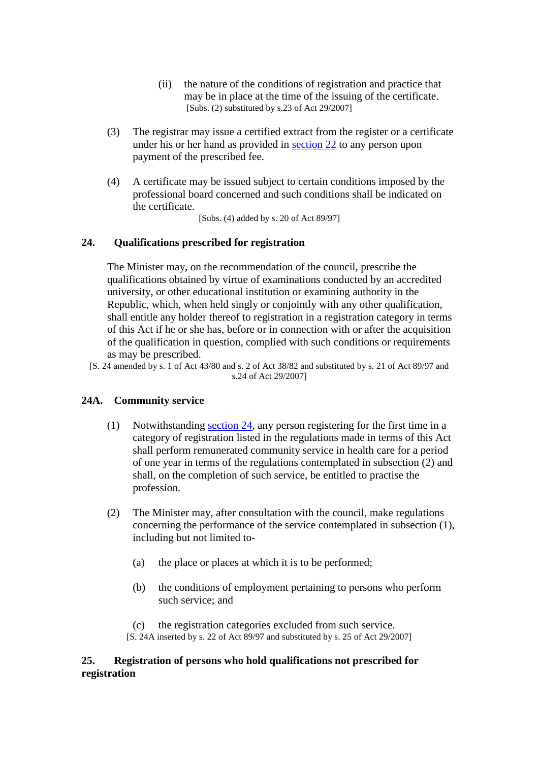- (ii) the nature of the conditions of registration and practice that may be in place at the time of the issuing of the certificate. [Subs. (2) substituted by s.23 of Act  $29/2007$ ]
- (3) The registrar may issue a certified extract from the register or a certificate under his or her hand as provided in [section 22](http://search.sabinet.co.za/netlawpdf/netlaw/HEALTH%20PROFESSIONS%20ACT.htm#section22#section22) to any person upon payment of the prescribed fee.
- (4) A certificate may be issued subject to certain conditions imposed by the professional board concerned and such conditions shall be indicated on the certificate.

[Subs. (4) added by s. 20 of Act 89/97]

## **24. Qualifications prescribed for registration**

The Minister may, on the recommendation of the council, prescribe the qualifications obtained by virtue of examinations conducted by an accredited university, or other educational institution or examining authority in the Republic, which, when held singly or conjointly with any other qualification, shall entitle any holder thereof to registration in a registration category in terms of this Act if he or she has, before or in connection with or after the acquisition of the qualification in question, complied with such conditions or requirements as may be prescribed.

[S. 24 amended by s. 1 of Act 43/80 and s. 2 of Act 38/82 and substituted by s. 21 of Act 89/97 and s.24 of Act 29/2007]

### **24A. Community service**

- (1) Notwithstanding [section 24,](http://search.sabinet.co.za/netlawpdf/netlaw/HEALTH%20PROFESSIONS%20ACT.htm#section24#section24) any person registering for the first time in a category of registration listed in the regulations made in terms of this Act shall perform remunerated community service in health care for a period of one year in terms of the regulations contemplated in subsection (2) and shall, on the completion of such service, be entitled to practise the profession.
- (2) The Minister may, after consultation with the council, make regulations concerning the performance of the service contemplated in subsection (1), including but not limited to-
	- (a) the place or places at which it is to be performed;
	- (b) the conditions of employment pertaining to persons who perform such service; and
	- (c) the registration categories excluded from such service. [S. 24A inserted by s. 22 of Act 89/97 and substituted by s. 25 of Act 29/2007]

## **25. Registration of persons who hold qualifications not prescribed for registration**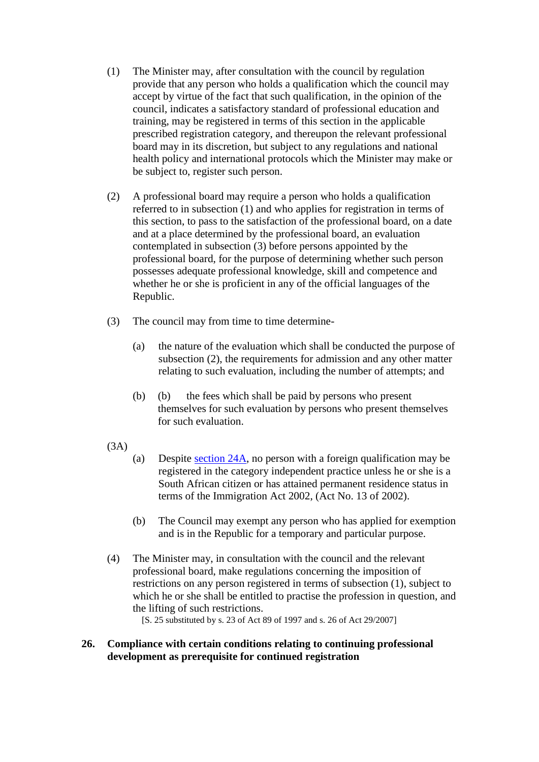- (1) The Minister may, after consultation with the council by regulation provide that any person who holds a qualification which the council may accept by virtue of the fact that such qualification, in the opinion of the council, indicates a satisfactory standard of professional education and training, may be registered in terms of this section in the applicable prescribed registration category, and thereupon the relevant professional board may in its discretion, but subject to any regulations and national health policy and international protocols which the Minister may make or be subject to, register such person.
- (2) A professional board may require a person who holds a qualification referred to in subsection (1) and who applies for registration in terms of this section, to pass to the satisfaction of the professional board, on a date and at a place determined by the professional board, an evaluation contemplated in subsection (3) before persons appointed by the professional board, for the purpose of determining whether such person possesses adequate professional knowledge, skill and competence and whether he or she is proficient in any of the official languages of the Republic.
- (3) The council may from time to time determine-
	- (a) the nature of the evaluation which shall be conducted the purpose of subsection (2), the requirements for admission and any other matter relating to such evaluation, including the number of attempts; and
	- (b) (b) the fees which shall be paid by persons who present themselves for such evaluation by persons who present themselves for such evaluation.
- (3A)
- (a) Despite [section 24A,](http://search.sabinet.co.za/netlawpdf/netlaw/HEALTH%20PROFESSIONS%20ACT.htm#section24A#section24A) no person with a foreign qualification may be registered in the category independent practice unless he or she is a South African citizen or has attained permanent residence status in terms of the Immigration Act 2002, (Act No. 13 of 2002).
- (b) The Council may exempt any person who has applied for exemption and is in the Republic for a temporary and particular purpose.
- (4) The Minister may, in consultation with the council and the relevant professional board, make regulations concerning the imposition of restrictions on any person registered in terms of subsection (1), subject to which he or she shall be entitled to practise the profession in question, and the lifting of such restrictions.

[S. 25 substituted by s. 23 of Act 89 of 1997 and s. 26 of Act 29/2007]

## **26. Compliance with certain conditions relating to continuing professional development as prerequisite for continued registration**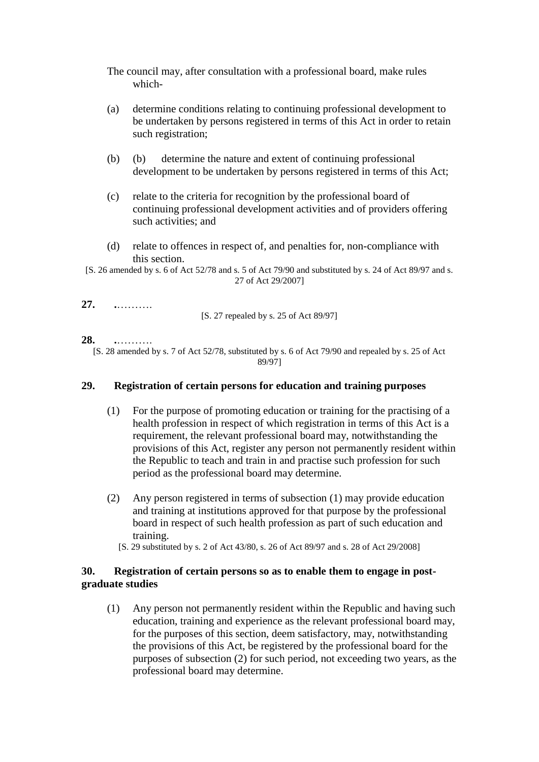- The council may, after consultation with a professional board, make rules which-
- (a) determine conditions relating to continuing professional development to be undertaken by persons registered in terms of this Act in order to retain such registration;
- (b) (b) determine the nature and extent of continuing professional development to be undertaken by persons registered in terms of this Act;
- (c) relate to the criteria for recognition by the professional board of continuing professional development activities and of providers offering such activities; and
- (d) relate to offences in respect of, and penalties for, non-compliance with this section.
- [S. 26 amended by s. 6 of Act 52/78 and s. 5 of Act 79/90 and substituted by s. 24 of Act 89/97 and s. 27 of Act 29/2007]

## **27. .**……….

[S. 27 repealed by s. 25 of Act 89/97]

## **28. .**……….

[S. 28 amended by s. 7 of Act 52/78, substituted by s. 6 of Act 79/90 and repealed by s. 25 of Act 89/97]

## **29. Registration of certain persons for education and training purposes**

- (1) For the purpose of promoting education or training for the practising of a health profession in respect of which registration in terms of this Act is a requirement, the relevant professional board may, notwithstanding the provisions of this Act, register any person not permanently resident within the Republic to teach and train in and practise such profession for such period as the professional board may determine.
- (2) Any person registered in terms of subsection (1) may provide education and training at institutions approved for that purpose by the professional board in respect of such health profession as part of such education and training.
	- [S. 29 substituted by s. 2 of Act 43/80, s. 26 of Act 89/97 and s. 28 of Act 29/2008]

## **30. Registration of certain persons so as to enable them to engage in postgraduate studies**

(1) Any person not permanently resident within the Republic and having such education, training and experience as the relevant professional board may, for the purposes of this section, deem satisfactory, may, notwithstanding the provisions of this Act, be registered by the professional board for the purposes of subsection (2) for such period, not exceeding two years, as the professional board may determine.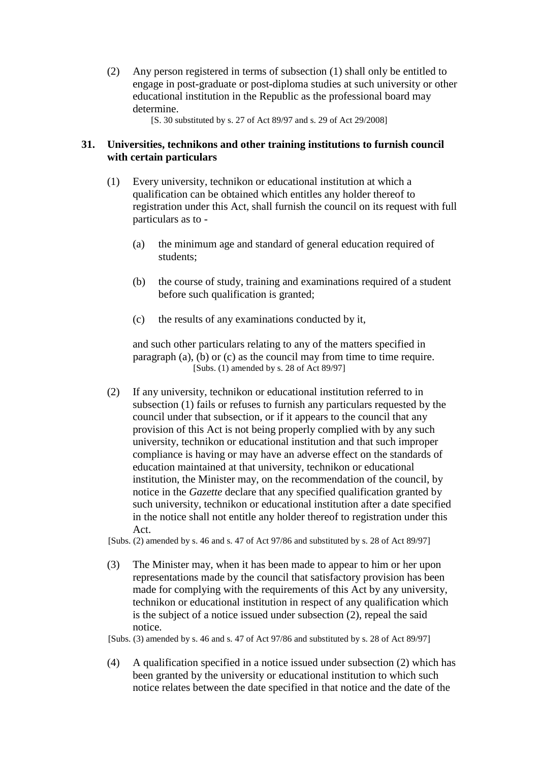(2) Any person registered in terms of subsection (1) shall only be entitled to engage in post-graduate or post-diploma studies at such university or other educational institution in the Republic as the professional board may determine.

[S. 30 substituted by s. 27 of Act 89/97 and s. 29 of Act 29/2008]

## **31. Universities, technikons and other training institutions to furnish council with certain particulars**

- (1) Every university, technikon or educational institution at which a qualification can be obtained which entitles any holder thereof to registration under this Act, shall furnish the council on its request with full particulars as to -
	- (a) the minimum age and standard of general education required of students;
	- (b) the course of study, training and examinations required of a student before such qualification is granted;
	- (c) the results of any examinations conducted by it,

and such other particulars relating to any of the matters specified in paragraph (a), (b) or (c) as the council may from time to time require. [Subs. (1) amended by s. 28 of Act 89/97]

- (2) If any university, technikon or educational institution referred to in subsection (1) fails or refuses to furnish any particulars requested by the council under that subsection, or if it appears to the council that any provision of this Act is not being properly complied with by any such university, technikon or educational institution and that such improper compliance is having or may have an adverse effect on the standards of education maintained at that university, technikon or educational institution, the Minister may, on the recommendation of the council, by notice in the *Gazette* declare that any specified qualification granted by such university, technikon or educational institution after a date specified in the notice shall not entitle any holder thereof to registration under this Act.
- [Subs. (2) amended by s. 46 and s. 47 of Act  $97/86$  and substituted by s. 28 of Act  $89/97$ ]
- (3) The Minister may, when it has been made to appear to him or her upon representations made by the council that satisfactory provision has been made for complying with the requirements of this Act by any university, technikon or educational institution in respect of any qualification which is the subject of a notice issued under subsection (2), repeal the said notice.

[Subs. (3) amended by s. 46 and s. 47 of Act 97/86 and substituted by s. 28 of Act 89/97]

(4) A qualification specified in a notice issued under subsection (2) which has been granted by the university or educational institution to which such notice relates between the date specified in that notice and the date of the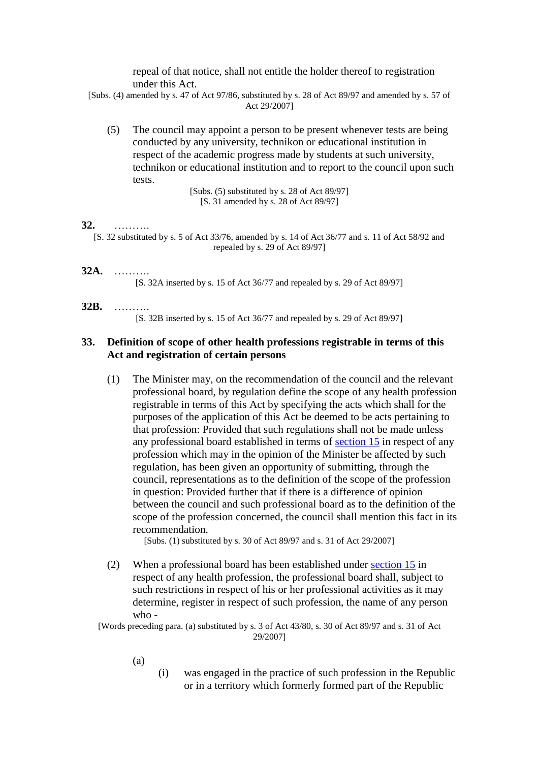repeal of that notice, shall not entitle the holder thereof to registration under this Act.

[Subs. (4) amended by s. 47 of Act 97/86, substituted by s. 28 of Act 89/97 and amended by s. 57 of Act 29/2007]

(5) The council may appoint a person to be present whenever tests are being conducted by any university, technikon or educational institution in respect of the academic progress made by students at such university, technikon or educational institution and to report to the council upon such tests.

> [Subs. (5) substituted by s. 28 of Act 89/97] [S. 31 amended by s. 28 of Act 89/97]

#### **32.** ……….

[S. 32 substituted by s. 5 of Act 33/76, amended by s. 14 of Act 36/77 and s. 11 of Act 58/92 and repealed by s. 29 of Act 89/97]

### **32A.** ……….

[S. 32A inserted by s. 15 of Act 36/77 and repealed by s. 29 of Act 89/97]

#### **32B.** ……….

[S. 32B inserted by s. 15 of Act 36/77 and repealed by s. 29 of Act 89/97]

### **33. Definition of scope of other health professions registrable in terms of this Act and registration of certain persons**

(1) The Minister may, on the recommendation of the council and the relevant professional board, by regulation define the scope of any health profession registrable in terms of this Act by specifying the acts which shall for the purposes of the application of this Act be deemed to be acts pertaining to that profession: Provided that such regulations shall not be made unless any professional board established in terms of [section 15](http://search.sabinet.co.za/netlawpdf/netlaw/HEALTH%20PROFESSIONS%20ACT.htm#section15#section15) in respect of any profession which may in the opinion of the Minister be affected by such regulation, has been given an opportunity of submitting, through the council, representations as to the definition of the scope of the profession in question: Provided further that if there is a difference of opinion between the council and such professional board as to the definition of the scope of the profession concerned, the council shall mention this fact in its recommendation.

[Subs. (1) substituted by s. 30 of Act 89/97 and s. 31 of Act 29/2007]

(2) When a professional board has been established under [section 15](http://search.sabinet.co.za/netlawpdf/netlaw/HEALTH%20PROFESSIONS%20ACT.htm#section15#section15) in respect of any health profession, the professional board shall, subject to such restrictions in respect of his or her professional activities as it may determine, register in respect of such profession, the name of any person who -

[Words preceding para. (a) substituted by s. 3 of Act 43/80, s. 30 of Act 89/97 and s. 31 of Act 29/2007]

- (a)
- (i) was engaged in the practice of such profession in the Republic or in a territory which formerly formed part of the Republic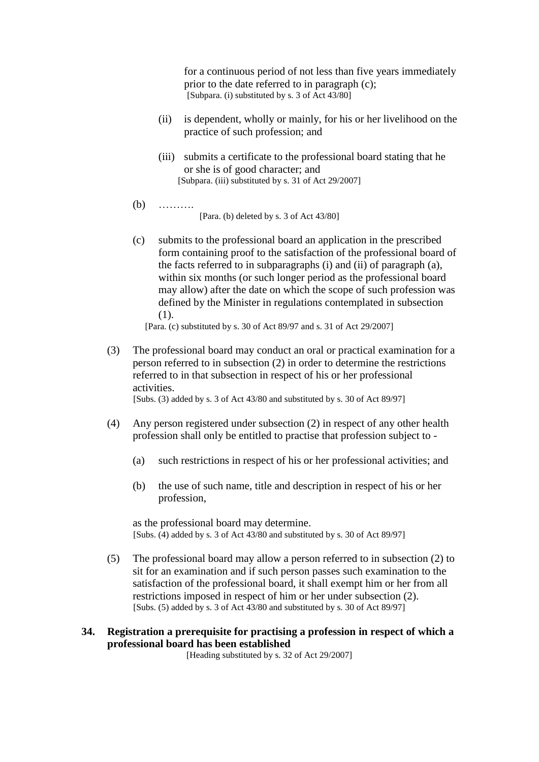for a continuous period of not less than five years immediately prior to the date referred to in paragraph (c); [Subpara. (i) substituted by s. 3 of Act 43/80]

- (ii) is dependent, wholly or mainly, for his or her livelihood on the practice of such profession; and
- (iii) submits a certificate to the professional board stating that he or she is of good character; and [Subpara. (iii) substituted by s. 31 of Act 29/2007]
- $(b)$  ……… [Para. (b) deleted by s. 3 of Act 43/80]
- (c) submits to the professional board an application in the prescribed form containing proof to the satisfaction of the professional board of the facts referred to in subparagraphs (i) and (ii) of paragraph (a), within six months (or such longer period as the professional board may allow) after the date on which the scope of such profession was defined by the Minister in regulations contemplated in subsection (1).

[Para. (c) substituted by s. 30 of Act 89/97 and s. 31 of Act 29/2007]

- (3) The professional board may conduct an oral or practical examination for a person referred to in subsection (2) in order to determine the restrictions referred to in that subsection in respect of his or her professional activities. [Subs. (3) added by s. 3 of Act 43/80 and substituted by s. 30 of Act 89/97]
- (4) Any person registered under subsection (2) in respect of any other health profession shall only be entitled to practise that profession subject to -
	- (a) such restrictions in respect of his or her professional activities; and
	- (b) the use of such name, title and description in respect of his or her profession,

as the professional board may determine. [Subs. (4) added by s. 3 of Act 43/80 and substituted by s. 30 of Act 89/97]

- (5) The professional board may allow a person referred to in subsection (2) to sit for an examination and if such person passes such examination to the satisfaction of the professional board, it shall exempt him or her from all restrictions imposed in respect of him or her under subsection (2). [Subs. (5) added by s. 3 of Act 43/80 and substituted by s. 30 of Act 89/97]
- **34. Registration a prerequisite for practising a profession in respect of which a professional board has been established**

[Heading substituted by s. 32 of Act 29/2007]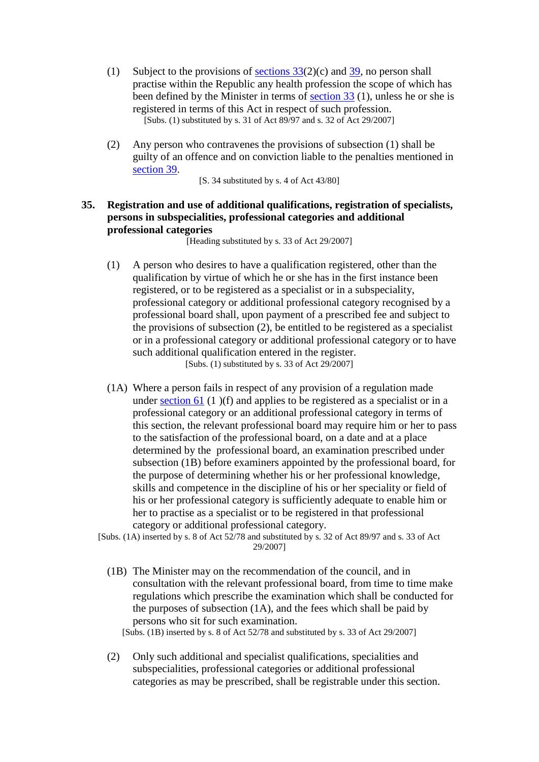- (1) Subject to the provisions of [sections 33\(](http://search.sabinet.co.za/netlawpdf/netlaw/HEALTH%20PROFESSIONS%20ACT.htm#section33#section33)2)(c) and [39,](http://search.sabinet.co.za/netlawpdf/netlaw/HEALTH%20PROFESSIONS%20ACT.htm#section39#section39) no person shall practise within the Republic any health profession the scope of which has been defined by the Minister in terms of [section 33](http://search.sabinet.co.za/netlawpdf/netlaw/HEALTH%20PROFESSIONS%20ACT.htm#section33#section33) (1), unless he or she is registered in terms of this Act in respect of such profession. [Subs. (1) substituted by s. 31 of Act 89/97 and s. 32 of Act 29/2007]
- (2) Any person who contravenes the provisions of subsection (1) shall be guilty of an offence and on conviction liable to the penalties mentioned in [section 39.](http://search.sabinet.co.za/netlawpdf/netlaw/HEALTH%20PROFESSIONS%20ACT.htm#section39#section39)

[S. 34 substituted by s. 4 of Act 43/80]

## **35. Registration and use of additional qualifications, registration of specialists, persons in subspecialities, professional categories and additional professional categories**

[Heading substituted by s. 33 of Act 29/2007]

(1) A person who desires to have a qualification registered, other than the qualification by virtue of which he or she has in the first instance been registered, or to be registered as a specialist or in a subspeciality, professional category or additional professional category recognised by a professional board shall, upon payment of a prescribed fee and subject to the provisions of subsection (2), be entitled to be registered as a specialist or in a professional category or additional professional category or to have such additional qualification entered in the register.

[Subs. (1) substituted by s. 33 of Act 29/2007]

- (1A) Where a person fails in respect of any provision of a regulation made under [section 61](http://search.sabinet.co.za/netlawpdf/netlaw/HEALTH%20PROFESSIONS%20ACT.htm#section61#section61) (1)(f) and applies to be registered as a specialist or in a professional category or an additional professional category in terms of this section, the relevant professional board may require him or her to pass to the satisfaction of the professional board, on a date and at a place determined by the professional board, an examination prescribed under subsection (1B) before examiners appointed by the professional board, for the purpose of determining whether his or her professional knowledge, skills and competence in the discipline of his or her speciality or field of his or her professional category is sufficiently adequate to enable him or her to practise as a specialist or to be registered in that professional category or additional professional category.
- [Subs. (1A) inserted by s. 8 of Act 52/78 and substituted by s. 32 of Act 89/97 and s. 33 of Act 29/2007]
	- (1B) The Minister may on the recommendation of the council, and in consultation with the relevant professional board, from time to time make regulations which prescribe the examination which shall be conducted for the purposes of subsection (1A), and the fees which shall be paid by persons who sit for such examination.

[Subs. (1B) inserted by s. 8 of Act 52/78 and substituted by s. 33 of Act 29/2007]

(2) Only such additional and specialist qualifications, specialities and subspecialities, professional categories or additional professional categories as may be prescribed, shall be registrable under this section.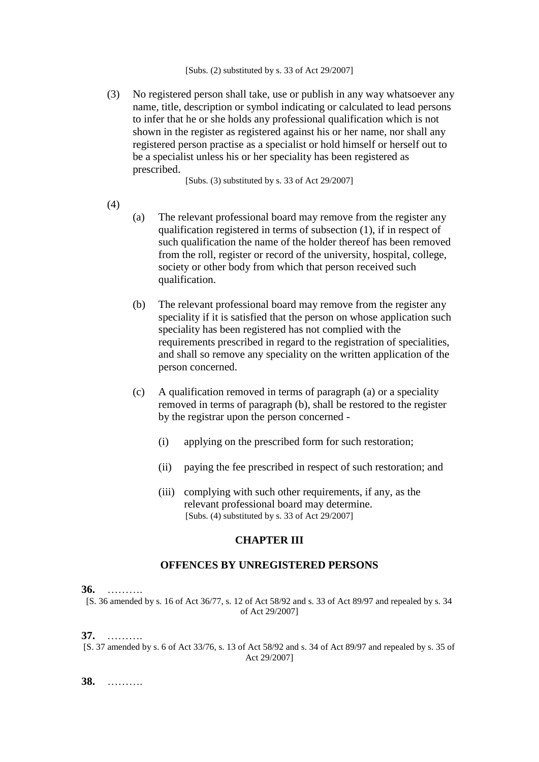(3) No registered person shall take, use or publish in any way whatsoever any name, title, description or symbol indicating or calculated to lead persons to infer that he or she holds any professional qualification which is not shown in the register as registered against his or her name, nor shall any registered person practise as a specialist or hold himself or herself out to be a specialist unless his or her speciality has been registered as prescribed.

[Subs. (3) substituted by s. 33 of Act 29/2007]

### (4)

- (a) The relevant professional board may remove from the register any qualification registered in terms of subsection (1), if in respect of such qualification the name of the holder thereof has been removed from the roll, register or record of the university, hospital, college, society or other body from which that person received such qualification.
- (b) The relevant professional board may remove from the register any speciality if it is satisfied that the person on whose application such speciality has been registered has not complied with the requirements prescribed in regard to the registration of specialities, and shall so remove any speciality on the written application of the person concerned.
- (c) A qualification removed in terms of paragraph (a) or a speciality removed in terms of paragraph (b), shall be restored to the register by the registrar upon the person concerned -
	- (i) applying on the prescribed form for such restoration;
	- (ii) paying the fee prescribed in respect of such restoration; and
	- (iii) complying with such other requirements, if any, as the relevant professional board may determine. [Subs. (4) substituted by s. 33 of Act 29/2007]

### **CHAPTER III**

### **OFFENCES BY UNREGISTERED PERSONS**

**36.** ……….

[S. 36 amended by s. 16 of Act 36/77, s. 12 of Act 58/92 and s. 33 of Act 89/97 and repealed by s. 34 of Act 29/2007]

**37.** ……….

[S. 37 amended by s. 6 of Act 33/76, s. 13 of Act 58/92 and s. 34 of Act 89/97 and repealed by s. 35 of Act 29/2007]

**38.** ……….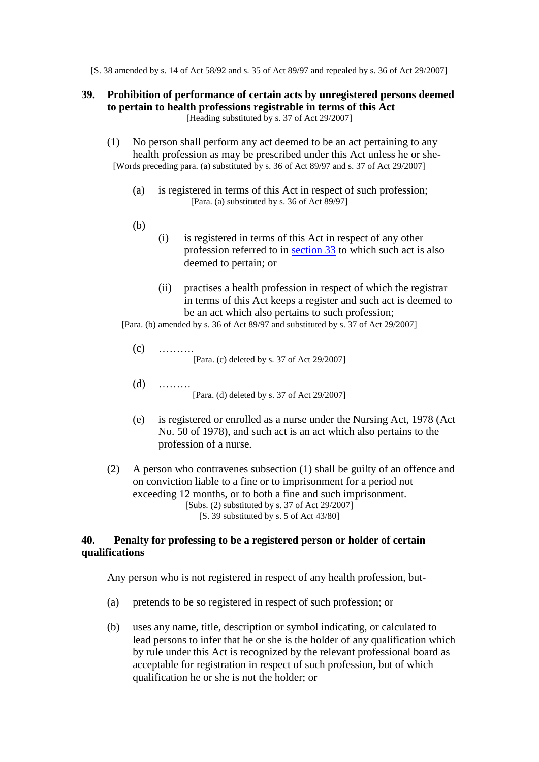[S. 38 amended by s. 14 of Act 58/92 and s. 35 of Act 89/97 and repealed by s. 36 of Act 29/2007]

### **39. Prohibition of performance of certain acts by unregistered persons deemed to pertain to health professions registrable in terms of this Act** [Heading substituted by s. 37 of Act 29/2007]

- (1) No person shall perform any act deemed to be an act pertaining to any health profession as may be prescribed under this Act unless he or she- [Words preceding para. (a) substituted by s. 36 of Act 89/97 and s. 37 of Act 29/2007]
	- (a) is registered in terms of this Act in respect of such profession; [Para. (a) substituted by s. 36 of Act 89/97]
	- (b)
- (i) is registered in terms of this Act in respect of any other profession referred to in [section 33](http://search.sabinet.co.za/netlawpdf/netlaw/HEALTH%20PROFESSIONS%20ACT.htm#section33#section33) to which such act is also deemed to pertain; or
- (ii) practises a health profession in respect of which the registrar in terms of this Act keeps a register and such act is deemed to be an act which also pertains to such profession;

[Para. (b) amended by s. 36 of Act 89/97 and substituted by s. 37 of Act 29/2007]

- $(c)$  ……… [Para. (c) deleted by s. 37 of Act 29/2007]
- (d) ……… [Para. (d) deleted by s. 37 of Act 29/2007]
- (e) is registered or enrolled as a nurse under the Nursing Act, 1978 (Act No. 50 of 1978), and such act is an act which also pertains to the profession of a nurse.
- (2) A person who contravenes subsection (1) shall be guilty of an offence and on conviction liable to a fine or to imprisonment for a period not exceeding 12 months, or to both a fine and such imprisonment. [Subs. (2) substituted by s. 37 of Act  $29/2007$ ] [S. 39 substituted by s. 5 of Act 43/80]

### **40. Penalty for professing to be a registered person or holder of certain qualifications**

Any person who is not registered in respect of any health profession, but-

- (a) pretends to be so registered in respect of such profession; or
- (b) uses any name, title, description or symbol indicating, or calculated to lead persons to infer that he or she is the holder of any qualification which by rule under this Act is recognized by the relevant professional board as acceptable for registration in respect of such profession, but of which qualification he or she is not the holder; or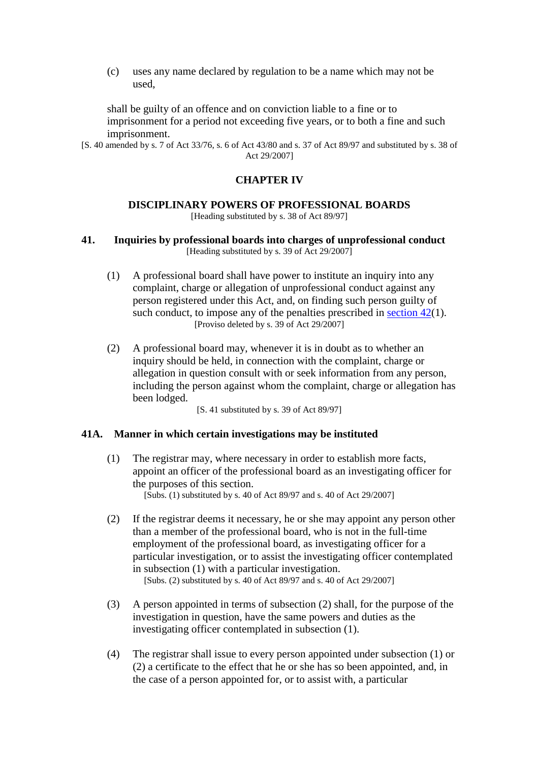(c) uses any name declared by regulation to be a name which may not be used,

shall be guilty of an offence and on conviction liable to a fine or to imprisonment for a period not exceeding five years, or to both a fine and such imprisonment.

[S. 40 amended by s. 7 of Act 33/76, s. 6 of Act 43/80 and s. 37 of Act 89/97 and substituted by s. 38 of Act 29/2007]

## **CHAPTER IV**

### **DISCIPLINARY POWERS OF PROFESSIONAL BOARDS**

[Heading substituted by s. 38 of Act 89/97]

**41. Inquiries by professional boards into charges of unprofessional conduct** [Heading substituted by s. 39 of Act 29/2007]

- (1) A professional board shall have power to institute an inquiry into any complaint, charge or allegation of unprofessional conduct against any person registered under this Act, and, on finding such person guilty of such conduct, to impose any of the penalties prescribed in [section 42\(](http://search.sabinet.co.za/netlawpdf/netlaw/HEALTH%20PROFESSIONS%20ACT.htm#section42#section42)1). [Proviso deleted by s. 39 of Act 29/2007]
- (2) A professional board may, whenever it is in doubt as to whether an inquiry should be held, in connection with the complaint, charge or allegation in question consult with or seek information from any person, including the person against whom the complaint, charge or allegation has been lodged.

[S. 41 substituted by s. 39 of Act 89/97]

### **41A. Manner in which certain investigations may be instituted**

- (1) The registrar may, where necessary in order to establish more facts, appoint an officer of the professional board as an investigating officer for the purposes of this section. [Subs. (1) substituted by s. 40 of Act 89/97 and s. 40 of Act 29/2007]
- (2) If the registrar deems it necessary, he or she may appoint any person other than a member of the professional board, who is not in the full-time employment of the professional board, as investigating officer for a particular investigation, or to assist the investigating officer contemplated in subsection (1) with a particular investigation. [Subs. (2) substituted by s. 40 of Act 89/97 and s. 40 of Act 29/2007]
- (3) A person appointed in terms of subsection (2) shall, for the purpose of the investigation in question, have the same powers and duties as the investigating officer contemplated in subsection (1).
- (4) The registrar shall issue to every person appointed under subsection (1) or (2) a certificate to the effect that he or she has so been appointed, and, in the case of a person appointed for, or to assist with, a particular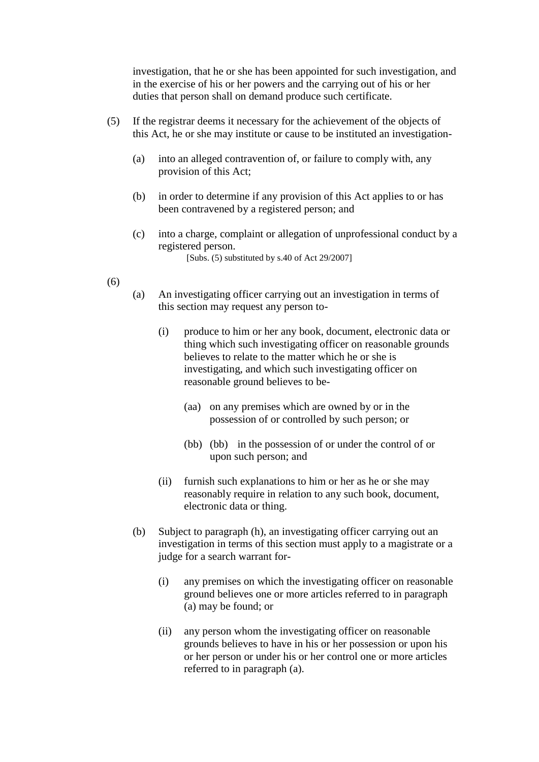investigation, that he or she has been appointed for such investigation, and in the exercise of his or her powers and the carrying out of his or her duties that person shall on demand produce such certificate.

- (5) If the registrar deems it necessary for the achievement of the objects of this Act, he or she may institute or cause to be instituted an investigation-
	- (a) into an alleged contravention of, or failure to comply with, any provision of this Act;
	- (b) in order to determine if any provision of this Act applies to or has been contravened by a registered person; and
	- (c) into a charge, complaint or allegation of unprofessional conduct by a registered person. [Subs. (5) substituted by s.40 of Act 29/2007]
- (6)
- (a) An investigating officer carrying out an investigation in terms of this section may request any person to-
	- (i) produce to him or her any book, document, electronic data or thing which such investigating officer on reasonable grounds believes to relate to the matter which he or she is investigating, and which such investigating officer on reasonable ground believes to be-
		- (aa) on any premises which are owned by or in the possession of or controlled by such person; or
		- (bb) (bb) in the possession of or under the control of or upon such person; and
	- (ii) furnish such explanations to him or her as he or she may reasonably require in relation to any such book, document, electronic data or thing.
- (b) Subject to paragraph (h), an investigating officer carrying out an investigation in terms of this section must apply to a magistrate or a judge for a search warrant for-
	- (i) any premises on which the investigating officer on reasonable ground believes one or more articles referred to in paragraph (a) may be found; or
	- (ii) any person whom the investigating officer on reasonable grounds believes to have in his or her possession or upon his or her person or under his or her control one or more articles referred to in paragraph (a).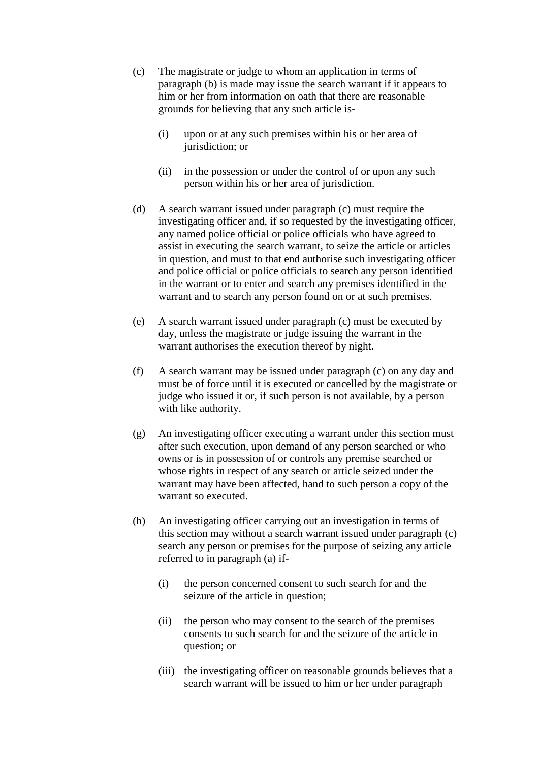- (c) The magistrate or judge to whom an application in terms of paragraph (b) is made may issue the search warrant if it appears to him or her from information on oath that there are reasonable grounds for believing that any such article is-
	- (i) upon or at any such premises within his or her area of jurisdiction; or
	- (ii) in the possession or under the control of or upon any such person within his or her area of jurisdiction.
- (d) A search warrant issued under paragraph (c) must require the investigating officer and, if so requested by the investigating officer, any named police official or police officials who have agreed to assist in executing the search warrant, to seize the article or articles in question, and must to that end authorise such investigating officer and police official or police officials to search any person identified in the warrant or to enter and search any premises identified in the warrant and to search any person found on or at such premises.
- (e) A search warrant issued under paragraph (c) must be executed by day, unless the magistrate or judge issuing the warrant in the warrant authorises the execution thereof by night.
- (f) A search warrant may be issued under paragraph (c) on any day and must be of force until it is executed or cancelled by the magistrate or judge who issued it or, if such person is not available, by a person with like authority.
- (g) An investigating officer executing a warrant under this section must after such execution, upon demand of any person searched or who owns or is in possession of or controls any premise searched or whose rights in respect of any search or article seized under the warrant may have been affected, hand to such person a copy of the warrant so executed.
- (h) An investigating officer carrying out an investigation in terms of this section may without a search warrant issued under paragraph (c) search any person or premises for the purpose of seizing any article referred to in paragraph (a) if-
	- (i) the person concerned consent to such search for and the seizure of the article in question;
	- (ii) the person who may consent to the search of the premises consents to such search for and the seizure of the article in question; or
	- (iii) the investigating officer on reasonable grounds believes that a search warrant will be issued to him or her under paragraph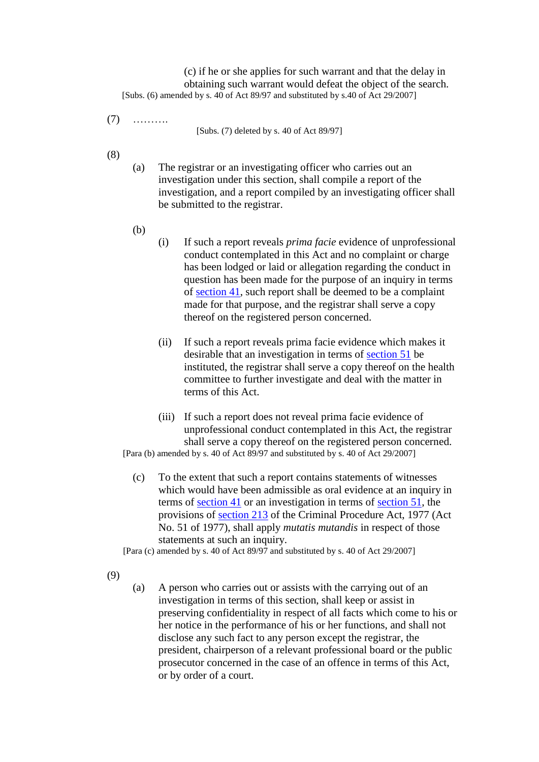(c) if he or she applies for such warrant and that the delay in obtaining such warrant would defeat the object of the search. [Subs. (6) amended by s. 40 of Act 89/97 and substituted by s.40 of Act 29/2007]

(7) ……….

[Subs. (7) deleted by s. 40 of Act 89/97]

- (8)
- (a) The registrar or an investigating officer who carries out an investigation under this section, shall compile a report of the investigation, and a report compiled by an investigating officer shall be submitted to the registrar.
- (b)
- (i) If such a report reveals *prima facie* evidence of unprofessional conduct contemplated in this Act and no complaint or charge has been lodged or laid or allegation regarding the conduct in question has been made for the purpose of an inquiry in terms of [section 41,](http://search.sabinet.co.za/netlawpdf/netlaw/HEALTH%20PROFESSIONS%20ACT.htm#section41#section41) such report shall be deemed to be a complaint made for that purpose, and the registrar shall serve a copy thereof on the registered person concerned.
- (ii) If such a report reveals prima facie evidence which makes it desirable that an investigation in terms of [section 51](http://search.sabinet.co.za/netlawpdf/netlaw/HEALTH%20PROFESSIONS%20ACT.htm#section51#section51) be instituted, the registrar shall serve a copy thereof on the health committee to further investigate and deal with the matter in terms of this Act.
- (iii) If such a report does not reveal prima facie evidence of unprofessional conduct contemplated in this Act, the registrar shall serve a copy thereof on the registered person concerned.

[Para (b) amended by s. 40 of Act 89/97 and substituted by s. 40 of Act 29/2007]

(c) To the extent that such a report contains statements of witnesses which would have been admissible as oral evidence at an inquiry in terms of [section 41](http://search.sabinet.co.za/netlawpdf/netlaw/HEALTH%20PROFESSIONS%20ACT.htm#section41#section41) or an investigation in terms of [section 51,](http://search.sabinet.co.za/netlawpdf/netlaw/HEALTH%20PROFESSIONS%20ACT.htm#section51#section51) the provisions of [section 213](http://search.sabinet.co.za/netlawpdf/netlaw/CRIMINAL%20PROCEDURE%20ACT.htm#section213) of the Criminal Procedure Act, 1977 (Act No. 51 of 1977), shall apply *mutatis mutandis* in respect of those statements at such an inquiry.

[Para (c) amended by s. 40 of Act 89/97 and substituted by s. 40 of Act 29/2007]

(9)

(a) A person who carries out or assists with the carrying out of an investigation in terms of this section, shall keep or assist in preserving confidentiality in respect of all facts which come to his or her notice in the performance of his or her functions, and shall not disclose any such fact to any person except the registrar, the president, chairperson of a relevant professional board or the public prosecutor concerned in the case of an offence in terms of this Act, or by order of a court.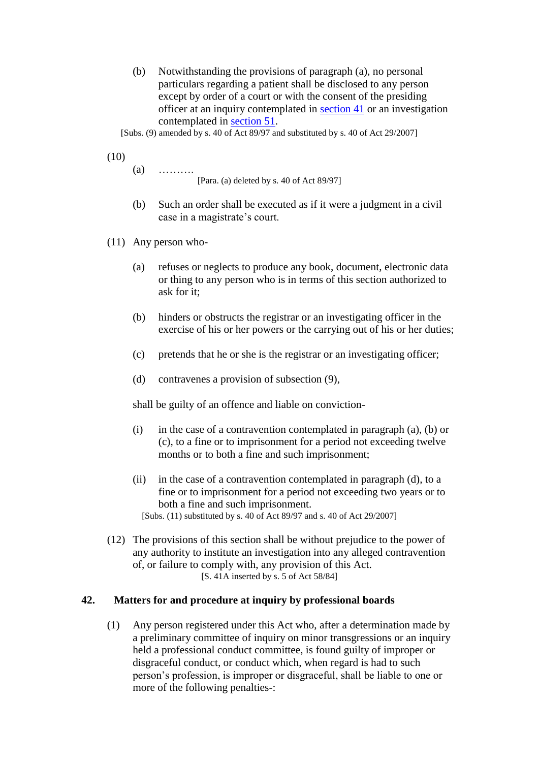(b) Notwithstanding the provisions of paragraph (a), no personal particulars regarding a patient shall be disclosed to any person except by order of a court or with the consent of the presiding officer at an inquiry contemplated in [section 41](http://search.sabinet.co.za/netlawpdf/netlaw/HEALTH%20PROFESSIONS%20ACT.htm#section41#section41) or an investigation contemplated in [section 51.](http://search.sabinet.co.za/netlawpdf/netlaw/HEALTH%20PROFESSIONS%20ACT.htm#section51#section51)

[Subs. (9) amended by s. 40 of Act 89/97 and substituted by s. 40 of Act 29/2007]

(10)

 $(a)$  ………

[Para. (a) deleted by s. 40 of Act 89/97]

- (b) Such an order shall be executed as if it were a judgment in a civil case in a magistrate's court.
- (11) Any person who-
	- (a) refuses or neglects to produce any book, document, electronic data or thing to any person who is in terms of this section authorized to ask for it;
	- (b) hinders or obstructs the registrar or an investigating officer in the exercise of his or her powers or the carrying out of his or her duties;
	- (c) pretends that he or she is the registrar or an investigating officer;
	- (d) contravenes a provision of subsection (9),

shall be guilty of an offence and liable on conviction-

- (i) in the case of a contravention contemplated in paragraph (a), (b) or (c), to a fine or to imprisonment for a period not exceeding twelve months or to both a fine and such imprisonment;
- (ii) in the case of a contravention contemplated in paragraph (d), to a fine or to imprisonment for a period not exceeding two years or to both a fine and such imprisonment. [Subs. (11) substituted by s. 40 of Act 89/97 and s. 40 of Act 29/2007]
- (12) The provisions of this section shall be without prejudice to the power of any authority to institute an investigation into any alleged contravention of, or failure to comply with, any provision of this Act. [S. 41A inserted by s. 5 of Act 58/84]

## **42. Matters for and procedure at inquiry by professional boards**

(1) Any person registered under this Act who, after a determination made by a preliminary committee of inquiry on minor transgressions or an inquiry held a professional conduct committee, is found guilty of improper or disgraceful conduct, or conduct which, when regard is had to such person's profession, is improper or disgraceful, shall be liable to one or more of the following penalties-: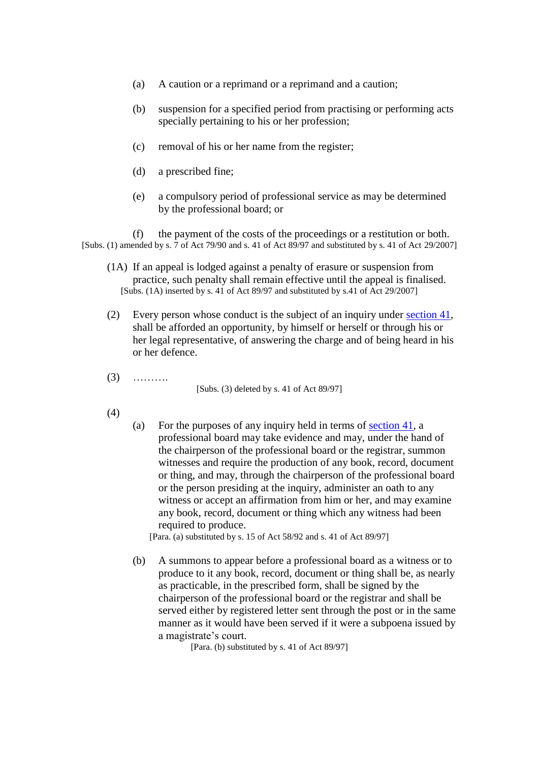- (a) A caution or a reprimand or a reprimand and a caution;
- (b) suspension for a specified period from practising or performing acts specially pertaining to his or her profession;
- (c) removal of his or her name from the register;
- (d) a prescribed fine;
- (e) a compulsory period of professional service as may be determined by the professional board; or

(f) the payment of the costs of the proceedings or a restitution or both. [Subs. (1) amended by s. 7 of Act 79/90 and s. 41 of Act 89/97 and substituted by s. 41 of Act 29/2007]

- (1A) If an appeal is lodged against a penalty of erasure or suspension from practice, such penalty shall remain effective until the appeal is finalised. [Subs. (1A) inserted by s. 41 of Act 89/97 and substituted by s.41 of Act 29/2007]
- (2) Every person whose conduct is the subject of an inquiry under [section 41,](http://search.sabinet.co.za/netlawpdf/netlaw/HEALTH%20PROFESSIONS%20ACT.htm#section41#section41) shall be afforded an opportunity, by himself or herself or through his or her legal representative, of answering the charge and of being heard in his or her defence.
- (3) ……….

[Subs. (3) deleted by s. 41 of Act 89/97]

- (4)
- (a) For the purposes of any inquiry held in terms of [section 41,](http://search.sabinet.co.za/netlawpdf/netlaw/HEALTH%20PROFESSIONS%20ACT.htm#section41#section41) a professional board may take evidence and may, under the hand of the chairperson of the professional board or the registrar, summon witnesses and require the production of any book, record, document or thing, and may, through the chairperson of the professional board or the person presiding at the inquiry, administer an oath to any witness or accept an affirmation from him or her, and may examine any book, record, document or thing which any witness had been required to produce.

[Para. (a) substituted by s. 15 of Act 58/92 and s. 41 of Act 89/97]

(b) A summons to appear before a professional board as a witness or to produce to it any book, record, document or thing shall be, as nearly as practicable, in the prescribed form, shall be signed by the chairperson of the professional board or the registrar and shall be served either by registered letter sent through the post or in the same manner as it would have been served if it were a subpoena issued by a magistrate's court.

[Para. (b) substituted by s. 41 of Act 89/97]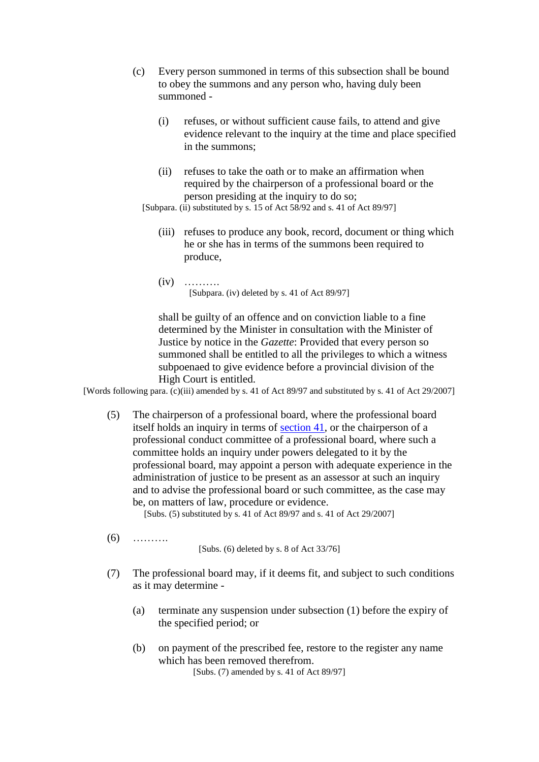- (c) Every person summoned in terms of this subsection shall be bound to obey the summons and any person who, having duly been summoned -
	- (i) refuses, or without sufficient cause fails, to attend and give evidence relevant to the inquiry at the time and place specified in the summons;
	- (ii) refuses to take the oath or to make an affirmation when required by the chairperson of a professional board or the person presiding at the inquiry to do so;

[Subpara. (ii) substituted by s. 15 of Act 58/92 and s. 41 of Act 89/97]

- (iii) refuses to produce any book, record, document or thing which he or she has in terms of the summons been required to produce,
- (iv) ………. [Subpara. (iv) deleted by s. 41 of Act 89/97]

shall be guilty of an offence and on conviction liable to a fine determined by the Minister in consultation with the Minister of Justice by notice in the *Gazette*: Provided that every person so summoned shall be entitled to all the privileges to which a witness subpoenaed to give evidence before a provincial division of the High Court is entitled.

[Words following para. (c)(iii) amended by s. 41 of Act 89/97 and substituted by s. 41 of Act 29/2007]

(5) The chairperson of a professional board, where the professional board itself holds an inquiry in terms of [section 41,](http://search.sabinet.co.za/netlawpdf/netlaw/HEALTH%20PROFESSIONS%20ACT.htm#section41#section41) or the chairperson of a professional conduct committee of a professional board, where such a committee holds an inquiry under powers delegated to it by the professional board, may appoint a person with adequate experience in the administration of justice to be present as an assessor at such an inquiry and to advise the professional board or such committee, as the case may be, on matters of law, procedure or evidence.

[Subs. (5) substituted by s. 41 of Act 89/97 and s. 41 of Act 29/2007]

(6) ……….

[Subs. (6) deleted by s. 8 of Act 33/76]

- (7) The professional board may, if it deems fit, and subject to such conditions as it may determine -
	- (a) terminate any suspension under subsection (1) before the expiry of the specified period; or
	- (b) on payment of the prescribed fee, restore to the register any name which has been removed therefrom. [Subs. (7) amended by s. 41 of Act 89/97]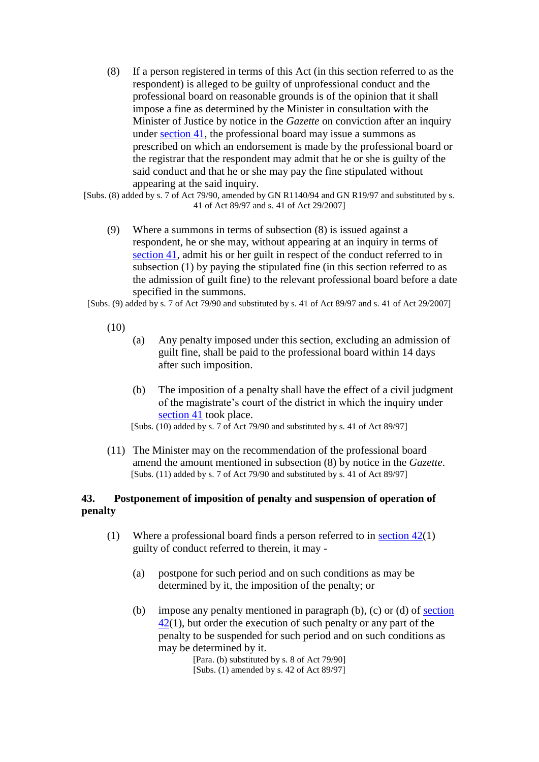(8) If a person registered in terms of this Act (in this section referred to as the respondent) is alleged to be guilty of unprofessional conduct and the professional board on reasonable grounds is of the opinion that it shall impose a fine as determined by the Minister in consultation with the Minister of Justice by notice in the *Gazette* on conviction after an inquiry under [section 41,](http://search.sabinet.co.za/netlawpdf/netlaw/HEALTH%20PROFESSIONS%20ACT.htm#section41#section41) the professional board may issue a summons as prescribed on which an endorsement is made by the professional board or the registrar that the respondent may admit that he or she is guilty of the said conduct and that he or she may pay the fine stipulated without appearing at the said inquiry.

[Subs. (8) added by s. 7 of Act 79/90, amended by GN R1140/94 and GN R19/97 and substituted by s. 41 of Act 89/97 and s. 41 of Act 29/2007]

(9) Where a summons in terms of subsection (8) is issued against a respondent, he or she may, without appearing at an inquiry in terms of [section 41,](http://search.sabinet.co.za/netlawpdf/netlaw/HEALTH%20PROFESSIONS%20ACT.htm#section41#section41) admit his or her guilt in respect of the conduct referred to in subsection (1) by paying the stipulated fine (in this section referred to as the admission of guilt fine) to the relevant professional board before a date specified in the summons.

[Subs. (9) added by s. 7 of Act 79/90 and substituted by s. 41 of Act 89/97 and s. 41 of Act 29/2007]

- (10)
- (a) Any penalty imposed under this section, excluding an admission of guilt fine, shall be paid to the professional board within 14 days after such imposition.
- (b) The imposition of a penalty shall have the effect of a civil judgment of the magistrate's court of the district in which the inquiry under [section 41](http://search.sabinet.co.za/netlawpdf/netlaw/HEALTH%20PROFESSIONS%20ACT.htm#section41#section41) took place.

[Subs. (10) added by s. 7 of Act 79/90 and substituted by s. 41 of Act 89/97]

(11) The Minister may on the recommendation of the professional board amend the amount mentioned in subsection (8) by notice in the *Gazette*. [Subs. (11) added by s. 7 of Act 79/90 and substituted by s. 41 of Act 89/97]

## **43. Postponement of imposition of penalty and suspension of operation of penalty**

- (1) Where a professional board finds a person referred to in section  $42(1)$ guilty of conduct referred to therein, it may -
	- (a) postpone for such period and on such conditions as may be determined by it, the imposition of the penalty; or
	- (b) impose any penalty mentioned in paragraph (b), (c) or (d) of [section](http://search.sabinet.co.za/netlawpdf/netlaw/HEALTH%20PROFESSIONS%20ACT.htm#section42#section42)   $\frac{42(1)}{2}$  $\frac{42(1)}{2}$  $\frac{42(1)}{2}$ , but order the execution of such penalty or any part of the penalty to be suspended for such period and on such conditions as may be determined by it.

[Para. (b) substituted by s. 8 of Act 79/90] [Subs. (1) amended by s. 42 of Act 89/97]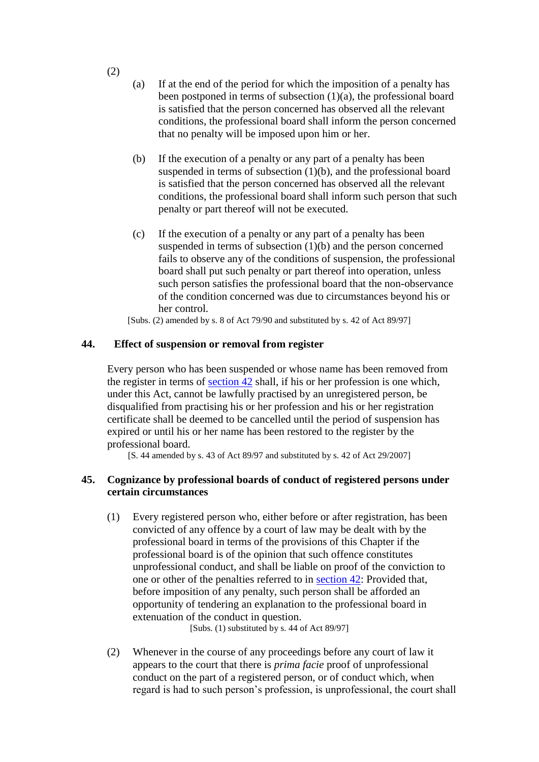- (a) If at the end of the period for which the imposition of a penalty has been postponed in terms of subsection  $(1)(a)$ , the professional board is satisfied that the person concerned has observed all the relevant conditions, the professional board shall inform the person concerned that no penalty will be imposed upon him or her.
- (b) If the execution of a penalty or any part of a penalty has been suspended in terms of subsection  $(1)(b)$ , and the professional board is satisfied that the person concerned has observed all the relevant conditions, the professional board shall inform such person that such penalty or part thereof will not be executed.
- (c) If the execution of a penalty or any part of a penalty has been suspended in terms of subsection (1)(b) and the person concerned fails to observe any of the conditions of suspension, the professional board shall put such penalty or part thereof into operation, unless such person satisfies the professional board that the non-observance of the condition concerned was due to circumstances beyond his or her control.

[Subs. (2) amended by s. 8 of Act 79/90 and substituted by s. 42 of Act 89/97]

### **44. Effect of suspension or removal from register**

Every person who has been suspended or whose name has been removed from the register in terms of [section 42](http://search.sabinet.co.za/netlawpdf/netlaw/HEALTH%20PROFESSIONS%20ACT.htm#section42#section42) shall, if his or her profession is one which, under this Act, cannot be lawfully practised by an unregistered person, be disqualified from practising his or her profession and his or her registration certificate shall be deemed to be cancelled until the period of suspension has expired or until his or her name has been restored to the register by the professional board.

[S. 44 amended by s. 43 of Act 89/97 and substituted by s. 42 of Act 29/2007]

### **45. Cognizance by professional boards of conduct of registered persons under certain circumstances**

(1) Every registered person who, either before or after registration, has been convicted of any offence by a court of law may be dealt with by the professional board in terms of the provisions of this Chapter if the professional board is of the opinion that such offence constitutes unprofessional conduct, and shall be liable on proof of the conviction to one or other of the penalties referred to in [section 42:](http://search.sabinet.co.za/netlawpdf/netlaw/HEALTH%20PROFESSIONS%20ACT.htm#section42#section42) Provided that, before imposition of any penalty, such person shall be afforded an opportunity of tendering an explanation to the professional board in extenuation of the conduct in question.

[Subs. (1) substituted by s. 44 of Act 89/97]

(2) Whenever in the course of any proceedings before any court of law it appears to the court that there is *prima facie* proof of unprofessional conduct on the part of a registered person, or of conduct which, when regard is had to such person's profession, is unprofessional, the court shall

(2)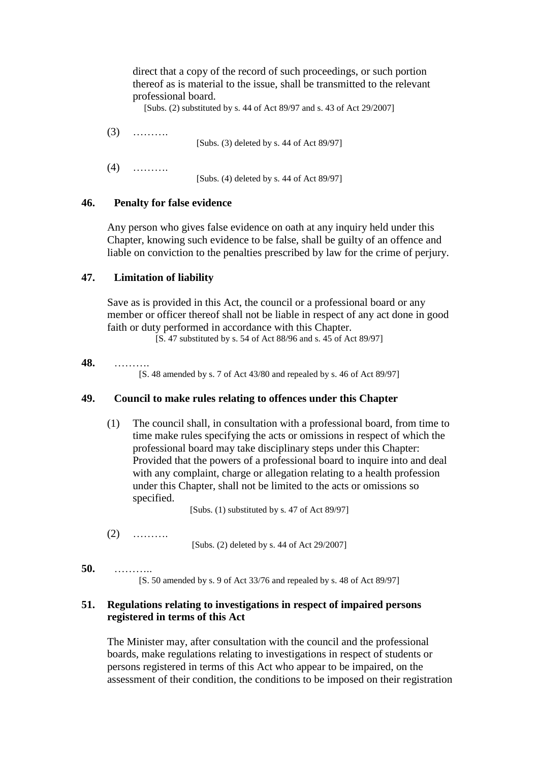direct that a copy of the record of such proceedings, or such portion thereof as is material to the issue, shall be transmitted to the relevant professional board.

[Subs. (2) substituted by s. 44 of Act 89/97 and s. 43 of Act 29/2007]

 $(3)$  ……… [Subs. (3) deleted by s. 44 of Act 89/97] (4) ………. [Subs. (4) deleted by s. 44 of Act 89/97]

### **46. Penalty for false evidence**

Any person who gives false evidence on oath at any inquiry held under this Chapter, knowing such evidence to be false, shall be guilty of an offence and liable on conviction to the penalties prescribed by law for the crime of perjury.

## **47. Limitation of liability**

Save as is provided in this Act, the council or a professional board or any member or officer thereof shall not be liable in respect of any act done in good faith or duty performed in accordance with this Chapter.

[S. 47 substituted by s. 54 of Act 88/96 and s. 45 of Act 89/97]

### **48.** ……….

[S. 48 amended by s. 7 of Act 43/80 and repealed by s. 46 of Act 89/97]

### **49. Council to make rules relating to offences under this Chapter**

(1) The council shall, in consultation with a professional board, from time to time make rules specifying the acts or omissions in respect of which the professional board may take disciplinary steps under this Chapter: Provided that the powers of a professional board to inquire into and deal with any complaint, charge or allegation relating to a health profession under this Chapter, shall not be limited to the acts or omissions so specified.

[Subs. (1) substituted by s. 47 of Act 89/97]

(2) ……….

[Subs. (2) deleted by s. 44 of Act 29/2007]

### **50.** ………..

[S. 50 amended by s. 9 of Act 33/76 and repealed by s. 48 of Act 89/97]

## **51. Regulations relating to investigations in respect of impaired persons registered in terms of this Act**

The Minister may, after consultation with the council and the professional boards, make regulations relating to investigations in respect of students or persons registered in terms of this Act who appear to be impaired, on the assessment of their condition, the conditions to be imposed on their registration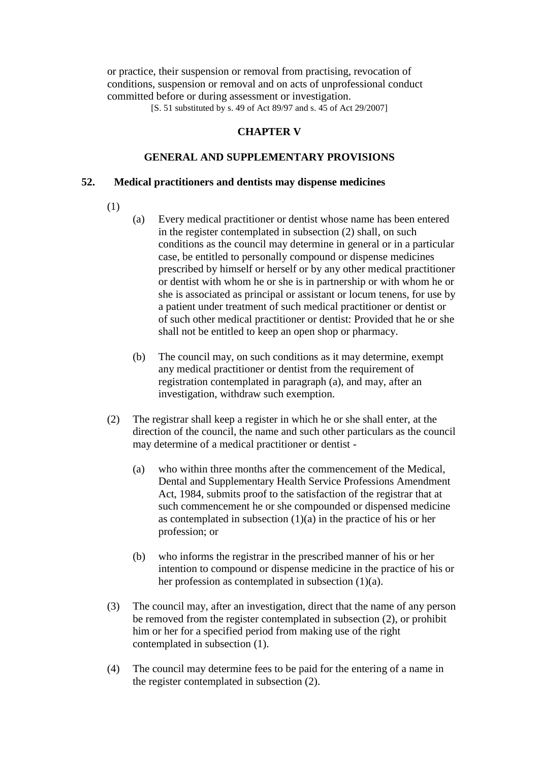or practice, their suspension or removal from practising, revocation of conditions, suspension or removal and on acts of unprofessional conduct committed before or during assessment or investigation.

[S. 51 substituted by s. 49 of Act 89/97 and s. 45 of Act 29/2007]

## **CHAPTER V**

### **GENERAL AND SUPPLEMENTARY PROVISIONS**

### **52. Medical practitioners and dentists may dispense medicines**

- (1)
- (a) Every medical practitioner or dentist whose name has been entered in the register contemplated in subsection (2) shall, on such conditions as the council may determine in general or in a particular case, be entitled to personally compound or dispense medicines prescribed by himself or herself or by any other medical practitioner or dentist with whom he or she is in partnership or with whom he or she is associated as principal or assistant or locum tenens, for use by a patient under treatment of such medical practitioner or dentist or of such other medical practitioner or dentist: Provided that he or she shall not be entitled to keep an open shop or pharmacy.
- (b) The council may, on such conditions as it may determine, exempt any medical practitioner or dentist from the requirement of registration contemplated in paragraph (a), and may, after an investigation, withdraw such exemption.
- (2) The registrar shall keep a register in which he or she shall enter, at the direction of the council, the name and such other particulars as the council may determine of a medical practitioner or dentist -
	- (a) who within three months after the commencement of the Medical, Dental and Supplementary Health Service Professions Amendment Act, 1984, submits proof to the satisfaction of the registrar that at such commencement he or she compounded or dispensed medicine as contemplated in subsection  $(1)(a)$  in the practice of his or her profession; or
	- (b) who informs the registrar in the prescribed manner of his or her intention to compound or dispense medicine in the practice of his or her profession as contemplated in subsection (1)(a).
- (3) The council may, after an investigation, direct that the name of any person be removed from the register contemplated in subsection (2), or prohibit him or her for a specified period from making use of the right contemplated in subsection (1).
- (4) The council may determine fees to be paid for the entering of a name in the register contemplated in subsection (2).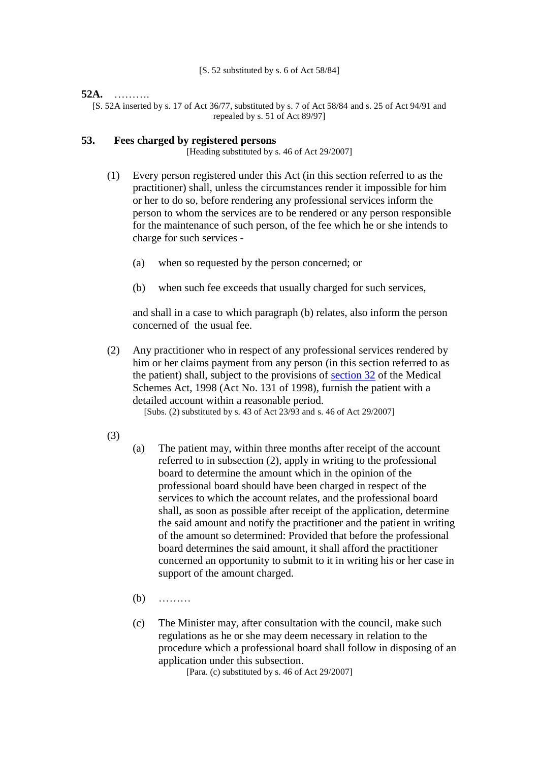[S. 52 substituted by s. 6 of Act 58/84]

### **52A.** ……….

[S. 52A inserted by s. 17 of Act 36/77, substituted by s. 7 of Act 58/84 and s. 25 of Act 94/91 and repealed by s. 51 of Act 89/97]

### **53. Fees charged by registered persons**

[Heading substituted by s. 46 of Act 29/2007]

- (1) Every person registered under this Act (in this section referred to as the practitioner) shall, unless the circumstances render it impossible for him or her to do so, before rendering any professional services inform the person to whom the services are to be rendered or any person responsible for the maintenance of such person, of the fee which he or she intends to charge for such services -
	- (a) when so requested by the person concerned; or
	- (b) when such fee exceeds that usually charged for such services,

and shall in a case to which paragraph (b) relates, also inform the person concerned of the usual fee.

(2) Any practitioner who in respect of any professional services rendered by him or her claims payment from any person (in this section referred to as the patient) shall, subject to the provisions of [section 32](http://search.sabinet.co.za/netlawpdf/netlaw/HEALTH%20PROFESSIONS%20ACT.htm#section32#section32) of the Medical Schemes Act, 1998 (Act No. 131 of 1998), furnish the patient with a detailed account within a reasonable period.

[Subs. (2) substituted by s. 43 of Act 23/93 and s. 46 of Act 29/2007]

- (3)
- (a) The patient may, within three months after receipt of the account referred to in subsection (2), apply in writing to the professional board to determine the amount which in the opinion of the professional board should have been charged in respect of the services to which the account relates, and the professional board shall, as soon as possible after receipt of the application, determine the said amount and notify the practitioner and the patient in writing of the amount so determined: Provided that before the professional board determines the said amount, it shall afford the practitioner concerned an opportunity to submit to it in writing his or her case in support of the amount charged.
- (b) ………
- (c) The Minister may, after consultation with the council, make such regulations as he or she may deem necessary in relation to the procedure which a professional board shall follow in disposing of an application under this subsection.

[Para. (c) substituted by s. 46 of Act 29/2007]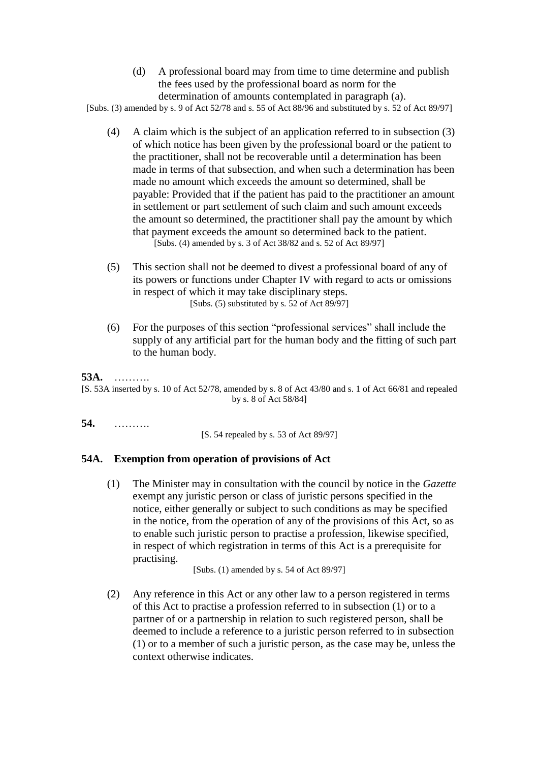(d) A professional board may from time to time determine and publish the fees used by the professional board as norm for the determination of amounts contemplated in paragraph (a).

[Subs. (3) amended by s. 9 of Act 52/78 and s. 55 of Act 88/96 and substituted by s. 52 of Act 89/97]

- (4) A claim which is the subject of an application referred to in subsection (3) of which notice has been given by the professional board or the patient to the practitioner, shall not be recoverable until a determination has been made in terms of that subsection, and when such a determination has been made no amount which exceeds the amount so determined, shall be payable: Provided that if the patient has paid to the practitioner an amount in settlement or part settlement of such claim and such amount exceeds the amount so determined, the practitioner shall pay the amount by which that payment exceeds the amount so determined back to the patient. [Subs. (4) amended by s. 3 of Act 38/82 and s. 52 of Act 89/97]
- (5) This section shall not be deemed to divest a professional board of any of its powers or functions under Chapter IV with regard to acts or omissions in respect of which it may take disciplinary steps. [Subs. (5) substituted by s. 52 of Act 89/97]
- (6) For the purposes of this section "professional services" shall include the supply of any artificial part for the human body and the fitting of such part to the human body.

## **53A.** ……….

[S. 53A inserted by s. 10 of Act 52/78, amended by s. 8 of Act 43/80 and s. 1 of Act 66/81 and repealed by s. 8 of Act 58/84]

**54.** ……….

[S. 54 repealed by s. 53 of Act 89/97]

## **54A. Exemption from operation of provisions of Act**

(1) The Minister may in consultation with the council by notice in the *Gazette* exempt any juristic person or class of juristic persons specified in the notice, either generally or subject to such conditions as may be specified in the notice, from the operation of any of the provisions of this Act, so as to enable such juristic person to practise a profession, likewise specified, in respect of which registration in terms of this Act is a prerequisite for practising.

[Subs.  $(1)$  amended by s. 54 of Act 89/97]

(2) Any reference in this Act or any other law to a person registered in terms of this Act to practise a profession referred to in subsection (1) or to a partner of or a partnership in relation to such registered person, shall be deemed to include a reference to a juristic person referred to in subsection (1) or to a member of such a juristic person, as the case may be, unless the context otherwise indicates.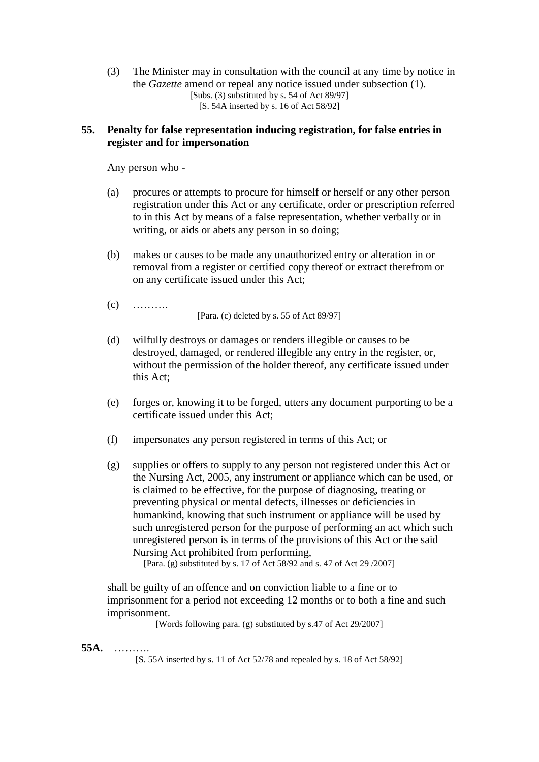(3) The Minister may in consultation with the council at any time by notice in the *Gazette* amend or repeal any notice issued under subsection (1). [Subs. (3) substituted by s. 54 of Act 89/97] [S. 54A inserted by s. 16 of Act 58/92]

### **55. Penalty for false representation inducing registration, for false entries in register and for impersonation**

Any person who -

- (a) procures or attempts to procure for himself or herself or any other person registration under this Act or any certificate, order or prescription referred to in this Act by means of a false representation, whether verbally or in writing, or aids or abets any person in so doing;
- (b) makes or causes to be made any unauthorized entry or alteration in or removal from a register or certified copy thereof or extract therefrom or on any certificate issued under this Act;
- $(c)$  ……… [Para. (c) deleted by s. 55 of Act 89/97]
- (d) wilfully destroys or damages or renders illegible or causes to be destroyed, damaged, or rendered illegible any entry in the register, or, without the permission of the holder thereof, any certificate issued under this Act;
- (e) forges or, knowing it to be forged, utters any document purporting to be a certificate issued under this Act;
- (f) impersonates any person registered in terms of this Act; or
- (g) supplies or offers to supply to any person not registered under this Act or the Nursing Act, 2005, any instrument or appliance which can be used, or is claimed to be effective, for the purpose of diagnosing, treating or preventing physical or mental defects, illnesses or deficiencies in humankind, knowing that such instrument or appliance will be used by such unregistered person for the purpose of performing an act which such unregistered person is in terms of the provisions of this Act or the said Nursing Act prohibited from performing,

[Para. (g) substituted by s. 17 of Act 58/92 and s. 47 of Act 29 /2007]

shall be guilty of an offence and on conviction liable to a fine or to imprisonment for a period not exceeding 12 months or to both a fine and such imprisonment.

[Words following para. (g) substituted by s.47 of Act 29/2007]

### **55A.** ……….

[S. 55A inserted by s. 11 of Act 52/78 and repealed by s. 18 of Act 58/92]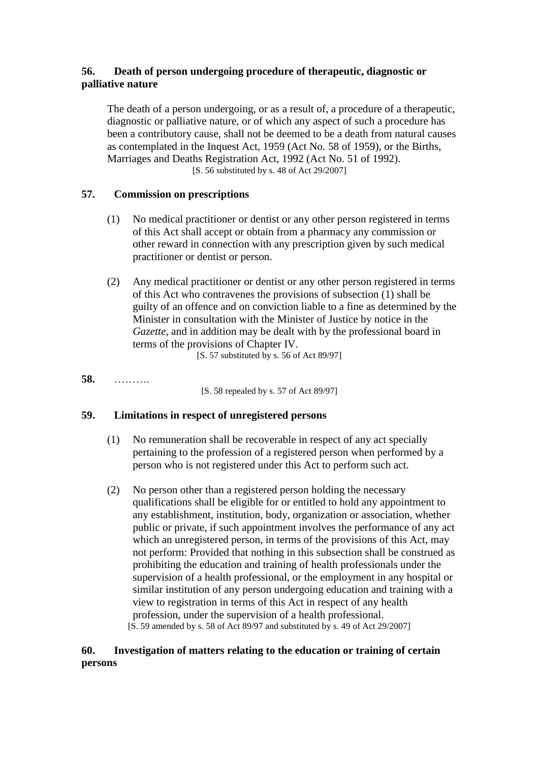## **56. Death of person undergoing procedure of therapeutic, diagnostic or palliative nature**

The death of a person undergoing, or as a result of, a procedure of a therapeutic, diagnostic or palliative nature, or of which any aspect of such a procedure has been a contributory cause, shall not be deemed to be a death from natural causes as contemplated in the Inquest Act, 1959 (Act No. 58 of 1959), or the Births, Marriages and Deaths Registration Act, 1992 (Act No. 51 of 1992). [S. 56 substituted by s. 48 of Act 29/2007]

## **57. Commission on prescriptions**

- (1) No medical practitioner or dentist or any other person registered in terms of this Act shall accept or obtain from a pharmacy any commission or other reward in connection with any prescription given by such medical practitioner or dentist or person.
- (2) Any medical practitioner or dentist or any other person registered in terms of this Act who contravenes the provisions of subsection (1) shall be guilty of an offence and on conviction liable to a fine as determined by the Minister in consultation with the Minister of Justice by notice in the *Gazette*, and in addition may be dealt with by the professional board in terms of the provisions of Chapter IV.

[S. 57 substituted by s. 56 of Act 89/97]

**58.** ……….

[S. 58 repealed by s. 57 of Act 89/97]

### **59. Limitations in respect of unregistered persons**

- (1) No remuneration shall be recoverable in respect of any act specially pertaining to the profession of a registered person when performed by a person who is not registered under this Act to perform such act.
- (2) No person other than a registered person holding the necessary qualifications shall be eligible for or entitled to hold any appointment to any establishment, institution, body, organization or association, whether public or private, if such appointment involves the performance of any act which an unregistered person, in terms of the provisions of this Act, may not perform: Provided that nothing in this subsection shall be construed as prohibiting the education and training of health professionals under the supervision of a health professional, or the employment in any hospital or similar institution of any person undergoing education and training with a view to registration in terms of this Act in respect of any health profession, under the supervision of a health professional. [S. 59 amended by s. 58 of Act 89/97 and substituted by s. 49 of Act 29/2007]

## **60. Investigation of matters relating to the education or training of certain persons**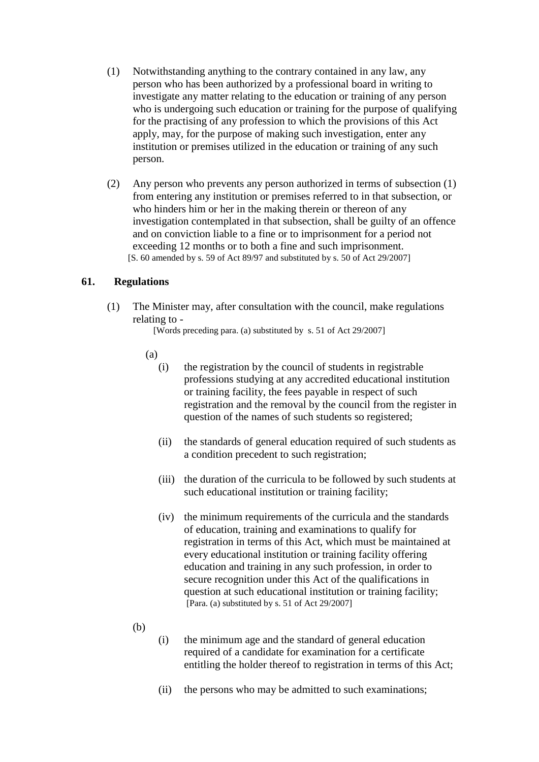- (1) Notwithstanding anything to the contrary contained in any law, any person who has been authorized by a professional board in writing to investigate any matter relating to the education or training of any person who is undergoing such education or training for the purpose of qualifying for the practising of any profession to which the provisions of this Act apply, may, for the purpose of making such investigation, enter any institution or premises utilized in the education or training of any such person.
- (2) Any person who prevents any person authorized in terms of subsection (1) from entering any institution or premises referred to in that subsection, or who hinders him or her in the making therein or thereon of any investigation contemplated in that subsection, shall be guilty of an offence and on conviction liable to a fine or to imprisonment for a period not exceeding 12 months or to both a fine and such imprisonment. [S. 60 amended by s. 59 of Act 89/97 and substituted by s. 50 of Act 29/2007]

## **61. Regulations**

(1) The Minister may, after consultation with the council, make regulations relating to -

[Words preceding para. (a) substituted by s. 51 of Act 29/2007]

- (a)
	- (i) the registration by the council of students in registrable professions studying at any accredited educational institution or training facility, the fees payable in respect of such registration and the removal by the council from the register in question of the names of such students so registered;
	- (ii) the standards of general education required of such students as a condition precedent to such registration;
	- (iii) the duration of the curricula to be followed by such students at such educational institution or training facility;
	- (iv) the minimum requirements of the curricula and the standards of education, training and examinations to qualify for registration in terms of this Act, which must be maintained at every educational institution or training facility offering education and training in any such profession, in order to secure recognition under this Act of the qualifications in question at such educational institution or training facility; [Para. (a) substituted by s. 51 of Act  $29/2007$ ]
- (b)
	- (i) the minimum age and the standard of general education required of a candidate for examination for a certificate entitling the holder thereof to registration in terms of this Act;
	- (ii) the persons who may be admitted to such examinations;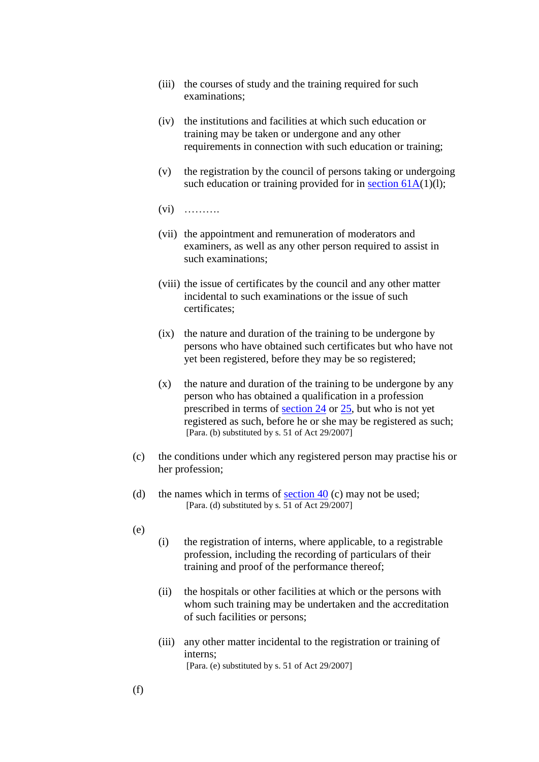- (iii) the courses of study and the training required for such examinations;
- (iv) the institutions and facilities at which such education or training may be taken or undergone and any other requirements in connection with such education or training;
- (v) the registration by the council of persons taking or undergoing such education or training provided for in section  $61A(1)(l)$ ;
- $(vi)$  ………
- (vii) the appointment and remuneration of moderators and examiners, as well as any other person required to assist in such examinations;
- (viii) the issue of certificates by the council and any other matter incidental to such examinations or the issue of such certificates;
- (ix) the nature and duration of the training to be undergone by persons who have obtained such certificates but who have not yet been registered, before they may be so registered;
- (x) the nature and duration of the training to be undergone by any person who has obtained a qualification in a profession prescribed in terms of [section 24](http://search.sabinet.co.za/netlawpdf/netlaw/HEALTH%20PROFESSIONS%20ACT.htm#section24#section24) or [25,](http://search.sabinet.co.za/netlawpdf/netlaw/HEALTH%20PROFESSIONS%20ACT.htm#section25#section25) but who is not yet registered as such, before he or she may be registered as such; [Para. (b) substituted by s. 51 of Act 29/2007]
- (c) the conditions under which any registered person may practise his or her profession;
- (d) the names which in terms of section  $40$  (c) may not be used; [Para. (d) substituted by s. 51 of Act 29/2007]
- (e)
- (i) the registration of interns, where applicable, to a registrable profession, including the recording of particulars of their training and proof of the performance thereof;
- (ii) the hospitals or other facilities at which or the persons with whom such training may be undertaken and the accreditation of such facilities or persons;
- (iii) any other matter incidental to the registration or training of interns; [Para. (e) substituted by s. 51 of Act 29/2007]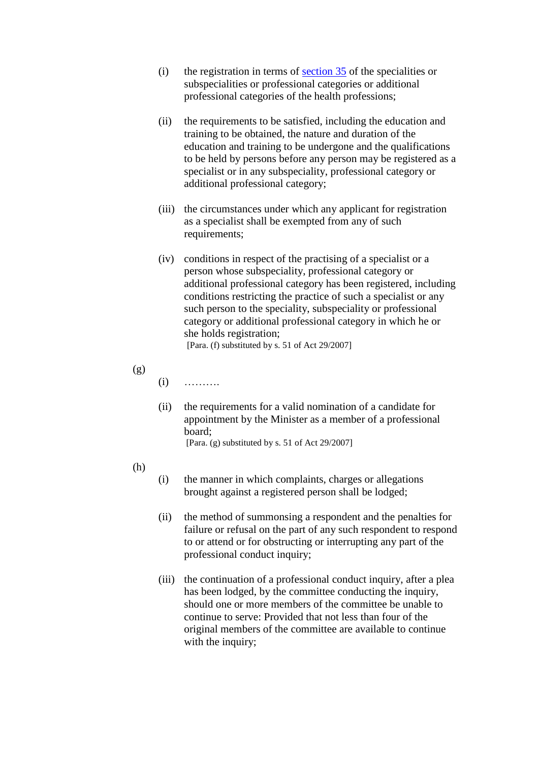- (i) the registration in terms of [section 35](http://search.sabinet.co.za/netlawpdf/netlaw/HEALTH%20PROFESSIONS%20ACT.htm#section35#section35) of the specialities or subspecialities or professional categories or additional professional categories of the health professions;
- (ii) the requirements to be satisfied, including the education and training to be obtained, the nature and duration of the education and training to be undergone and the qualifications to be held by persons before any person may be registered as a specialist or in any subspeciality, professional category or additional professional category;
- (iii) the circumstances under which any applicant for registration as a specialist shall be exempted from any of such requirements:
- (iv) conditions in respect of the practising of a specialist or a person whose subspeciality, professional category or additional professional category has been registered, including conditions restricting the practice of such a specialist or any such person to the speciality, subspeciality or professional category or additional professional category in which he or she holds registration; [Para. (f) substituted by s. 51 of Act 29/2007]

(g)

 $(i)$  ………

- (ii) the requirements for a valid nomination of a candidate for appointment by the Minister as a member of a professional board; [Para. (g) substituted by s. 51 of Act 29/2007]
- (h)
- (i) the manner in which complaints, charges or allegations brought against a registered person shall be lodged;
- (ii) the method of summonsing a respondent and the penalties for failure or refusal on the part of any such respondent to respond to or attend or for obstructing or interrupting any part of the professional conduct inquiry;
- (iii) the continuation of a professional conduct inquiry, after a plea has been lodged, by the committee conducting the inquiry. should one or more members of the committee be unable to continue to serve: Provided that not less than four of the original members of the committee are available to continue with the inquiry;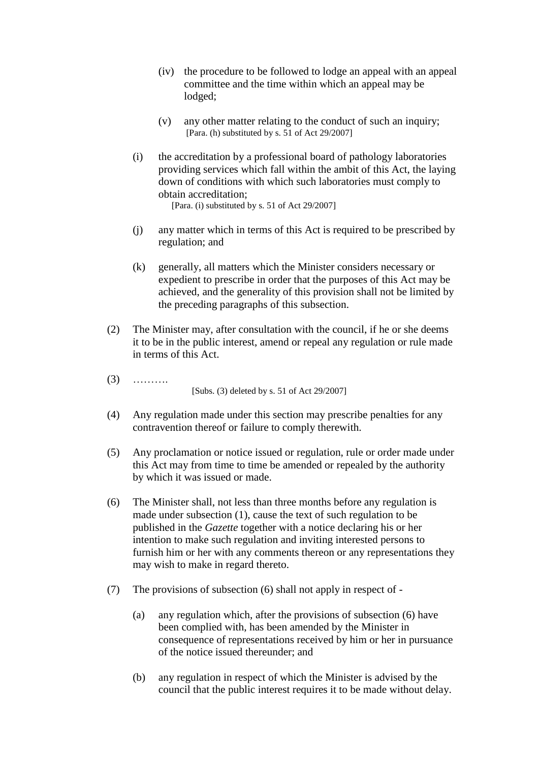- (iv) the procedure to be followed to lodge an appeal with an appeal committee and the time within which an appeal may be lodged;
- (v) any other matter relating to the conduct of such an inquiry; [Para. (h) substituted by s. 51 of Act 29/2007]
- (i) the accreditation by a professional board of pathology laboratories providing services which fall within the ambit of this Act, the laying down of conditions with which such laboratories must comply to obtain accreditation; [Para. (i) substituted by s. 51 of Act 29/2007]
- (j) any matter which in terms of this Act is required to be prescribed by regulation; and
- (k) generally, all matters which the Minister considers necessary or expedient to prescribe in order that the purposes of this Act may be achieved, and the generality of this provision shall not be limited by the preceding paragraphs of this subsection.
- (2) The Minister may, after consultation with the council, if he or she deems it to be in the public interest, amend or repeal any regulation or rule made in terms of this Act.
- (3) ……….

[Subs. (3) deleted by s. 51 of Act 29/2007]

- (4) Any regulation made under this section may prescribe penalties for any contravention thereof or failure to comply therewith.
- (5) Any proclamation or notice issued or regulation, rule or order made under this Act may from time to time be amended or repealed by the authority by which it was issued or made.
- (6) The Minister shall, not less than three months before any regulation is made under subsection (1), cause the text of such regulation to be published in the *Gazette* together with a notice declaring his or her intention to make such regulation and inviting interested persons to furnish him or her with any comments thereon or any representations they may wish to make in regard thereto.
- (7) The provisions of subsection (6) shall not apply in respect of
	- (a) any regulation which, after the provisions of subsection (6) have been complied with, has been amended by the Minister in consequence of representations received by him or her in pursuance of the notice issued thereunder; and
	- (b) any regulation in respect of which the Minister is advised by the council that the public interest requires it to be made without delay.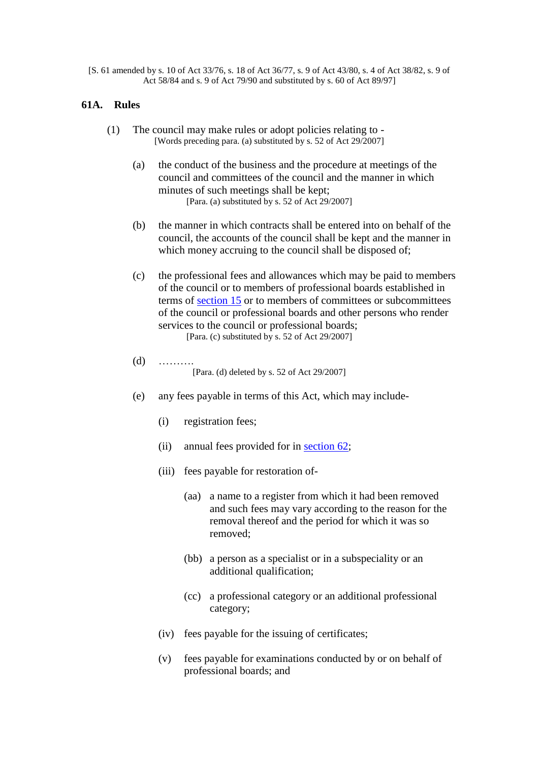[S. 61 amended by s. 10 of Act 33/76, s. 18 of Act 36/77, s. 9 of Act 43/80, s. 4 of Act 38/82, s. 9 of Act 58/84 and s. 9 of Act 79/90 and substituted by s. 60 of Act 89/97]

### **61A. Rules**

- (1) The council may make rules or adopt policies relating to [Words preceding para. (a) substituted by s. 52 of Act 29/2007]
	- (a) the conduct of the business and the procedure at meetings of the council and committees of the council and the manner in which minutes of such meetings shall be kept; [Para. (a) substituted by s. 52 of Act 29/2007]
	- (b) the manner in which contracts shall be entered into on behalf of the council, the accounts of the council shall be kept and the manner in which money accruing to the council shall be disposed of;
	- (c) the professional fees and allowances which may be paid to members of the council or to members of professional boards established in terms of [section 15](http://search.sabinet.co.za/netlawpdf/netlaw/HEALTH%20PROFESSIONS%20ACT.htm#section15#section15) or to members of committees or subcommittees of the council or professional boards and other persons who render services to the council or professional boards; [Para. (c) substituted by s. 52 of Act 29/2007]
	- (d) ………. [Para. (d) deleted by s. 52 of Act 29/2007]
	- (e) any fees payable in terms of this Act, which may include-
		- (i) registration fees;
		- (ii) annual fees provided for in [section 62;](http://search.sabinet.co.za/netlawpdf/netlaw/HEALTH%20PROFESSIONS%20ACT.htm#section62#section62)
		- (iii) fees payable for restoration of-
			- (aa) a name to a register from which it had been removed and such fees may vary according to the reason for the removal thereof and the period for which it was so removed;
			- (bb) a person as a specialist or in a subspeciality or an additional qualification;
			- (cc) a professional category or an additional professional category;
		- (iv) fees payable for the issuing of certificates;
		- (v) fees payable for examinations conducted by or on behalf of professional boards; and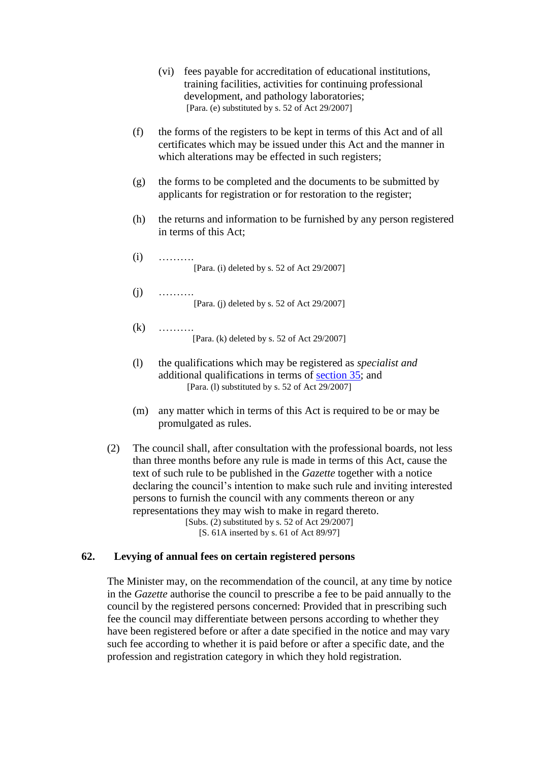- (vi) fees payable for accreditation of educational institutions, training facilities, activities for continuing professional development, and pathology laboratories; [Para. (e) substituted by s. 52 of Act 29/2007]
- (f) the forms of the registers to be kept in terms of this Act and of all certificates which may be issued under this Act and the manner in which alterations may be effected in such registers:
- (g) the forms to be completed and the documents to be submitted by applicants for registration or for restoration to the register;
- (h) the returns and information to be furnished by any person registered in terms of this Act;
- $(i)$  ……… [Para. (i) deleted by s. 52 of Act 29/2007]
- $(i)$  ……… [Para. (j) deleted by s. 52 of Act 29/2007]
- $(k)$  ……… [Para. (k) deleted by s. 52 of Act 29/2007]
- (l) the qualifications which may be registered as *specialist and* additional qualifications in terms of [section 35;](http://search.sabinet.co.za/netlawpdf/netlaw/HEALTH%20PROFESSIONS%20ACT.htm#section35#section35) and [Para. (l) substituted by s. 52 of Act 29/2007]
- (m) any matter which in terms of this Act is required to be or may be promulgated as rules.
- (2) The council shall, after consultation with the professional boards, not less than three months before any rule is made in terms of this Act, cause the text of such rule to be published in the *Gazette* together with a notice declaring the council's intention to make such rule and inviting interested persons to furnish the council with any comments thereon or any representations they may wish to make in regard thereto. [Subs.  $(2)$  substituted by s. 52 of Act 29/2007]

[S. 61A inserted by s. 61 of Act 89/97]

### **62. Levying of annual fees on certain registered persons**

The Minister may, on the recommendation of the council, at any time by notice in the *Gazette* authorise the council to prescribe a fee to be paid annually to the council by the registered persons concerned: Provided that in prescribing such fee the council may differentiate between persons according to whether they have been registered before or after a date specified in the notice and may vary such fee according to whether it is paid before or after a specific date, and the profession and registration category in which they hold registration.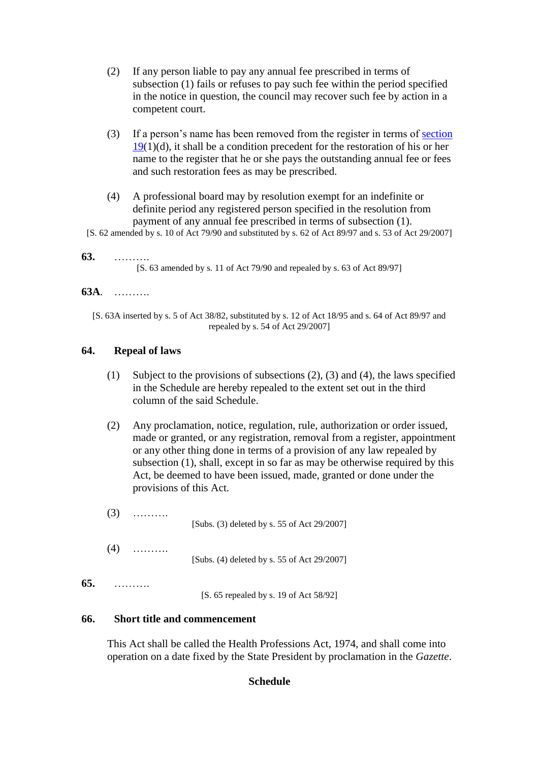- (2) If any person liable to pay any annual fee prescribed in terms of subsection (1) fails or refuses to pay such fee within the period specified in the notice in question, the council may recover such fee by action in a competent court.
- (3) If a person's name has been removed from the register in terms of [section](http://search.sabinet.co.za/netlawpdf/netlaw/HEALTH%20PROFESSIONS%20ACT.htm#section19#section19)   $19(1)(d)$  $19(1)(d)$ , it shall be a condition precedent for the restoration of his or her name to the register that he or she pays the outstanding annual fee or fees and such restoration fees as may be prescribed.
- (4) A professional board may by resolution exempt for an indefinite or definite period any registered person specified in the resolution from payment of any annual fee prescribed in terms of subsection (1).
- [S. 62 amended by s. 10 of Act 79/90 and substituted by s. 62 of Act 89/97 and s. 53 of Act 29/2007]

### **63.** ……….

**65.** ……….

[S. 63 amended by s. 11 of Act 79/90 and repealed by s. 63 of Act 89/97]

### **63A**. ……….

[S. 63A inserted by s. 5 of Act 38/82, substituted by s. 12 of Act 18/95 and s. 64 of Act 89/97 and repealed by s. 54 of Act 29/2007]

### **64. Repeal of laws**

- (1) Subject to the provisions of subsections (2), (3) and (4), the laws specified in the Schedule are hereby repealed to the extent set out in the third column of the said Schedule.
- (2) Any proclamation, notice, regulation, rule, authorization or order issued, made or granted, or any registration, removal from a register, appointment or any other thing done in terms of a provision of any law repealed by subsection (1), shall, except in so far as may be otherwise required by this Act, be deemed to have been issued, made, granted or done under the provisions of this Act.

| (3) |  | [Subs. $(3)$ deleted by s. 55 of Act 29/2007] |
|-----|--|-----------------------------------------------|
| (4) |  | [Subs. (4) deleted by s. 55 of Act 29/2007]   |
|     |  | [S. 65 repealed by s. 19 of Act 58/92]        |

### **66. Short title and commencement**

This Act shall be called the Health Professions Act, 1974, and shall come into operation on a date fixed by the State President by proclamation in the *Gazette*.

## **Schedule**